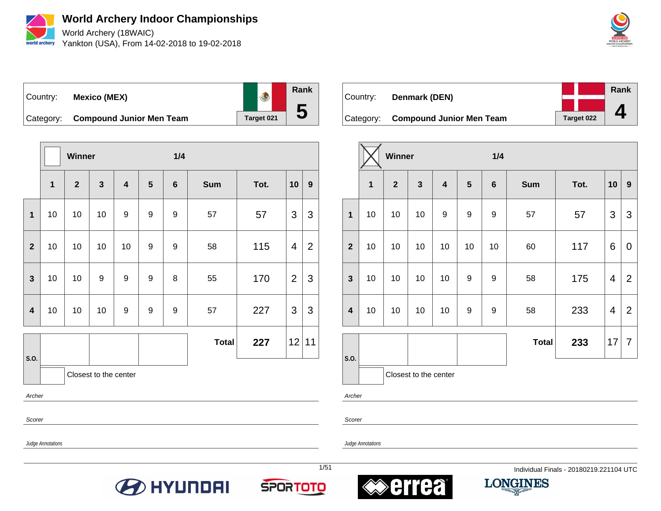

**World Archery Indoor Championships** World Archery (18WAIC)

Yankton (USA), From 14-02-2018 to 19-02-2018



Country: **Mexico (MEX)**



Category: **Compound Junior Men Team** Target 021

|                         |    | Winner         |                       |                         | 1/4              |                  |              |      |                         |                  |
|-------------------------|----|----------------|-----------------------|-------------------------|------------------|------------------|--------------|------|-------------------------|------------------|
|                         | 1  | $\overline{2}$ | $\mathbf{3}$          | $\overline{\mathbf{4}}$ | $5\phantom{1}$   | $\bf 6$          | <b>Sum</b>   | Tot. | 10                      | $\boldsymbol{9}$ |
| $\mathbf{1}$            | 10 | 10             | 10                    | 9                       | $\boldsymbol{9}$ | 9                | 57           | 57   | 3                       | 3                |
| $\overline{2}$          | 10 | 10             | 10                    | 10                      | 9                | 9                | 58           | 115  | $\overline{\mathbf{4}}$ | $\overline{2}$   |
| $\mathbf{3}$            | 10 | 10             | 9                     | 9                       | 9                | $\bf 8$          | 55           | 170  | $\overline{2}$          | 3                |
| $\overline{\mathbf{4}}$ | 10 | 10             | 10                    | 9                       | $\boldsymbol{9}$ | $\boldsymbol{9}$ | 57           | 227  | 3                       | 3                |
|                         |    |                |                       |                         |                  |                  | <b>Total</b> | 227  |                         | 12 11            |
| S.O.                    |    |                | Closest to the center |                         |                  |                  |              |      |                         |                  |
| Archer                  |    |                |                       |                         |                  |                  |              |      |                         |                  |

Country: **Denmark (DEN)** Category: **Compound Junior Men Team** Target 022 **Rank 4**

|                         |                         | Winner       |                       |                         |                  | 1/4              |              |      |                         |                  |
|-------------------------|-------------------------|--------------|-----------------------|-------------------------|------------------|------------------|--------------|------|-------------------------|------------------|
|                         | $\overline{\mathbf{1}}$ | $\mathbf{2}$ | 3                     | $\overline{\mathbf{4}}$ | 5                | $6\phantom{1}6$  | <b>Sum</b>   | Tot. | 10                      | $\boldsymbol{9}$ |
| $\overline{\mathbf{1}}$ | 10                      | 10           | 10                    | $\boldsymbol{9}$        | $\boldsymbol{9}$ | $\boldsymbol{9}$ | 57           | 57   | 3                       | 3                |
| $\overline{2}$          | 10                      | 10           | 10                    | 10                      | 10               | 10               | 60           | 117  | 6                       | 0                |
| $\overline{\mathbf{3}}$ | 10                      | 10           | 10                    | 10                      | 9                | 9                | 58           | 175  | $\overline{\mathbf{4}}$ | $\overline{2}$   |
| $\overline{\mathbf{4}}$ | 10                      | 10           | 10                    | 10                      | 9                | 9                | 58           | 233  | $\overline{\mathbf{4}}$ | $\overline{2}$   |
|                         |                         |              |                       |                         |                  |                  | <b>Total</b> | 233  | 17                      | $\overline{7}$   |
| S.O.                    |                         |              | Closest to the center |                         |                  |                  |              |      |                         |                  |

Archer

Scorer

Judge Annotations

Scorer







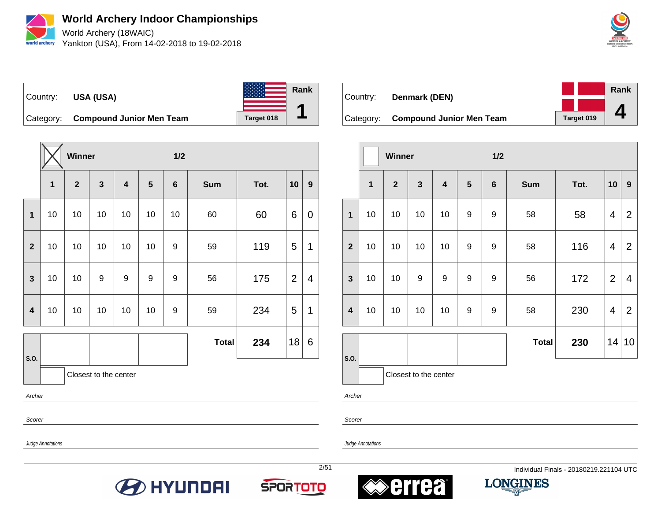

World Archery (18WAIC) Yankton (USA), From 14-02-2018 to 19-02-2018





Category: **Compound Junior Men Team** Target 018

|                         |    | Winner       |                       |                         |                  | 1/2             |              |      |                |             |
|-------------------------|----|--------------|-----------------------|-------------------------|------------------|-----------------|--------------|------|----------------|-------------|
|                         | 1  | $\mathbf{2}$ | $\mathbf{3}$          | $\overline{\mathbf{4}}$ | $5\phantom{1}$   | $6\phantom{1}6$ | <b>Sum</b>   | Tot. | 10             | 9           |
| $\mathbf{1}$            | 10 | 10           | 10                    | 10                      | 10               | 10              | 60           | 60   | 6              | $\mathbf 0$ |
| $\mathbf{2}$            | 10 | 10           | 10                    | 10                      | 10               | 9               | 59           | 119  | 5              | 1           |
| $\overline{\mathbf{3}}$ | 10 | 10           | 9                     | $\boldsymbol{9}$        | $\boldsymbol{9}$ | 9               | 56           | 175  | $\overline{2}$ | 4           |
| $\overline{\mathbf{4}}$ | 10 | 10           | 10                    | 10                      | 10               | 9               | 59           | 234  | 5              | 1           |
|                         |    |              |                       |                         |                  |                 | <b>Total</b> | 234  | 18             | 6           |
| S.O.                    |    |              | Closest to the center |                         |                  |                 |              |      |                |             |
| Archer                  |    |              |                       |                         |                  |                 |              |      |                |             |

Country: **Denmark (DEN)** Category: **Compound Junior Men Team** Target 019 **Rank 4**

|                         |                         | Winner       |              |                         | 1/2              |                |              |      |                         |                  |
|-------------------------|-------------------------|--------------|--------------|-------------------------|------------------|----------------|--------------|------|-------------------------|------------------|
|                         | $\overline{\mathbf{1}}$ | $\mathbf{2}$ | $\mathbf{3}$ | $\overline{\mathbf{4}}$ | $5\phantom{1}$   | $6\phantom{1}$ | <b>Sum</b>   | Tot. | 10                      | $\boldsymbol{9}$ |
| 1                       | 10                      | 10           | 10           | 10                      | 9                | 9              | 58           | 58   | $\overline{\mathbf{4}}$ | 2                |
| $\overline{2}$          | 10                      | 10           | 10           | 10                      | 9                | 9              | 58           | 116  | 4                       | 2                |
| $\mathbf{3}$            | 10                      | 10           | 9            | $\boldsymbol{9}$        | $\boldsymbol{9}$ | 9              | 56           | 172  | $\overline{2}$          | 4                |
| $\overline{\mathbf{4}}$ | 10                      | 10           | 10           | 10                      | 9                | 9              | 58           | 230  | 4                       | 2                |
|                         |                         |              |              |                         |                  |                | <b>Total</b> | 230  |                         | 14 10            |
| S.O.                    | Closest to the center   |              |              |                         |                  |                |              |      |                         |                  |

Archer

Scorer

Judge Annotations

Scorer







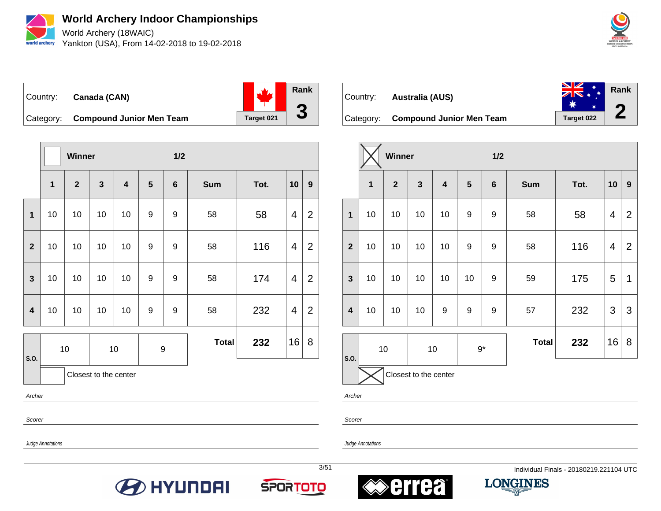

**World Archery Indoor Championships** World Archery (18WAIC)

Yankton (USA), From 14-02-2018 to 19-02-2018



Country: **Canada (CAN)** Category: **Compound Junior Men Team** Target 021 **Rank 3**

|                         |                         | Winner       |              |                         |                  | 1/2             |            |      |                |                  |
|-------------------------|-------------------------|--------------|--------------|-------------------------|------------------|-----------------|------------|------|----------------|------------------|
|                         | $\overline{\mathbf{1}}$ | $\mathbf{2}$ | $\mathbf{3}$ | $\overline{\mathbf{4}}$ | $5\phantom{.0}$  | $6\phantom{1}6$ | <b>Sum</b> | Tot. | 10             | $\boldsymbol{9}$ |
| $\overline{1}$          | 10                      | 10           | 10           | 10                      | 9                | 9               | 58         | 58   | 4              | 2                |
| $\overline{2}$          | 10                      | 10           | 10           | 10                      | $\boldsymbol{9}$ | 9               | 58         | 116  | 4              | $\overline{2}$   |
| $\overline{\mathbf{3}}$ | 10                      | 10           | 10           | 10                      | 9                | 9               | 58         | 174  | 4              | 2                |
| $\overline{\mathbf{4}}$ | 10                      | 10           | 10           | 10                      | $\boldsymbol{9}$ | 9               | 58         | 232  | $\overline{4}$ | 2                |
|                         |                         | 10<br>10     |              |                         | $\boldsymbol{9}$ | <b>Total</b>    | 232        | 16   | 8              |                  |
| S.O.                    | Closest to the center   |              |              |                         |                  |                 |            |      |                |                  |

Archer

Scorer

Scorer

Archer

Judge Annotations

Judge Annotations







Country: **Australia (AUS)**

 $\overline{\phantom{a}}$ 





|                         |    | <b>Winner</b>  |                       |                         |    | 1/2              |              |      |                |                |
|-------------------------|----|----------------|-----------------------|-------------------------|----|------------------|--------------|------|----------------|----------------|
|                         | 1  | $\overline{2}$ | 3                     | $\overline{\mathbf{4}}$ | 5  | $\boldsymbol{6}$ | <b>Sum</b>   | Tot. | 10             | 9              |
| $\mathbf{1}$            | 10 | 10             | 10                    | 10                      | 9  | $\boldsymbol{9}$ | 58           | 58   | $\overline{4}$ | $\overline{2}$ |
| $\overline{2}$          | 10 | 10             | 10                    | 10                      | 9  | 9                | 58           | 116  | 4              | $\overline{2}$ |
| $\mathbf{3}$            | 10 | 10             | 10                    | 10                      | 10 | $\boldsymbol{9}$ | 59           | 175  | 5              | 1              |
| $\overline{\mathbf{4}}$ | 10 | 10             | 10                    | $\boldsymbol{9}$        | 9  | $\boldsymbol{9}$ | 57           | 232  | 3              | 3              |
|                         |    | 10             |                       | $10\,$                  |    | $9*$             | <b>Total</b> | 232  | 16             | 8              |
| S.O.                    |    |                | Closest to the center |                         |    |                  |              |      |                |                |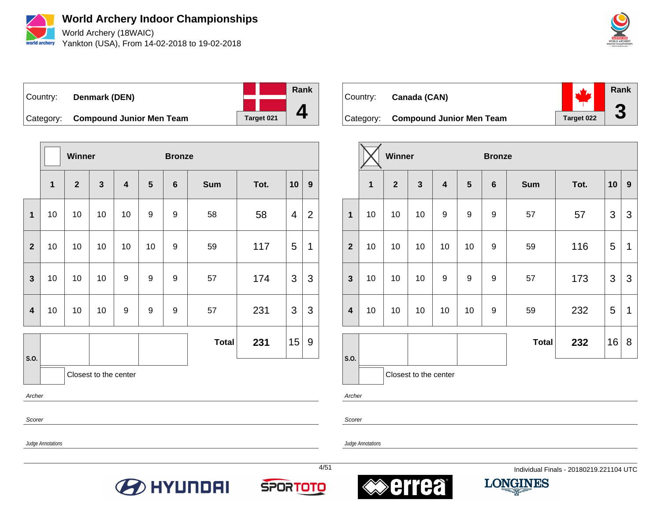

World Archery (18WAIC) Yankton (USA), From 14-02-2018 to 19-02-2018



Country: **Denmark (DEN)** Category: **Compound Junior Men Team** Target 021 **Rank 4**

|                         |                       | Winner       |                         |                         |                | <b>Bronze</b>   |              |      |                |   |
|-------------------------|-----------------------|--------------|-------------------------|-------------------------|----------------|-----------------|--------------|------|----------------|---|
|                         | $\overline{1}$        | $\mathbf{2}$ | $\overline{\mathbf{3}}$ | $\overline{\mathbf{4}}$ | $5\phantom{1}$ | $6\phantom{1}6$ | <b>Sum</b>   | Tot. | 10             | 9 |
| $\mathbf{1}$            | 10                    | 10           | 10                      | 10                      | 9              | 9               | 58           | 58   | $\overline{4}$ | 2 |
| $\overline{2}$          | 10                    | 10           | 10                      | 10                      | 10             | 9               | 59           | 117  | 5              | 1 |
| $\mathbf{3}$            | 10                    | 10           | 10                      | 9                       | 9              | 9               | 57           | 174  | 3              | 3 |
| $\overline{\mathbf{4}}$ | 10                    | 10           | 10                      | 9                       | 9              | 9               | 57           | 231  | 3              | 3 |
|                         |                       |              |                         |                         |                |                 | <b>Total</b> | 231  | 15             | 9 |
| S.O.                    | Closest to the center |              |                         |                         |                |                 |              |      |                |   |

Archer

Scorer

Judge Annotations

Judge Annotations









| Country: | Canada (CAN)                       |            | Rank |
|----------|------------------------------------|------------|------|
|          | Category: Compound Junior Men Team | Target 022 |      |

|                         |                | <b>Winner</b>  |                       |                         | <b>Bronze</b> |                 |              |      |    |   |
|-------------------------|----------------|----------------|-----------------------|-------------------------|---------------|-----------------|--------------|------|----|---|
|                         | $\overline{1}$ | $\overline{2}$ | $\mathbf{3}$          | $\overline{\mathbf{4}}$ | 5             | $6\phantom{1}6$ | <b>Sum</b>   | Tot. | 10 | 9 |
| $\mathbf{1}$            | 10             | 10             | 10                    | 9                       | 9             | 9               | 57           | 57   | 3  | 3 |
| $\overline{\mathbf{2}}$ | 10             | 10             | 10                    | 10                      | 10            | 9               | 59           | 116  | 5  | 1 |
| $\mathbf{3}$            | 10             | 10             | 10                    | $\boldsymbol{9}$        | 9             | 9               | 57           | 173  | 3  | 3 |
| $\overline{\mathbf{4}}$ | 10             | 10             | 10                    | 10                      | 10            | 9               | 59           | 232  | 5  | 1 |
|                         |                |                |                       |                         |               |                 | <b>Total</b> | 232  | 16 | 8 |
| S.O.                    |                |                | Closest to the center |                         |               |                 |              |      |    |   |

Archer

Scorer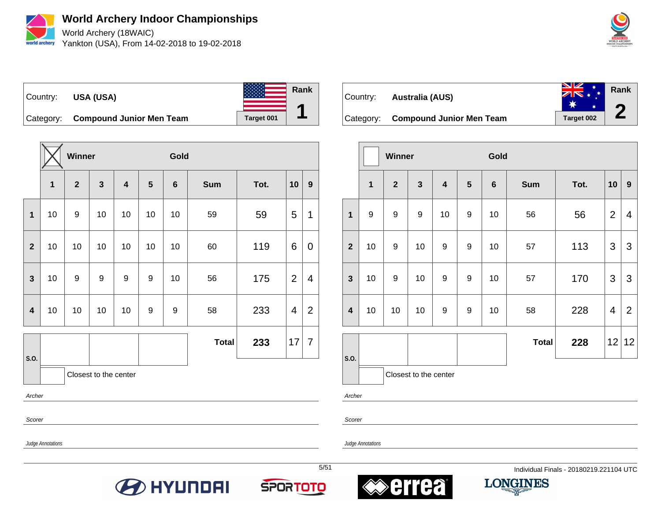

World Archery (18WAIC) Yankton (USA), From 14-02-2018 to 19-02-2018





Category: **Compound Junior Men Team** Target 001

|                         |              | Winner         |                       |    |                 | Gold             |              |      |                |                |
|-------------------------|--------------|----------------|-----------------------|----|-----------------|------------------|--------------|------|----------------|----------------|
|                         | $\mathbf{1}$ | $\overline{2}$ | $\mathbf{3}$          | 4  | $5\phantom{.0}$ | $6\phantom{1}$   | <b>Sum</b>   | Tot. | 10             | 9              |
| 1                       | 10           | 9              | 10                    | 10 | 10              | 10               | 59           | 59   | 5              | 1              |
| $\overline{2}$          | 10           | 10             | 10                    | 10 | 10              | 10               | 60           | 119  | 6              | 0              |
| $\overline{\mathbf{3}}$ | 10           | 9              | 9                     | 9  | 9               | 10               | 56           | 175  | $\overline{2}$ | 4              |
| $\overline{\mathbf{4}}$ | 10           | 10             | 10                    | 10 | 9               | $\boldsymbol{9}$ | 58           | 233  | 4              | $\overline{2}$ |
|                         |              |                |                       |    |                 |                  | <b>Total</b> | 233  | 17             | $\overline{7}$ |
| S.O.                    |              |                | Closest to the center |    |                 |                  |              |      |                |                |
| Archer                  |              |                |                       |    |                 |                  |              |      |                |                |

Scorer

Scorer

Archer

Judge Annotations









| Country: | Australia (AUS)                    | $ZN$ * $*$ | Rank                  |
|----------|------------------------------------|------------|-----------------------|
|          | Category: Compound Junior Men Team | Target 002 | $\blacktriangleright$ |

|                         |    | <b>Winner</b>  |                       |                         |   | Gold            |              |      |                |                  |
|-------------------------|----|----------------|-----------------------|-------------------------|---|-----------------|--------------|------|----------------|------------------|
|                         | 1  | $\overline{2}$ | $\mathbf{3}$          | $\overline{\mathbf{4}}$ | 5 | $6\phantom{1}6$ | <b>Sum</b>   | Tot. | 10             | $\boldsymbol{9}$ |
| $\mathbf{1}$            | 9  | 9              | $\boldsymbol{9}$      | 10                      | 9 | 10              | 56           | 56   | $\overline{2}$ | 4                |
| $\overline{2}$          | 10 | 9              | 10                    | 9                       | 9 | 10              | 57           | 113  | 3              | 3                |
| $\mathbf{3}$            | 10 | 9              | 10                    | 9                       | 9 | 10              | 57           | 170  | 3              | 3                |
| $\overline{\mathbf{4}}$ | 10 | 10             | 10                    | 9                       | 9 | 10              | 58           | 228  | 4              | $\overline{2}$   |
|                         |    |                |                       |                         |   |                 | <b>Total</b> | 228  | 12             | 12               |
| S.O.                    |    |                | Closest to the center |                         |   |                 |              |      |                |                  |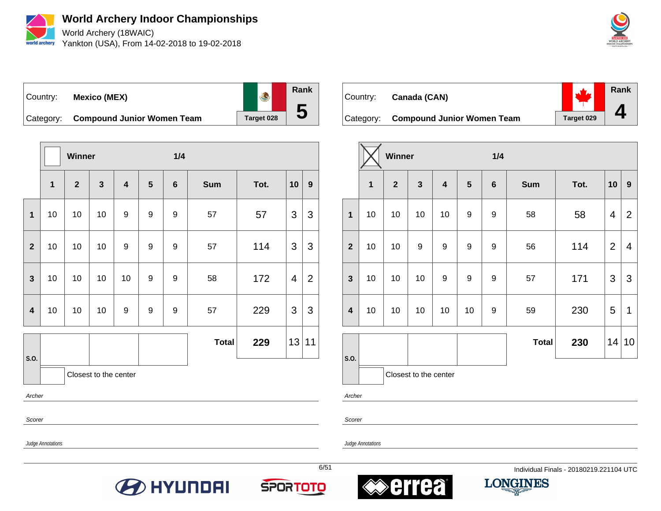

**World Archery Indoor Championships** World Archery (18WAIC)

Yankton (USA), From 14-02-2018 to 19-02-2018



## Country: **Mexico (MEX)**



Category: **Compound Junior Women Team** | Target 028

|                         |                         | <b>Winner</b>  |                       |                         |                  | 1/4             |              |      |                         |                  |
|-------------------------|-------------------------|----------------|-----------------------|-------------------------|------------------|-----------------|--------------|------|-------------------------|------------------|
|                         | $\overline{\mathbf{1}}$ | $\overline{2}$ | $\mathbf{3}$          | $\overline{\mathbf{4}}$ | 5                | $6\phantom{1}6$ | <b>Sum</b>   | Tot. | 10                      | $\boldsymbol{9}$ |
| $\mathbf{1}$            | 10                      | 10             | 10                    | 9                       | 9                | 9               | 57           | 57   | 3                       | 3                |
| $\mathbf{2}$            | 10                      | 10             | 10                    | 9                       | $\boldsymbol{9}$ | 9               | 57           | 114  | 3                       | 3                |
| $\mathbf{3}$            | 10                      | 10             | 10                    | 10                      | $\boldsymbol{9}$ | 9               | 58           | 172  | $\overline{\mathbf{4}}$ | $\overline{2}$   |
| $\overline{\mathbf{4}}$ | 10                      | 10             | 10                    | 9                       | 9                | $9$             | 57           | 229  | 3                       | 3                |
|                         |                         |                |                       |                         |                  |                 | <b>Total</b> | 229  | 13                      | 11               |
| S.O.                    |                         |                | Closest to the center |                         |                  |                 |              |      |                         |                  |
|                         | Archer                  |                |                       |                         |                  |                 |              |      |                         |                  |

**Rank**  $\mathcal{L}_{1}$ Country: **Canada (CAN) 4** Category: **Compound Junior Women Team** | Target 029

|                         |    | Winner         |                       |                         |                 | 1/4             |              |      |                |                |  |  |
|-------------------------|----|----------------|-----------------------|-------------------------|-----------------|-----------------|--------------|------|----------------|----------------|--|--|
|                         | 1  | $\overline{2}$ | $\mathbf{3}$          | $\overline{\mathbf{4}}$ | $5\phantom{.0}$ | $6\phantom{1}6$ | <b>Sum</b>   | Tot. | 10             | 9              |  |  |
| $\mathbf 1$             | 10 | 10             | 10                    | 10                      | 9               | 9               | 58           | 58   | 4              | $\overline{2}$ |  |  |
| $\overline{2}$          | 10 | 10             | $\boldsymbol{9}$      | 9                       | 9               | 9               | 56           | 114  | $\overline{2}$ | $\overline{4}$ |  |  |
| $\mathbf{3}$            | 10 | 10             | 10                    | 9                       | 9               | 9               | 57           | 171  | 3              | 3              |  |  |
| $\overline{\mathbf{4}}$ | 10 | 10             | 10                    | 10                      | 10              | 9               | 59           | 230  | 5              | 1              |  |  |
|                         |    |                |                       |                         |                 |                 | <b>Total</b> | 230  | 14             | 10             |  |  |
| S.O.                    |    |                | Closest to the center |                         |                 |                 |              |      |                |                |  |  |

Archer

Scorer

Judge Annotations

Scorer

Judge Annotations







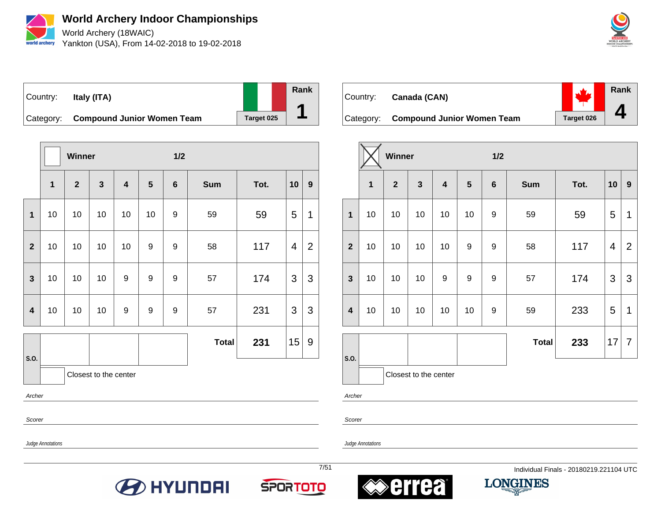

World Archery (18WAIC) Yankton (USA), From 14-02-2018 to 19-02-2018



## Country: **Italy (ITA)**



Category: **Compound Junior Women Team** | Target 025

|                         |              | Winner       |                       |                         | 1/2              |                 |              |      |                         |                  |
|-------------------------|--------------|--------------|-----------------------|-------------------------|------------------|-----------------|--------------|------|-------------------------|------------------|
|                         | $\mathbf{1}$ | $\mathbf{2}$ | $\mathbf{3}$          | $\overline{\mathbf{4}}$ | 5                | $6\phantom{1}6$ | <b>Sum</b>   | Tot. | 10                      | $\boldsymbol{9}$ |
| $\mathbf{1}$            | 10           | 10           | 10                    | 10                      | 10               | $9$             | 59           | 59   | 5                       | 1                |
| $\overline{2}$          | 10           | 10           | 10                    | 10                      | 9                | 9               | 58           | 117  | $\overline{\mathbf{4}}$ | $\overline{2}$   |
| $\mathbf{3}$            | 10           | 10           | 10                    | $\boldsymbol{9}$        | $\boldsymbol{9}$ | 9               | 57           | 174  | 3                       | 3                |
| $\overline{\mathbf{4}}$ | 10           | 10           | 10                    | $\boldsymbol{9}$        | $\boldsymbol{9}$ | $9$             | 57           | 231  | 3                       | $\mathfrak{S}$   |
|                         |              |              |                       |                         |                  |                 | <b>Total</b> | 231  | 15                      | $9\,$            |
| S.O.                    |              |              | Closest to the center |                         |                  |                 |              |      |                         |                  |
| Archer                  |              |              |                       |                         |                  |                 |              |      |                         |                  |

**Rank**  $\mathcal{L}_{1}$ Country: **Canada (CAN) 4** Category: **Compound Junior Women Team** | Target 026

|                         |             | <b>Winner</b> |                         |                         |                  | 1/2              |              |      |                |                |  |  |
|-------------------------|-------------|---------------|-------------------------|-------------------------|------------------|------------------|--------------|------|----------------|----------------|--|--|
|                         | $\mathbf 1$ | $\mathbf{2}$  | $\overline{\mathbf{3}}$ | $\overline{\mathbf{4}}$ | $5\phantom{1}$   | $6\phantom{1}$   | <b>Sum</b>   | Tot. | 10             | 9              |  |  |
| 1                       | 10          | 10            | 10                      | 10                      | 10               | $\boldsymbol{9}$ | 59           | 59   | 5              | 1              |  |  |
| $\overline{2}$          | 10          | 10            | 10                      | 10                      | $\boldsymbol{9}$ | $\boldsymbol{9}$ | 58           | 117  | $\overline{4}$ | $\overline{2}$ |  |  |
| $\mathbf{3}$            | 10          | 10            | 10                      | 9                       | $\boldsymbol{9}$ | $\boldsymbol{9}$ | 57           | 174  | 3              | 3              |  |  |
| $\overline{\mathbf{4}}$ | 10          | 10            | 10                      | 10                      | 10               | 9                | 59           | 233  | 5              | 1              |  |  |
|                         |             |               |                         |                         |                  |                  | <b>Total</b> | 233  | 17             | 7              |  |  |
| S.O.                    |             |               | Closest to the center   |                         |                  |                  |              |      |                |                |  |  |

Archer

Scorer

Judge Annotations

Scorer









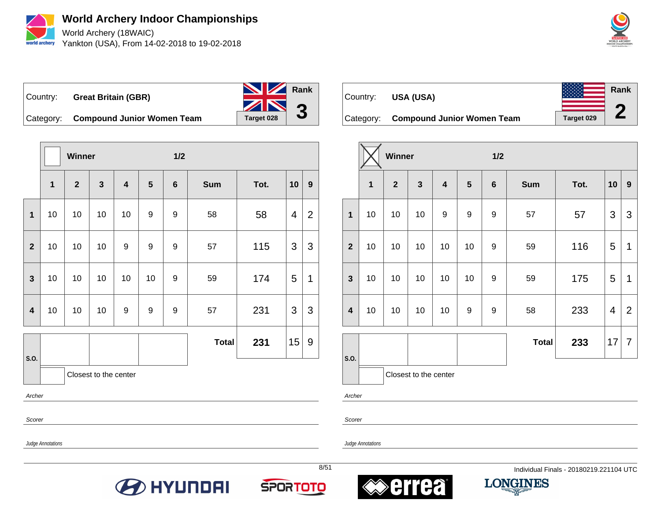

**World Archery Indoor Championships** World Archery (18WAIC) Yankton (USA), From 14-02-2018 to 19-02-2018



Country: **Great Britain (GBR)** Category: **Compound Junior Women Team** | Target 028 **Rank 3**

**Winner 1/2 1 2 3 4 5 6 Sum Tot. 10 9 1** | 10 | 10 | 10 | 9 | 9 | 58 | 58 | 4 | 2 **2** | 10 | 10 | 10 | 9 | 9 | 9 | 57 | 115 | 3 | 3 **3** | 10 | 10 | 10 | 10 | 9 | 59 | 174 | 5 | 1 **4** | 10 | 10 | 10 | 9 | 9 | 9 | 57 | 231 | 3 | 3 **S.O. Total 231**  $|15|$  9 Closest to the center

Archer

Scorer

Judge Annotations

Judge Annotations











| Country:  | USA (USA)                         |            | <b>Rank</b> |
|-----------|-----------------------------------|------------|-------------|
|           |                                   |            |             |
| Category: | <b>Compound Junior Women Team</b> | Target 029 |             |

|                  |              | Winner         |                         |                         |                | 1/2     |              |      |                         |                |  |  |
|------------------|--------------|----------------|-------------------------|-------------------------|----------------|---------|--------------|------|-------------------------|----------------|--|--|
|                  | $\mathbf{1}$ | $\overline{2}$ | $\overline{\mathbf{3}}$ | $\overline{\mathbf{4}}$ | $5\phantom{1}$ | $\bf 6$ | <b>Sum</b>   | Tot. | 10                      | 9              |  |  |
| $\mathbf{1}$     | 10           | 10             | 10                      | $\boldsymbol{9}$        | 9              | 9       | 57           | 57   | 3                       | 3              |  |  |
| $\overline{2}$   | 10           | 10             | 10                      | 10                      | 10             | 9       | 59           | 116  | 5                       | 1              |  |  |
| $\mathbf{3}$     | 10           | 10             | 10                      | 10                      | 10             | 9       | 59           | 175  | 5                       | 1              |  |  |
| $\boldsymbol{4}$ | 10           | 10             | 10                      | 10                      | 9              | 9       | 58           | 233  | $\overline{\mathbf{4}}$ | $\overline{2}$ |  |  |
|                  |              |                |                         |                         |                |         | <b>Total</b> | 233  | 17                      | $\overline{7}$ |  |  |
| S.O.             |              |                | Closest to the center   |                         |                |         |              |      |                         |                |  |  |

Archer

Scorer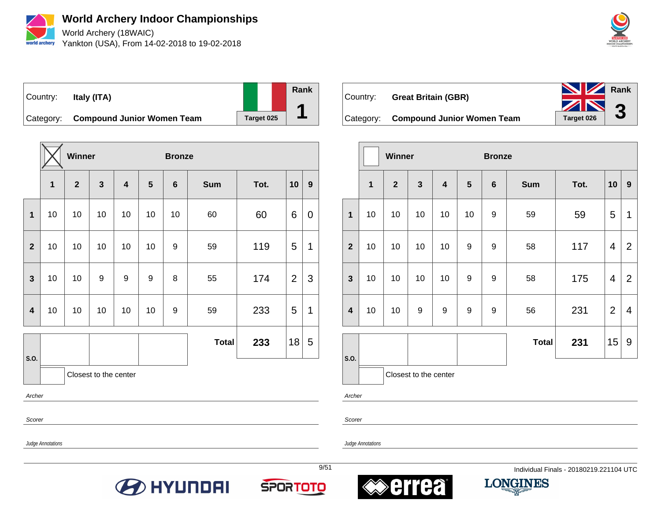

**World Archery Indoor Championships** World Archery (18WAIC)

Yankton (USA), From 14-02-2018 to 19-02-2018



## Country: **Italy (ITA)**



Category: **Compound Junior Women Team** | Target 025

|                         |    | <b>Winner</b> |                       |                         |    | <b>Bronze</b>   |              |      |                |   |
|-------------------------|----|---------------|-----------------------|-------------------------|----|-----------------|--------------|------|----------------|---|
|                         | 1  | $\mathbf{2}$  | $\mathbf{3}$          | $\overline{\mathbf{4}}$ | 5  | $6\phantom{1}6$ | <b>Sum</b>   | Tot. | 10             | 9 |
| $\overline{\mathbf{1}}$ | 10 | 10            | 10                    | 10                      | 10 | 10              | 60           | 60   | 6              | 0 |
| $\overline{2}$          | 10 | 10            | 10                    | 10                      | 10 | 9               | 59           | 119  | 5              | 1 |
| $\mathbf{3}$            | 10 | 10            | 9                     | 9                       | 9  | 8               | 55           | 174  | $\overline{2}$ | 3 |
| $\overline{\mathbf{4}}$ | 10 | 10            | 10                    | 10                      | 10 | 9               | 59           | 233  | 5              | 1 |
|                         |    |               |                       |                         |    |                 | <b>Total</b> | 233  | 18             | 5 |
| S.O.                    |    |               | Closest to the center |                         |    |                 |              |      |                |   |

Archer

Scorer

Scorer

Judge Annotations

Judge Annotations







Country: **Great Britain (GBR)**



9/51 Individual Finals - 20180219.221104 UTC



|                         |                       | <b>Winner</b>  |              |                         |                  | <b>Bronze</b>  |              |      |                |                |  |
|-------------------------|-----------------------|----------------|--------------|-------------------------|------------------|----------------|--------------|------|----------------|----------------|--|
|                         | 1                     | $\overline{2}$ | $\mathbf{3}$ | $\overline{\mathbf{4}}$ | 5                | $6\phantom{1}$ | <b>Sum</b>   | Tot. | 10             | 9              |  |
| $\mathbf{1}$            | 10                    | 10             | 10           | 10                      | 10               | 9              | 59           | 59   | 5              | 1              |  |
| $\overline{2}$          | 10                    | 10             | 10           | 10                      | 9                | 9              | 58           | 117  | 4              | $\overline{2}$ |  |
| $\mathbf{3}$            | 10                    | 10             | 10           | 10                      | 9                | 9              | 58           | 175  | 4              | $\overline{2}$ |  |
| $\overline{\mathbf{4}}$ | 10                    | 10             | 9            | 9                       | $\boldsymbol{9}$ | 9              | 56           | 231  | $\overline{2}$ | $\overline{4}$ |  |
|                         |                       |                |              |                         |                  |                | <b>Total</b> | 231  | 15             | 9              |  |
| S.O.                    | Closest to the center |                |              |                         |                  |                |              |      |                |                |  |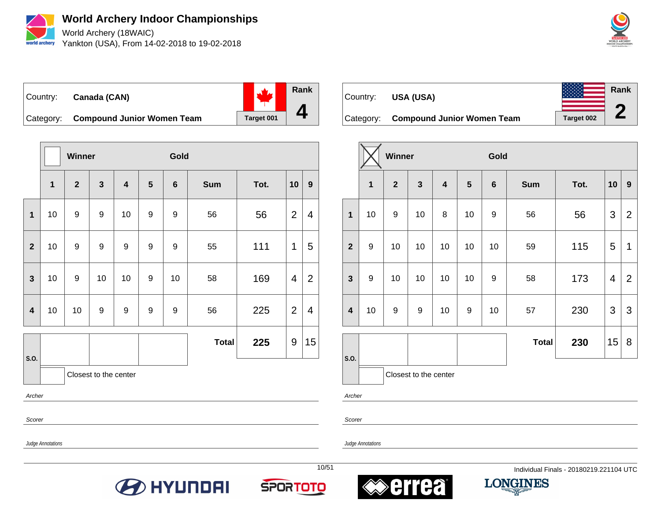

**World Archery Indoor Championships** World Archery (18WAIC)

Yankton (USA), From 14-02-2018 to 19-02-2018



## Country: **Canada (CAN)**



Category: **Compound Junior Women Team** | Target 001

|                         |                       | <b>Winner</b>    |                         |                         |                | Gold           |              |      |                  |                |
|-------------------------|-----------------------|------------------|-------------------------|-------------------------|----------------|----------------|--------------|------|------------------|----------------|
|                         | $\overline{1}$        | $\overline{2}$   | $\overline{\mathbf{3}}$ | $\overline{\mathbf{4}}$ | $5\phantom{1}$ | $6\phantom{1}$ | <b>Sum</b>   | Tot. | 10               | 9              |
| 1                       | 10                    | $\boldsymbol{9}$ | $\boldsymbol{9}$        | 10                      | 9              | 9              | 56           | 56   | $\overline{2}$   | 4              |
| $\overline{2}$          | 10                    | $\boldsymbol{9}$ | 9                       | 9                       | 9              | 9              | 55           | 111  | 1                | 5              |
| $\mathbf{3}$            | 10                    | 9                | 10                      | 10                      | 9              | 10             | 58           | 169  | $\overline{4}$   | $\overline{2}$ |
| $\overline{\mathbf{4}}$ | 10                    | 10               | 9                       | 9                       | 9              | 9              | 56           | 225  | $\overline{2}$   | $\overline{4}$ |
|                         |                       |                  |                         |                         |                |                | <b>Total</b> | 225  | $\boldsymbol{9}$ | 15             |
| S.O.                    | Closest to the center |                  |                         |                         |                |                |              |      |                  |                |

Archer

Scorer

Scorer

Judge Annotations

Judge Annotations







Country: **USA (USA)**





|                         |                         | Winner         |              |    |    | Gold           |              |      |    |                  |
|-------------------------|-------------------------|----------------|--------------|----|----|----------------|--------------|------|----|------------------|
|                         | $\overline{\mathbf{1}}$ | $\overline{2}$ | $\mathbf{3}$ | 4  | 5  | $6\phantom{1}$ | <b>Sum</b>   | Tot. | 10 | $\boldsymbol{9}$ |
| $\mathbf 1$             | 10                      | 9              | 10           | 8  | 10 | 9              | 56           | 56   | 3  | $\overline{2}$   |
| $\overline{\mathbf{2}}$ | $\boldsymbol{9}$        | 10             | 10           | 10 | 10 | 10             | 59           | 115  | 5  | 1                |
| $\mathbf{3}$            | 9                       | 10             | 10           | 10 | 10 | 9              | 58           | 173  | 4  | 2                |
| $\overline{\mathbf{4}}$ | 10                      | 9              | 9            | 10 | 9  | 10             | 57           | 230  | 3  | 3                |
|                         |                         |                |              |    |    |                | <b>Total</b> | 230  | 15 | 8                |
| S.O.                    | Closest to the center   |                |              |    |    |                |              |      |    |                  |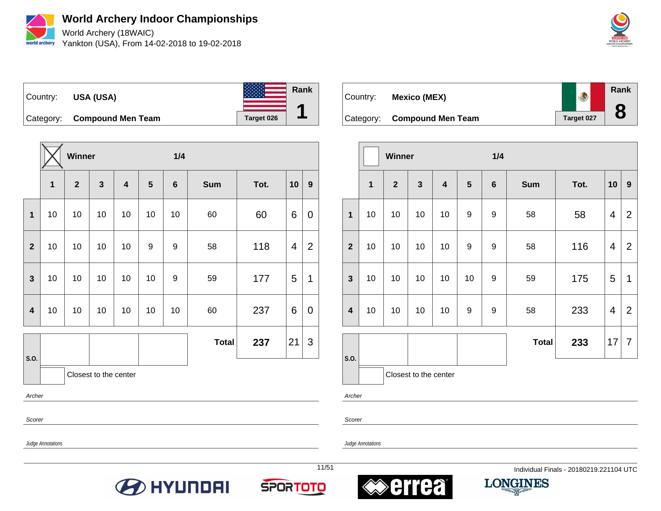

World Archery (18WAIC) Yankton (USA), From 14-02-2018 to 19-02-2018



Country: **USA (USA)** Category: **Compound Men Team Target 026 Rank 1**

|                         |        | Winner       |                       |                         |                  | 1/4             |              |      |    |                  |
|-------------------------|--------|--------------|-----------------------|-------------------------|------------------|-----------------|--------------|------|----|------------------|
|                         | 1      | $\mathbf{2}$ | $\mathbf{3}$          | $\overline{\mathbf{4}}$ | 5                | $6\phantom{1}6$ | <b>Sum</b>   | Tot. | 10 | $\boldsymbol{9}$ |
| $\mathbf{1}$            | 10     | 10           | 10                    | 10                      | 10               | 10              | 60           | 60   | 6  | $\mathbf 0$      |
| $\overline{\mathbf{2}}$ | 10     | 10           | 10                    | 10                      | $\boldsymbol{9}$ | 9               | 58           | 118  | 4  | $\overline{2}$   |
| $\overline{\mathbf{3}}$ | 10     | 10           | 10                    | 10                      | 10               | 9               | 59           | 177  | 5  | 1                |
| $\overline{\mathbf{4}}$ | 10     | 10           | 10                    | 10                      | 10               | 10              | 60           | 237  | 6  | 0                |
|                         |        |              |                       |                         |                  |                 | <b>Total</b> | 237  | 21 | 3                |
| S.O.                    |        |              | Closest to the center |                         |                  |                 |              |      |    |                  |
|                         | Archer |              |                       |                         |                  |                 |              |      |    |                  |

Scorer

Scorer

Judge Annotations

Judge Annotations







Country: **Mexico (MEX)**

 $\overline{a}$ 





|                         |                       | <b>Winner</b> |              |                         |                  | 1/4              |              |      |    |                  |
|-------------------------|-----------------------|---------------|--------------|-------------------------|------------------|------------------|--------------|------|----|------------------|
|                         | $\mathbf{1}$          | $\mathbf{2}$  | $\mathbf{3}$ | $\overline{\mathbf{4}}$ | $5\phantom{.0}$  | $6\phantom{1}6$  | <b>Sum</b>   | Tot. | 10 | $\boldsymbol{9}$ |
| 1                       | 10                    | 10            | 10           | 10                      | $\boldsymbol{9}$ | $\boldsymbol{9}$ | 58           | 58   | 4  | $\overline{2}$   |
| $\overline{2}$          | 10                    | 10            | 10           | 10                      | $\boldsymbol{9}$ | $\boldsymbol{9}$ | 58           | 116  | 4  | $\overline{2}$   |
| $\overline{\mathbf{3}}$ | 10                    | 10            | 10           | 10                      | 10               | $\boldsymbol{9}$ | 59           | 175  | 5  | 1                |
| $\overline{\mathbf{4}}$ | 10                    | 10            | 10           | 10                      | $\boldsymbol{9}$ | 9                | 58           | 233  | 4  | 2                |
|                         |                       |               |              |                         |                  |                  | <b>Total</b> | 233  | 17 | $\overline{7}$   |
| S.O.                    | Closest to the center |               |              |                         |                  |                  |              |      |    |                  |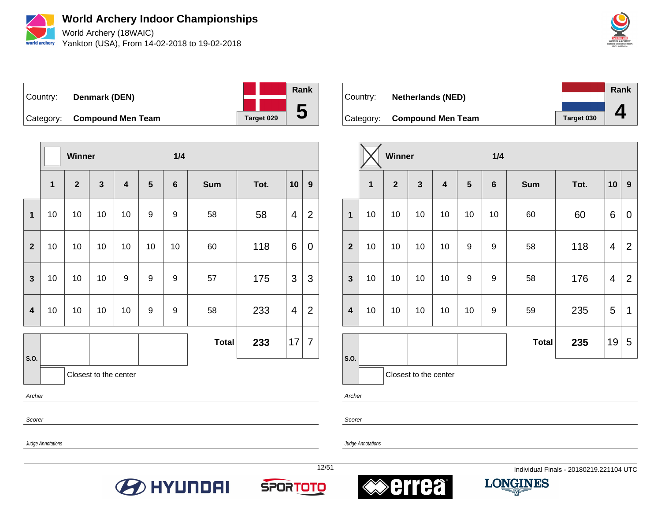

World Archery (18WAIC) Yankton (USA), From 14-02-2018 to 19-02-2018



Country: **Denmark (DEN)** Category: **Compound Men Team Target 029 Rank 5**

|                         |                         | Winner                |              |                         |                  | 1/4             |              |      |                         |                  |
|-------------------------|-------------------------|-----------------------|--------------|-------------------------|------------------|-----------------|--------------|------|-------------------------|------------------|
|                         | $\overline{\mathbf{1}}$ | $\mathbf{2}$          | $\mathbf{3}$ | $\overline{\mathbf{4}}$ | $5\phantom{1}$   | $6\phantom{1}6$ | <b>Sum</b>   | Tot. | 10                      | $\boldsymbol{9}$ |
| $\mathbf{1}$            | 10                      | 10                    | 10           | 10                      | 9                | 9               | 58           | 58   | 4                       | $\overline{2}$   |
| $\mathbf{2}$            | 10                      | 10                    | 10           | 10                      | 10               | 10              | 60           | 118  | 6                       | 0                |
| $\overline{\mathbf{3}}$ | 10                      | 10                    | 10           | 9                       | $\boldsymbol{9}$ | $9$             | 57           | 175  | 3                       | 3                |
| $\overline{\mathbf{4}}$ | 10                      | 10                    | $10$         | 10                      | $\boldsymbol{9}$ | $9$             | 58           | 233  | $\overline{\mathbf{4}}$ | $\overline{2}$   |
|                         |                         |                       |              |                         |                  |                 | <b>Total</b> | 233  | 17                      | 7                |
| S.O.                    |                         | Closest to the center |              |                         |                  |                 |              |      |                         |                  |

Archer

Scorer

Judge Annotations

Judge Annotations









12/51 Individual Finals - 20180219.221104 UTC

|                          |            | <b>Rank</b> |
|--------------------------|------------|-------------|
| <b>Netherlands (NED)</b> |            |             |
|                          |            |             |
| <b>Compound Men Team</b> | Target 030 |             |

|                         |             | Winner                  |                       |                         |    | 1/4            |              |      |    |                |
|-------------------------|-------------|-------------------------|-----------------------|-------------------------|----|----------------|--------------|------|----|----------------|
|                         | $\mathbf 1$ | $\overline{\mathbf{2}}$ | $\mathbf{3}$          | $\overline{\mathbf{4}}$ | 5  | $6\phantom{1}$ | Sum          | Tot. | 10 | $\mathbf{9}$   |
| $\mathbf 1$             | 10          | 10                      | 10                    | 10                      | 10 | 10             | 60           | 60   | 6  | $\mathbf 0$    |
| $\overline{2}$          | 10          | 10                      | 10                    | 10                      | 9  | 9              | 58           | 118  | 4  | $\overline{2}$ |
| $\mathbf{3}$            | 10          | 10                      | 10                    | 10                      | 9  | 9              | 58           | 176  | 4  | $\overline{2}$ |
| $\overline{\mathbf{4}}$ | 10          | 10                      | 10                    | 10                      | 10 | 9              | 59           | 235  | 5  | 1              |
| S.O.                    |             |                         |                       |                         |    |                | <b>Total</b> | 235  | 19 | 5              |
|                         |             |                         | Closest to the center |                         |    |                |              |      |    |                |

Archer

Country:

**Category:** 

Scorer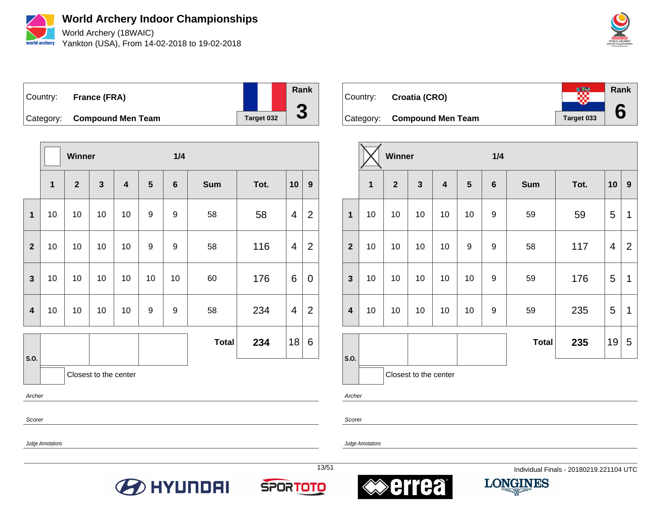

World Archery (18WAIC) Yankton (USA), From 14-02-2018 to 19-02-2018



Country: **France (FRA)** Category: **Compound Men Team** Target 032 **Rank 3**

|                         |    | Winner       |                       |                         |    | 1/4             |              |      |                         |                |
|-------------------------|----|--------------|-----------------------|-------------------------|----|-----------------|--------------|------|-------------------------|----------------|
|                         | 1  | $\mathbf{2}$ | $\mathbf{3}$          | $\overline{\mathbf{4}}$ | 5  | $6\phantom{1}6$ | <b>Sum</b>   | Tot. | 10                      | 9              |
| $\mathbf{1}$            | 10 | 10           | 10                    | 10                      | 9  | 9               | 58           | 58   | 4                       | $\overline{2}$ |
| $\overline{2}$          | 10 | 10           | 10                    | 10                      | 9  | 9               | 58           | 116  | $\overline{\mathbf{4}}$ | $\overline{2}$ |
| $\overline{\mathbf{3}}$ | 10 | 10           | 10                    | 10                      | 10 | 10              | 60           | 176  | 6                       | $\mathbf 0$    |
| $\overline{\mathbf{4}}$ | 10 | 10           | 10                    | 10                      | 9  | 9               | 58           | 234  | $\overline{4}$          | $\overline{2}$ |
|                         |    |              |                       |                         |    |                 | <b>Total</b> | 234  | 18                      | 6              |
| S.O.                    |    |              | Closest to the center |                         |    |                 |              |      |                         |                |



|                         |                       | Winner       |    |                         |    | 1/4              |              |      |    |                  |
|-------------------------|-----------------------|--------------|----|-------------------------|----|------------------|--------------|------|----|------------------|
|                         | 1                     | $\mathbf{2}$ | 3  | $\overline{\mathbf{4}}$ | 5  | $\bf 6$          | <b>Sum</b>   | Tot. | 10 | $\boldsymbol{9}$ |
| $\mathbf 1$             | 10                    | 10           | 10 | 10                      | 10 | 9                | 59           | 59   | 5  | 1                |
| $\overline{2}$          | 10                    | 10           | 10 | 10                      | 9  | 9                | 58           | 117  | 4  | $\overline{2}$   |
| $\mathbf{3}$            | 10                    | 10           | 10 | 10                      | 10 | $\boldsymbol{9}$ | 59           | 176  | 5  | 1                |
| $\overline{\mathbf{4}}$ | 10                    | 10           | 10 | 10                      | 10 | 9                | 59           | 235  | 5  | 1                |
|                         |                       |              |    |                         |    |                  | <b>Total</b> | 235  | 19 | 5                |
| S.O.                    | Closest to the center |              |    |                         |    |                  |              |      |    |                  |

Archer

Scorer

Judge Annotations

Archer

Scorer







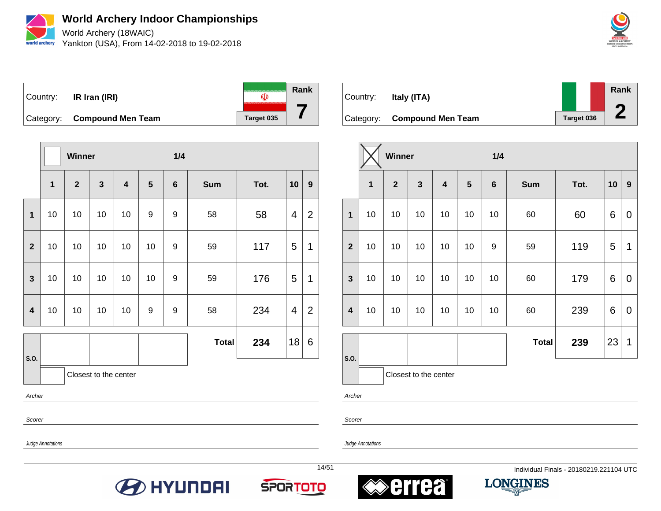

World Archery (18WAIC) Yankton (USA), From 14-02-2018 to 19-02-2018



**Rank** Country: **IR Iran (IRI)**  $\mathbf{U}$ **7** Category: **Compound Men Team** Target 035

|                         |                         | Winner         |                       |                         |                  | 1/4             |              |      |                         |                |
|-------------------------|-------------------------|----------------|-----------------------|-------------------------|------------------|-----------------|--------------|------|-------------------------|----------------|
|                         | $\overline{\mathbf{1}}$ | $\overline{2}$ | $\mathbf{3}$          | $\overline{\mathbf{4}}$ | $5\phantom{1}$   | $6\phantom{1}6$ | <b>Sum</b>   | Tot. | 10                      | 9 <sup>°</sup> |
| 1                       | 10                      | 10             | 10                    | 10                      | 9                | 9               | 58           | 58   | 4                       | $\overline{2}$ |
| $\overline{\mathbf{2}}$ | 10                      | 10             | 10                    | 10                      | 10               | 9               | 59           | 117  | 5                       | 1              |
| $\mathbf{3}$            | 10                      | 10             | 10                    | 10                      | 10               | 9               | 59           | 176  | 5                       | 1              |
| $\overline{\mathbf{4}}$ | 10                      | 10             | 10                    | 10                      | $\boldsymbol{9}$ | 9               | 58           | 234  | $\overline{\mathbf{4}}$ | $\overline{2}$ |
|                         |                         |                |                       |                         |                  |                 | <b>Total</b> | 234  | 18                      | 6              |
| S.O.                    |                         |                | Closest to the center |                         |                  |                 |              |      |                         |                |

Archer

Scorer

Judge Annotations

Judge Annotations











|                         |                         | <b>Winner</b>  |                       |    |    | 1/4 |              |      |    |                  |
|-------------------------|-------------------------|----------------|-----------------------|----|----|-----|--------------|------|----|------------------|
|                         | $\overline{\mathbf{1}}$ | $\overline{2}$ | 3                     | 4  | 5  | 6   | <b>Sum</b>   | Tot. | 10 | $\boldsymbol{9}$ |
| 1                       | 10                      | 10             | 10                    | 10 | 10 | 10  | 60           | 60   | 6  | 0                |
| $\overline{2}$          | 10                      | 10             | 10                    | 10 | 10 | 9   | 59           | 119  | 5  | 1                |
| $\mathbf{3}$            | 10                      | 10             | 10                    | 10 | 10 | 10  | 60           | 179  | 6  | 0                |
| $\overline{\mathbf{4}}$ | 10                      | 10             | 10                    | 10 | 10 | 10  | 60           | 239  | 6  | 0                |
|                         |                         |                |                       |    |    |     | <b>Total</b> | 239  | 23 | $\mathbf 1$      |
| S.O.                    |                         |                | Closest to the center |    |    |     |              |      |    |                  |

Archer

Country: **Italy (ITA)**

 $\overline{\phantom{a}}$ 

Scorer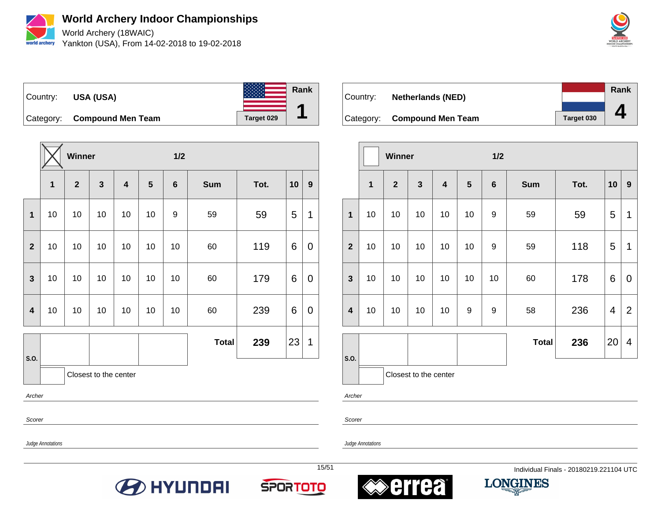

World Archery (18WAIC) Yankton (USA), From 14-02-2018 to 19-02-2018



**Rank**

**4**



|                         |              | Winner         |                       |                         |    | 1/2     |              |      |    |                  |
|-------------------------|--------------|----------------|-----------------------|-------------------------|----|---------|--------------|------|----|------------------|
|                         | $\mathbf{1}$ | $\overline{2}$ | $\mathbf{3}$          | $\overline{\mathbf{4}}$ | 5  | $\bf 6$ | <b>Sum</b>   | Tot. | 10 | $\boldsymbol{9}$ |
| $\mathbf{1}$            | 10           | 10             | 10                    | 10                      | 10 | 9       | 59           | 59   | 5  | 1                |
| $\overline{2}$          | 10           | 10             | 10                    | 10                      | 10 | 10      | 60           | 119  | 6  | 0                |
| $\mathbf{3}$            | 10           | 10             | 10                    | 10                      | 10 | 10      | 60           | 179  | 6  | 0                |
| $\overline{\mathbf{4}}$ | 10           | 10             | 10                    | 10                      | 10 | 10      | 60           | 239  | 6  | 0                |
|                         |              |                |                       |                         |    |         | <b>Total</b> | 239  | 23 | 1                |
| S.O.                    |              |                | Closest to the center |                         |    |         |              |      |    |                  |

Archer

Scorer

Scorer

Archer

Judge Annotations

Judge Annotations







Country: **Netherlands (NED)**



| Category:    |                |   | <b>Compound Men Team</b> |   |     |            | Target 030 |  |
|--------------|----------------|---|--------------------------|---|-----|------------|------------|--|
|              | <b>Winner</b>  |   |                          |   | 1/2 |            |            |  |
| $\mathbf{1}$ | $\overline{2}$ | 3 | $\boldsymbol{4}$         | 5 | 6   | <b>Sum</b> | Tot.       |  |

|                         |              | <b>AAIIIIIAI</b> |                         |                         |    | 17Z              |              |      |    |                |
|-------------------------|--------------|------------------|-------------------------|-------------------------|----|------------------|--------------|------|----|----------------|
|                         | $\mathbf{1}$ | $\overline{2}$   | $\overline{\mathbf{3}}$ | $\overline{\mathbf{4}}$ | 5  | $\boldsymbol{6}$ | <b>Sum</b>   | Tot. | 10 | 9              |
| $\mathbf{1}$            | 10           | 10               | 10                      | 10                      | 10 | 9                | 59           | 59   | 5  | 1              |
| $\overline{2}$          | 10           | 10               | 10                      | 10                      | 10 | 9                | 59           | 118  | 5  | 1              |
| $\mathbf{3}$            | 10           | 10               | 10                      | 10                      | 10 | 10               | 60           | 178  | 6  | 0              |
| $\overline{\mathbf{4}}$ | 10           | 10               | 10                      | 10                      | 9  | 9                | 58           | 236  | 4  | $\overline{2}$ |
|                         |              |                  |                         |                         |    |                  | <b>Total</b> | 236  | 20 | 4              |
| S.O.                    |              |                  | Closest to the center   |                         |    |                  |              |      |    |                |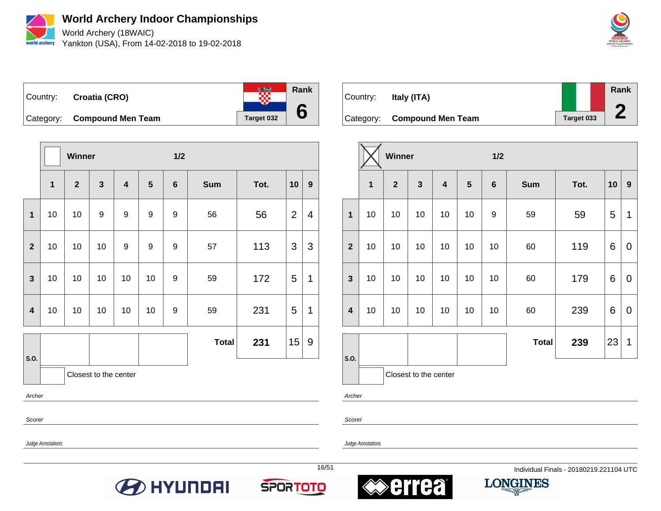

**World Archery Indoor Championships** World Archery (18WAIC)

Yankton (USA), From 14-02-2018 to 19-02-2018



**Rank**  $\frac{1}{2}$ Country: **Croatia (CRO) 6** Category: **Compound Men Team** Target 032

|                         |    | Winner       |                       |                         |                  | 1/2             |              |      |                |                  |  |
|-------------------------|----|--------------|-----------------------|-------------------------|------------------|-----------------|--------------|------|----------------|------------------|--|
|                         | 1  | $\mathbf{2}$ | $\mathbf{3}$          | $\overline{\mathbf{4}}$ | 5                | $6\phantom{1}6$ | <b>Sum</b>   | Tot. | 10             | $\boldsymbol{9}$ |  |
| $\mathbf{1}$            | 10 | 10           | 9                     | 9                       | $\boldsymbol{9}$ | $9$             | 56           | 56   | $\overline{2}$ | 4                |  |
| $\mathbf{2}$            | 10 | 10           | 10                    | 9                       | 9                | 9               | 57           | 113  | 3              | 3                |  |
| $\overline{\mathbf{3}}$ | 10 | 10           | 10                    | 10                      | 10               | $9$             | 59           | 172  | 5              | 1                |  |
| $\overline{\mathbf{4}}$ | 10 | 10           | 10                    | 10                      | 10               | 9               | 59           | 231  | 5              | 1                |  |
|                         |    |              |                       |                         |                  |                 | <b>Total</b> | 231  | 15             | 9                |  |
| S.O.                    |    |              | Closest to the center |                         |                  |                 |              |      |                |                  |  |
| Archer                  |    |              |                       |                         |                  |                 |              |      |                |                  |  |

Scorer

Scorer

Judge Annotations

Judge Annotations

**BEITH AND HALL** 







16/51 Individual Finals - 20180219.221104 UTC



|                         |    | Winner       |                       |    |    | 1/2             |              |      |    |                  |
|-------------------------|----|--------------|-----------------------|----|----|-----------------|--------------|------|----|------------------|
|                         | 1  | $\mathbf{2}$ | 3                     | 4  | 5  | $6\phantom{1}6$ | <b>Sum</b>   | Tot. | 10 | $\boldsymbol{9}$ |
| 1                       | 10 | 10           | 10                    | 10 | 10 | 9               | 59           | 59   | 5  | 1                |
| $\overline{2}$          | 10 | 10           | 10                    | 10 | 10 | 10              | 60           | 119  | 6  | $\mathbf 0$      |
| $\mathbf{3}$            | 10 | 10           | 10                    | 10 | 10 | 10              | 60           | 179  | 6  | 0                |
| $\overline{\mathbf{4}}$ | 10 | 10           | 10                    | 10 | 10 | 10              | 60           | 239  | 6  | 0                |
|                         |    |              |                       |    |    |                 | <b>Total</b> | 239  | 23 | 1                |
| S.O.                    |    |              | Closest to the center |    |    |                 |              |      |    |                  |

Archer

Country: **Italy (ITA)**

 $\overline{\phantom{a}}$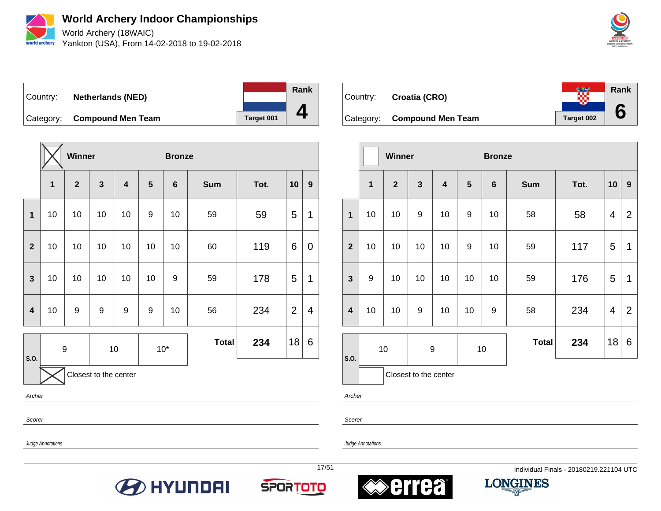

World Archery (18WAIC) Yankton (USA), From 14-02-2018 to 19-02-2018



Country: **Netherlands (NED)** Category: **Compound Men Team Target 001 Rank 4**

|                         |                       | <b>Winner</b> |                         |    |    | <b>Bronze</b>   |            |      |                |                  |
|-------------------------|-----------------------|---------------|-------------------------|----|----|-----------------|------------|------|----------------|------------------|
|                         | 1                     | $\mathbf{2}$  | $\overline{\mathbf{3}}$ | 4  | 5  | $6\phantom{1}6$ | <b>Sum</b> | Tot. | 10             | $\boldsymbol{9}$ |
| $\overline{\mathbf{1}}$ | 10                    | 10            | 10                      | 10 | 9  | 10              | 59         | 59   | 5              | $\mathbf 1$      |
| $\overline{2}$          | 10                    | 10            | 10                      | 10 | 10 | 10              | 60         | 119  | 6              | 0                |
| $\mathbf{3}$            | 10                    | 10            | 10                      | 10 | 10 | 9               | 59         | 178  | 5              | 1                |
| $\overline{\mathbf{4}}$ | 10                    | 9             | 9                       | 9  | 9  | 10              | 56         | 234  | $\overline{2}$ | 4                |
|                         | $\boldsymbol{9}$      |               | $10$<br>$10*$           |    |    | <b>Total</b>    | 234        | 18   | 6              |                  |
| S.O.                    | Closest to the center |               |                         |    |    |                 |            |      |                |                  |

Archer

Scorer

Scorer

Archer

Judge Annotations

Judge Annotations







Country: **Croatia (CRO)**

 $\overline{a}$ 





|                         |                         | Winner         |                       | <b>Bronze</b>           |                  |                 |              |      |                |                  |
|-------------------------|-------------------------|----------------|-----------------------|-------------------------|------------------|-----------------|--------------|------|----------------|------------------|
|                         | $\overline{\mathbf{1}}$ | $\overline{2}$ | 3                     | $\overline{\mathbf{r}}$ | $5\phantom{1}$   | $6\phantom{1}6$ | <b>Sum</b>   | Tot. | 10             | $\boldsymbol{9}$ |
| $\overline{\mathbf{1}}$ | 10                      | 10             | 9                     | 10                      | $\boldsymbol{9}$ | 10              | 58           | 58   | 4              | $\overline{2}$   |
| $\overline{\mathbf{2}}$ | 10                      | 10             | 10                    | 10                      | 9                | 10              | 59           | 117  | 5              | 1                |
| $\mathbf{3}$            | 9                       | 10             | 10                    | 10                      | 10               | 10              | 59           | 176  | 5              | 1                |
| $\overline{\mathbf{4}}$ | 10                      | 10             | 9                     | 10                      | 10               | 9               | 58           | 234  | $\overline{4}$ | 2                |
| S.O.                    |                         | 10             |                       | 9                       |                  | 10              | <b>Total</b> | 234  | 18             | 6                |
|                         |                         |                | Closest to the center |                         |                  |                 |              |      |                |                  |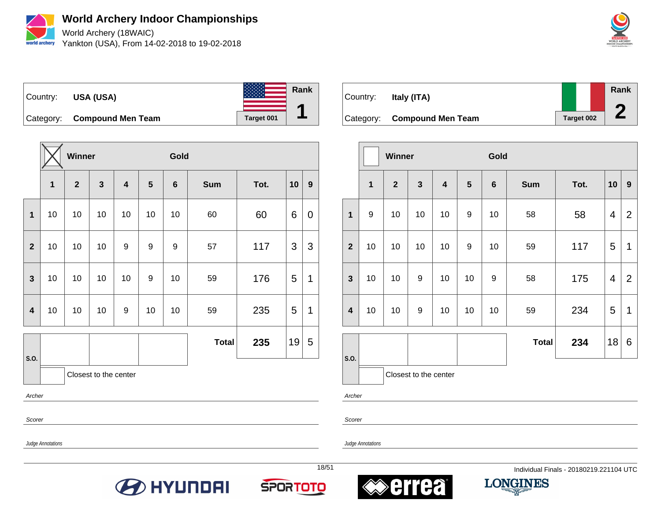

World Archery (18WAIC) Yankton (USA), From 14-02-2018 to 19-02-2018



Country: **USA (USA)** Category: **Compound Men Team Target 001 Rank 1**

|                         |                | Winner         |                       |    |    | Gold            |              |      |    |             |
|-------------------------|----------------|----------------|-----------------------|----|----|-----------------|--------------|------|----|-------------|
|                         | 1              | $\overline{2}$ | $\mathbf{3}$          | 4  | 5  | $6\phantom{1}6$ | <b>Sum</b>   | Tot. | 10 | 9           |
| $\overline{\mathbf{1}}$ | 10             | 10             | 10                    | 10 | 10 | 10              | 60           | 60   | 6  | $\mathbf 0$ |
| $\mathbf{2}$            | 10<br>10<br>10 |                |                       |    | 9  | 9               | 57           | 117  | 3  | 3           |
| $\mathbf{3}$            | 10             | 10             | 10                    | 10 | 9  | 10              | 59           | 176  | 5  | 1           |
| $\overline{\mathbf{4}}$ | 10             | 10             | 10                    | 9  | 10 | 10              | 59           | 235  | 5  | 1           |
| S.O.                    |                |                |                       |    |    |                 | <b>Total</b> | 235  | 19 | 5           |
|                         |                |                | Closest to the center |    |    |                 |              |      |    |             |
| Archer                  |                |                |                       |    |    |                 |              |      |    |             |

Scorer

Judge Annotations

Judge Annotations











|                         |              | Winner         |                       |                         |                | Gold           |              |      |    |                |
|-------------------------|--------------|----------------|-----------------------|-------------------------|----------------|----------------|--------------|------|----|----------------|
|                         | $\mathbf{1}$ | $\overline{2}$ | $\mathbf{3}$          | $\overline{\mathbf{4}}$ | $5\phantom{1}$ | $6\phantom{1}$ | <b>Sum</b>   | Tot. | 10 | 9              |
| $\mathbf{1}$            | 9            | 10             | 10                    | 10                      | 9              | 10             | 58           | 58   | 4  | $\overline{2}$ |
| $\overline{2}$          | 10           | 10             | 10                    | 10                      | 9              | 10             | 59           | 117  | 5  | 1              |
| $\mathbf{3}$            | 10           | 10             | 9                     | 10                      | 10             | 9              | 58           | 175  | 4  | $\overline{2}$ |
| $\overline{\mathbf{4}}$ | 10           | 10             | 9                     | 10                      | 10             | 10             | 59           | 234  | 5  | 1              |
|                         |              |                |                       |                         |                |                | <b>Total</b> | 234  | 18 | 6              |
| S.O.                    |              |                | Closest to the center |                         |                |                |              |      |    |                |

Archer

Scorer

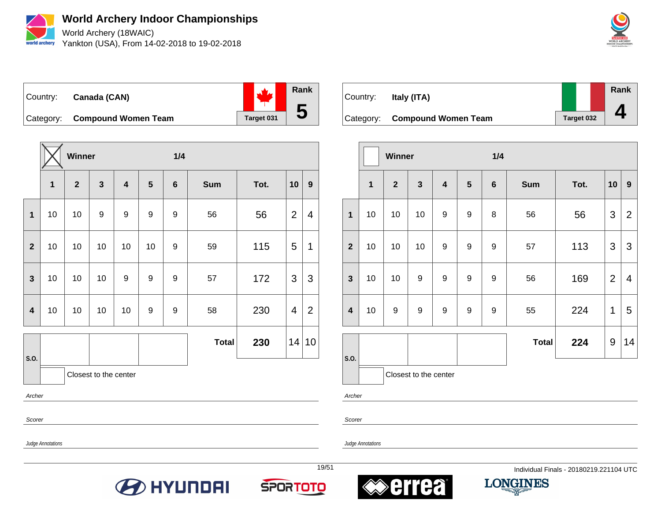

**World Archery Indoor Championships** World Archery (18WAIC)

Yankton (USA), From 14-02-2018 to 19-02-2018



Country: **Canada (CAN)** Category: **Compound Women Team** Target 031 **Rank 5**

**Winner 1/4 1 2 3 4 5 6 Sum Tot. 10 9 1** 10 10 9 9 9 9 56 56 2 4 **2** | 10 | 10 | 10 | 10 | 9 | 59 | 115 | 5 | 1 **3** | 10 | 10 | 10 | 9 | 9 | 9 | 57 | 172 | 3 | 3 **4** | 10 | 10 | 10 | 10 | 9 | 9 | 58 | 230 | 4 | 2 **S.O. Total 230** 14 10 Closest to the center

Archer

Scorer

Scorer

Archer

Judge Annotations

Judge Annotations









| Country: | Italy (ITA)                   |            | Rank |
|----------|-------------------------------|------------|------|
|          | Category: Compound Women Team | Target 032 |      |

|                         |                         | Winner         |                         |                         |                 | 1/4             |              |      |                |                          |  |  |
|-------------------------|-------------------------|----------------|-------------------------|-------------------------|-----------------|-----------------|--------------|------|----------------|--------------------------|--|--|
|                         | $\overline{\mathbf{1}}$ | $\overline{2}$ | $\overline{\mathbf{3}}$ | $\overline{\mathbf{4}}$ | $5\phantom{.0}$ | $6\phantom{1}6$ | <b>Sum</b>   | Tot. | 10             | $\mathbf{9}$             |  |  |
| 1                       | 10                      | 10             | 10                      | 9                       | $\mathsf g$     | 8               | 56           | 56   | 3              | $\overline{2}$           |  |  |
| $\overline{\mathbf{2}}$ | 10                      | 10             | 10                      | 9                       | 9               | 9               | 57           | 113  | 3              | 3                        |  |  |
| $\mathbf{3}$            | 10                      | 10             | 9                       | 9                       | 9               | 9               | 56           | 169  | $\overline{2}$ | $\overline{\mathcal{A}}$ |  |  |
| $\overline{\mathbf{4}}$ | 10                      | 9              | 9                       | 9                       | 9               | 9               | 55           | 224  | 1              | 5                        |  |  |
|                         |                         |                |                         |                         |                 |                 | <b>Total</b> | 224  | 9              | 14                       |  |  |
| S.O.                    |                         |                | Closest to the center   |                         |                 |                 |              |      |                |                          |  |  |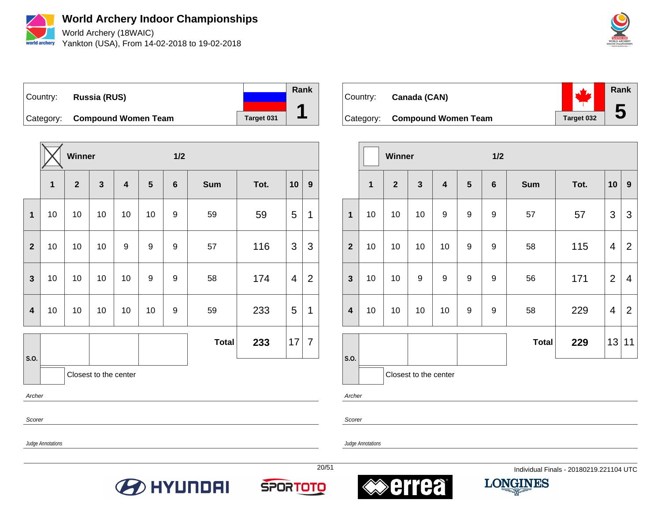

World Archery (18WAIC) Yankton (USA), From 14-02-2018 to 19-02-2018



Country: **Russia (RUS)** Category: **Compound Women Team** Target 031 **Rank 1**

**Winner 1/2 1 2 3 4 5 6 Sum Tot. 10 9 1** | 10 | 10 | 10 | 10 | 9 | 59 | 59 | 5 | 1 **2** | 10 | 10 | 10 | 9 | 9 | 9 | 57 | 116 | 3 | 3 **3** | 10 | 10 | 10 | 9 | 9 | 9 | 58 | 174 | 4 | 2 **4** | 10 | 10 | 10 | 10 | 9 | 59 | 233 | 5 | 1 **S.O. Total 233** 17 7 Closest to the center

Archer

Scorer

Judge Annotations







Country: **Canada (CAN)**





|                |    | Winner         |                       |                  | 1/2 |                  |              |      |                |                |
|----------------|----|----------------|-----------------------|------------------|-----|------------------|--------------|------|----------------|----------------|
|                | 1  | $\overline{2}$ | 3                     | 4                | 5   | $6\phantom{1}$   | <b>Sum</b>   | Tot. | 10             | 9              |
| 1              | 10 | 10             | 10                    | $\boldsymbol{9}$ | 9   | $\boldsymbol{9}$ | 57           | 57   | 3              | 3              |
| $\overline{2}$ | 10 | 10             | 10                    | 10               | 9   | 9                | 58           | 115  | 4              | $\overline{2}$ |
| $\mathbf{3}$   | 10 | 10             | $\boldsymbol{9}$      | 9                | 9   | $\boldsymbol{9}$ | 56           | 171  | $\overline{2}$ | 4              |
| 4              | 10 | 10             | 10                    | 10               | 9   | 9                | 58           | 229  | $\overline{4}$ | $\overline{2}$ |
|                |    |                |                       |                  |     |                  | <b>Total</b> | 229  | 13             | 11             |
| S.O.           |    |                | Closest to the center |                  |     |                  |              |      |                |                |

Archer

Scorer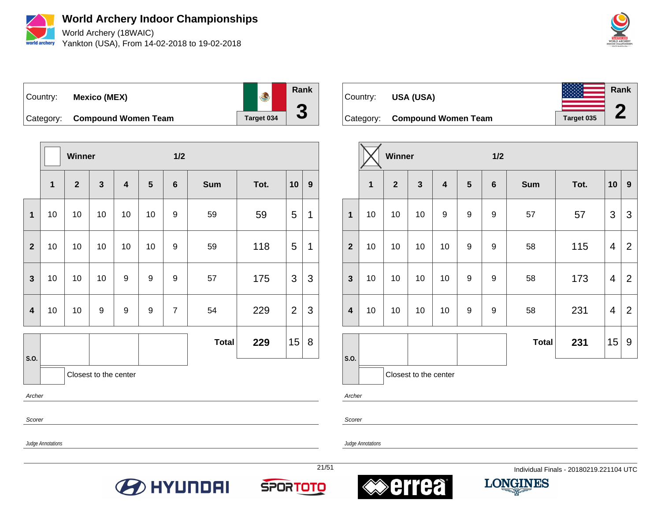

**World Archery Indoor Championships** World Archery (18WAIC) Yankton (USA), From 14-02-2018 to 19-02-2018



**Rank** Country: **Mexico (MEX) 3** Category: **Compound Women Team** Team Target 034

|                         |                         | Winner       |    |                         |                  | 1/2            |              |      |                |                |
|-------------------------|-------------------------|--------------|----|-------------------------|------------------|----------------|--------------|------|----------------|----------------|
|                         | $\overline{\mathbf{1}}$ | $\mathbf{2}$ | 3  | $\overline{\mathbf{4}}$ | 5                | $6\phantom{1}$ | <b>Sum</b>   | Tot. | 10             | $9\phantom{.}$ |
| $\mathbf{1}$            | 10                      | 10           | 10 | 10                      | 10               | 9              | 59           | 59   | 5              | 1              |
| $\overline{2}$          | 10                      | 10           | 10 | 10                      | 10               | 9              | 59           | 118  | 5              | 1              |
| $\mathbf{3}$            | 10                      | 10           | 10 | 9                       | 9                | 9              | 57           | 175  | 3              | 3              |
| $\overline{\mathbf{4}}$ | 10                      | 10           | 9  | 9                       | $\boldsymbol{9}$ | $\overline{7}$ | 54           | 229  | $\overline{2}$ | 3              |
|                         |                         |              |    |                         |                  |                | <b>Total</b> | 229  | 15             | 8              |
| S.O.                    | Closest to the center   |              |    |                         |                  |                |              |      |                |                |

Archer

Scorer

Judge Annotations

Judge Annotations

**B** HYUNDAI









Category: **Compound Women Team** Target 035

|                         |             | Winner       |              |                         |                | 1/2     |              |      |                         |                  |
|-------------------------|-------------|--------------|--------------|-------------------------|----------------|---------|--------------|------|-------------------------|------------------|
|                         | $\mathbf 1$ | $\mathbf{2}$ | $\mathbf{3}$ | $\overline{\mathbf{4}}$ | $5\phantom{1}$ | $\bf 6$ | <b>Sum</b>   | Tot. | 10                      | $\boldsymbol{9}$ |
| $\mathbf{1}$            | 10          | 10           | 10           | 9                       | 9              | 9       | 57           | 57   | 3                       | $\mathfrak{B}$   |
| $\overline{2}$          | 10          | 10           | 10           | 10                      | 9              | 9       | 58           | 115  | $\overline{\mathbf{4}}$ | $\overline{2}$   |
| $\mathbf{3}$            | 10          | 10           | 10           | 10                      | 9              | 9       | 58           | 173  | 4                       | $\overline{2}$   |
| $\overline{\mathbf{4}}$ | 10          | $10$         | 10           | 10                      | 9              | 9       | 58           | 231  | 4                       | $\overline{2}$   |
|                         |             |              |              |                         |                |         | <b>Total</b> | 231  | 15                      | 9                |
| S.O.                    |             |              |              |                         |                |         |              |      |                         |                  |

Closest to the center

Archer

Scorer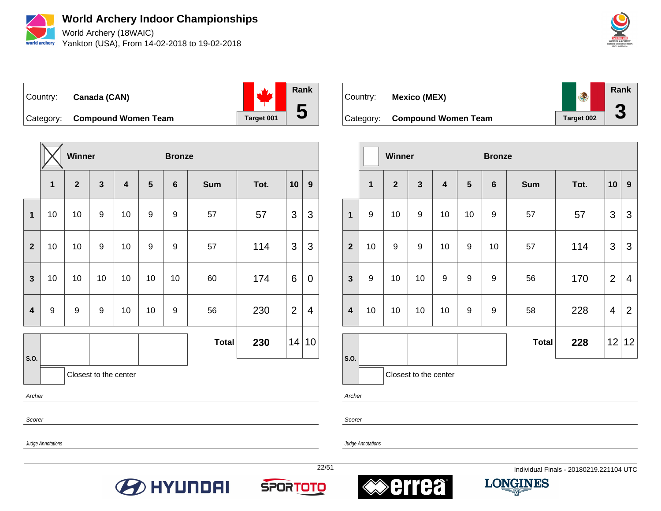

**World Archery Indoor Championships** World Archery (18WAIC)

Yankton (USA), From 14-02-2018 to 19-02-2018



Country: **Canada (CAN)** Category: **Compound Women Team** Target 001 **Rank 5**

**Winner Bronze 2 3 4 5 6 Sum Tot. 10 9** | 10 | 10 | 9 | 9 | 9 | 9 | 57 | 7 | 3 | 3 | 10 | 10 | 9 | 9 | 9 | 9 | 9 | 9 | 114 | 3 | 3 | 10 | 10 | 10 | 10 | 10 | 10 | 60 | 174 | 6 | 0 | 9 | 9 | 9 | 10 | 10 | 9 | 56 | 230 | 2 | 4 **S.O. Total 230** 14 10

Closest to the center

Archer

Scorer

Judge Annotations

Judge Annotations







Country: **Mexico (MEX)**

 $\overline{a}$ 





|                         |              | Winner       |                       |                         | <b>Bronze</b>    |                  |              |      |                |                  |
|-------------------------|--------------|--------------|-----------------------|-------------------------|------------------|------------------|--------------|------|----------------|------------------|
|                         | $\mathbf{1}$ | $\mathbf{2}$ | 3                     | $\overline{\mathbf{4}}$ | $5\phantom{1}$   | $6\phantom{1}$   | <b>Sum</b>   | Tot. | 10             | $\boldsymbol{9}$ |
| $\mathbf{1}$            | 9            | 10           | 9                     | 10                      | 10               | $\boldsymbol{9}$ | 57           | 57   | 3              | 3                |
| $\overline{2}$          | 10           | 9            | 9                     | 10                      | $\boldsymbol{9}$ | 10               | 57           | 114  | 3              | 3                |
| $\mathbf{3}$            | 9            | 10           | 10                    | 9                       | 9                | 9                | 56           | 170  | $\overline{2}$ | 4                |
| $\overline{\mathbf{4}}$ | 10           | 10           | 10                    | 10                      | 9                | 9                | 58           | 228  | 4              | $\overline{2}$   |
|                         |              |              |                       |                         |                  |                  | <b>Total</b> | 228  | 12             | 12               |
| S.O.                    |              |              | Closest to the center |                         |                  |                  |              |      |                |                  |

Archer

Scorer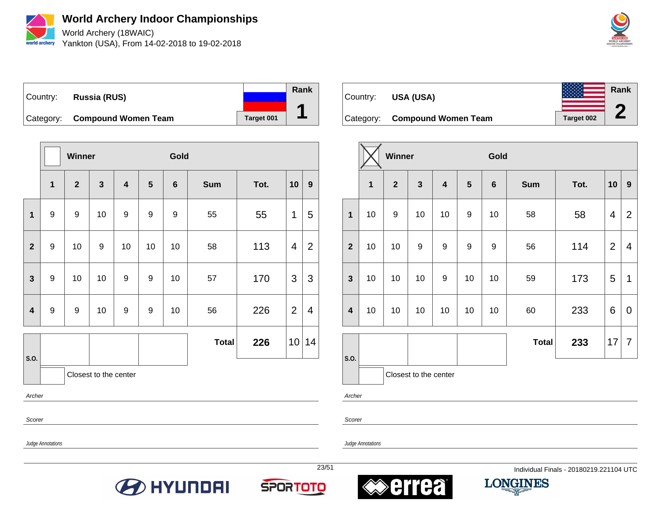

World Archery (18WAIC) Yankton (USA), From 14-02-2018 to 19-02-2018



Country: **Russia (RUS)** Category: **Compound Women Team** Target 001 **Rank 1**

|                         |                  | Winner       |                       |                  |                  | Gold            |              |      |                |                |
|-------------------------|------------------|--------------|-----------------------|------------------|------------------|-----------------|--------------|------|----------------|----------------|
|                         | 1                | $\mathbf{2}$ | $\mathbf{3}$          | 4                | 5                | $6\phantom{1}6$ | <b>Sum</b>   | Tot. | 10             | $9^{\circ}$    |
| $\overline{\mathbf{1}}$ | 9                | 9            | 10                    | 9                | $\boldsymbol{9}$ | 9               | 55           | 55   | 1              | 5              |
| $\overline{2}$          | 9                | 10           | 9                     | 10               | 10               | 10              | 58           | 113  | $\overline{4}$ | $\overline{2}$ |
| $\mathbf{3}$            | $\boldsymbol{9}$ | 10           | 10                    | 9                | $\boldsymbol{9}$ | 10              | 57           | 170  | $\mathfrak{S}$ | 3              |
| $\overline{\mathbf{4}}$ | $\boldsymbol{9}$ | 9            | 10                    | $\boldsymbol{9}$ | $\boldsymbol{9}$ | 10              | 56           | 226  | $\overline{2}$ | 4              |
|                         |                  |              |                       |                  |                  |                 | <b>Total</b> | 226  | 10             | 14             |
| S.O.                    |                  |              | Closest to the center |                  |                  |                 |              |      |                |                |
| Archer                  |                  |              |                       |                  |                  |                 |              |      |                |                |

Country: **USA (USA)** Category: **Compound Women Team** Target 002 **Rank 2**

|                         |    | <b>Winner</b>  |                       |    |         | Gold            |              |      |                |                |
|-------------------------|----|----------------|-----------------------|----|---------|-----------------|--------------|------|----------------|----------------|
|                         | 1  | $\overline{2}$ | $\mathbf{3}$          | 4  | $\bf 5$ | $6\phantom{1}6$ | <b>Sum</b>   | Tot. | 10             | 9              |
| $\mathbf{1}$            | 10 | 9              | 10                    | 10 | 9       | 10              | 58           | 58   | 4              | $\overline{2}$ |
| $\overline{2}$          | 10 | 10             | $\boldsymbol{9}$      | 9  | 9       | 9               | 56           | 114  | $\overline{2}$ | 4              |
| 3                       | 10 | 10             | 10                    | 9  | 10      | 10              | 59           | 173  | 5              | 1              |
| $\overline{\mathbf{4}}$ | 10 | 10             | 10                    | 10 | 10      | 10              | 60           | 233  | 6              | 0              |
|                         |    |                |                       |    |         |                 | <b>Total</b> | 233  | 17             | $\overline{7}$ |
| S.O.                    |    |                | Closest to the center |    |         |                 |              |      |                |                |

Archer

Scorer

Judge Annotations

Scorer

Judge Annotations







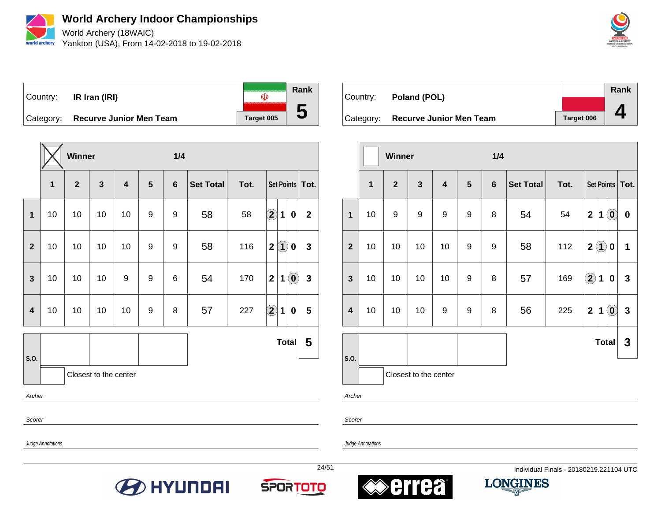

World Archery (18WAIC) Yankton (USA), From 14-02-2018 to 19-02-2018



**Rank** Country: **IR Iran (IRI)**  $\overline{\mathbb{Q}}$ **5** Category: **Recurve Junior Men Team** Target 005

|                         |                       | Winner       |    |    |   | 1/4 |                  |      |                                                             |                  |  |  |
|-------------------------|-----------------------|--------------|----|----|---|-----|------------------|------|-------------------------------------------------------------|------------------|--|--|
|                         | 1                     | $\mathbf{2}$ | 3  | 4  | 5 | 6   | <b>Set Total</b> | Tot. | Set Points                                                  | Tot.             |  |  |
| $\mathbf{1}$            | 10                    | 10           | 10 | 10 | 9 | 9   | 58               | 58   | $\bf{Q}$<br>$\mathbf{1}$<br>$\pmb{0}$                       | $\boldsymbol{2}$ |  |  |
| $\overline{\mathbf{2}}$ | 10                    | 10           | 10 | 10 | 9 | 9   | 58               | 116  | 2(1)<br>0                                                   | $\mathbf{3}$     |  |  |
| 3                       | 10                    | 10           | 10 | 9  | 9 | 6   | 54               | 170  | $\left( \mathbf{0}\right)$<br>$\overline{2}$<br>$\mathbf 1$ | $\mathbf{3}$     |  |  |
| $\overline{\mathbf{4}}$ | 10                    | 10           | 10 | 10 | 9 | 8   | 57               | 227  | $\bigcirc \!\! 2$<br>$\mathbf 1$<br>0                       | 5                |  |  |
|                         |                       |              |    |    |   |     |                  |      | <b>Total</b>                                                | 5                |  |  |
| S.O.                    | Closest to the center |              |    |    |   |     |                  |      |                                                             |                  |  |  |
| Archer                  |                       |              |    |    |   |     |                  |      |                                                             |                  |  |  |
| Scorer                  |                       |              |    |    |   |     |                  |      |                                                             |                  |  |  |

Country: **Poland (POL)** Category: **Recurve Junior Men Team** Target 006 **Rank 4**

|                |              | <b>Winner</b> |                       |    |                | 1/4            |                  |      |                  |                        |                                                         |              |
|----------------|--------------|---------------|-----------------------|----|----------------|----------------|------------------|------|------------------|------------------------|---------------------------------------------------------|--------------|
|                | $\mathbf{1}$ | $\mathbf{2}$  | $\mathbf{3}$          | 4  | $5\phantom{1}$ | $6\phantom{1}$ | <b>Set Total</b> | Tot. |                  |                        | Set Points                                              | Tot.         |
| $\mathbf{1}$   | 10           | 9             | 9                     | 9  | 9              | 8              | 54               | 54   | $\boldsymbol{2}$ | 1                      | $\left( \begin{matrix} \mathbf{0} \end{matrix} \right)$ | $\pmb{0}$    |
| $\overline{2}$ | 10           | 10            | 10                    | 10 | 9              | 9              | 58               | 112  | $\boldsymbol{2}$ | $\left( \bf{1}\right)$ | $\bf{0}$                                                | 1            |
| $\mathbf{3}$   | 10           | 10            | 10                    | 10 | 9              | 8              | 57               | 169  | $\mathbf 2$      | 1                      | $\bf{0}$                                                | $\mathbf{3}$ |
| 4              | 10           | 10            | 10                    | 9  | 9              | 8              | 56               | 225  | $\mathbf{2}$     | 1                      | $\left  \textbf{0} \right $                             | $\mathbf 3$  |
|                |              |               |                       |    |                |                |                  |      |                  | <b>Total</b>           |                                                         | 3            |
| S.O.           |              |               | Closest to the center |    |                |                |                  |      |                  |                        |                                                         |              |

Archer

Scorer

Judge Annotations









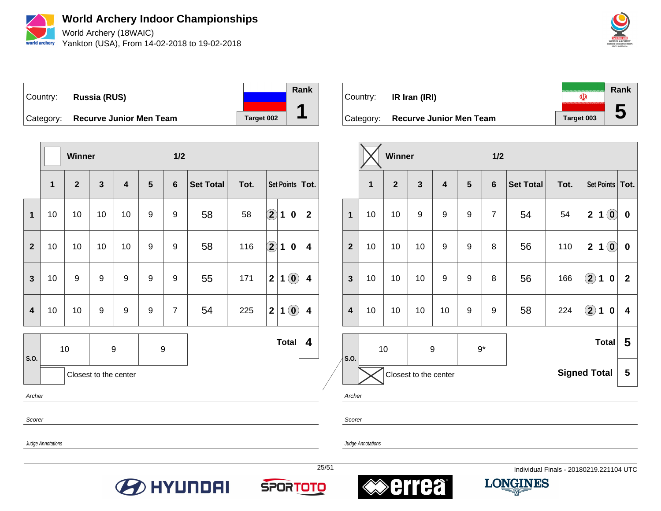

World Archery (18WAIC) Yankton (USA), From 14-02-2018 to 19-02-2018



Country: **Russia (RUS)** Category: **Recurve Junior Men Team** Target 002 **Rank 1**

|                         |                       | Winner       |              |                                                                                 |   | 1/2            |                                                     |      |              |                                                          |                         |  |
|-------------------------|-----------------------|--------------|--------------|---------------------------------------------------------------------------------|---|----------------|-----------------------------------------------------|------|--------------|----------------------------------------------------------|-------------------------|--|
|                         | 1                     | $\mathbf{2}$ | $\mathbf{3}$ | $\overline{\mathbf{4}}$                                                         | 5 | $6\phantom{1}$ | <b>Set Total</b>                                    | Tot. |              |                                                          | Set Points   Tot.       |  |
| $\mathbf 1$             | 10                    | 10           | 10           | 10                                                                              | 9 | 9              | 58                                                  | 58   | $\bf \Omega$ | $\mathbf{1}$<br>$\bf{0}$                                 | $\mathbf{2}$            |  |
| $\overline{\mathbf{2}}$ | 10                    | 10           | 10           | $\bigcirc \!\! \! 2$<br>58<br>116<br>9<br>9<br>10<br>4<br>1<br>$\boldsymbol{0}$ |   |                |                                                     |      |              |                                                          |                         |  |
| $\mathbf{3}$            | 10                    | 9            | 9            | 9                                                                               | 9 | 9              | $\odot$<br>$\mathbf{2}$<br>55<br>171<br>$\mathbf 1$ |      |              |                                                          |                         |  |
| $\overline{\mathbf{4}}$ | 10                    | 10           | 9            | 9                                                                               | 9 | $\overline{7}$ | 54                                                  | 225  | $\mathbf{2}$ | $\textcolor{black}{\widehat{\mathbf{0}}}$<br>$\mathbf 1$ | $\overline{\mathbf{4}}$ |  |
| S.O.                    |                       | 10           | 9            |                                                                                 | 9 |                | <b>Total</b>                                        |      |              |                                                          |                         |  |
|                         | Closest to the center |              |              |                                                                                 |   |                |                                                     |      |              |                                                          |                         |  |
| Archer                  |                       |              |              |                                                                                 |   |                |                                                     |      |              |                                                          |                         |  |

**Rank** Country: **IR Iran (IRI)**  $\overline{\mathbb{Q}}$ **5** Category: **Recurve Junior Men Team** Target 003

|                                                                                                                                       |              |              |                         |   | 1/2              |                  |      |                        |   |                                                         |                   |
|---------------------------------------------------------------------------------------------------------------------------------------|--------------|--------------|-------------------------|---|------------------|------------------|------|------------------------|---|---------------------------------------------------------|-------------------|
| 1                                                                                                                                     | $\mathbf{2}$ | $\mathbf{3}$ | $\overline{\mathbf{4}}$ | 5 | $6\phantom{1}6$  | <b>Set Total</b> | Tot. |                        |   |                                                         | Tot.              |
| 10                                                                                                                                    | 10           | 9            | 9                       | 9 | $\overline{7}$   | 54               | 54   | $\mathbf 2$            | 1 | $\left( \begin{matrix} \textbf{0} \end{matrix} \right)$ | $\mathbf 0$       |
| 110<br>$\overline{\mathbf{2}}$<br>$\left( \begin{matrix} \textbf{0} \end{matrix} \right)$<br>9<br>9<br>8<br>56<br>10<br>10<br>10<br>1 |              |              |                         |   |                  |                  |      | $\mathbf 0$            |   |                                                         |                   |
| 10                                                                                                                                    | 10           | 10           | 9                       | 9 | 8                | 56               | 166  |                        | 1 | $\mathbf 0$                                             | $\mathbf{2}$      |
| 10                                                                                                                                    | 10           | 10           | 10                      | 9 | $\boldsymbol{9}$ | 58               | 224  | $\widehat{\mathbf{2}}$ | 1 | 0                                                       | 4                 |
| <b>Total</b><br>10<br>$9*$<br>9<br>S.O.                                                                                               |              |              |                         |   |                  |                  |      |                        |   | 5                                                       |                   |
| <b>Signed Total</b><br>Closest to the center                                                                                          |              |              |                         |   |                  |                  |      |                        |   | 5                                                       |                   |
|                                                                                                                                       |              |              | Winner                  |   |                  |                  |      |                        |   | $\widehat{\mathbf{2}}$                                  | <b>Set Points</b> |

Scorer

Judge Annotations

Scorer







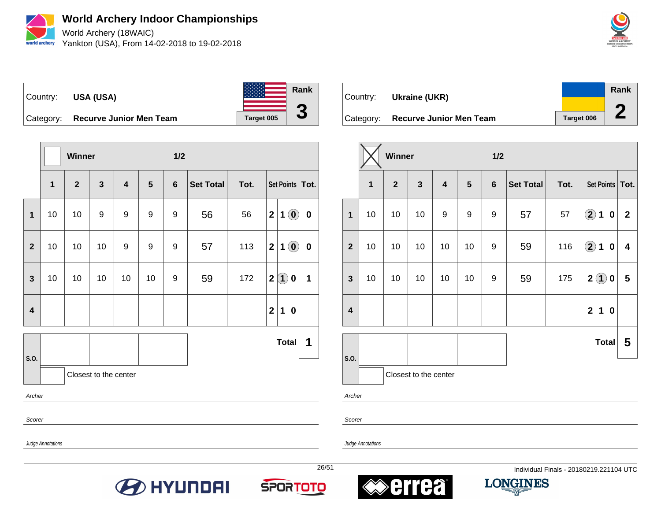

World Archery (18WAIC) Yankton (USA), From 14-02-2018 to 19-02-2018





|                         |                   | Winner         |                       |                         |    | 1/2            |                  |      |                  |                   |                                                |                   |
|-------------------------|-------------------|----------------|-----------------------|-------------------------|----|----------------|------------------|------|------------------|-------------------|------------------------------------------------|-------------------|
|                         | 1                 | $\overline{2}$ | $\mathbf{3}$          | $\overline{\mathbf{4}}$ | 5  | $6\phantom{1}$ | <b>Set Total</b> | Tot. |                  |                   |                                                | Set Points   Tot. |
| 1                       | 10                | 10             | 9                     | 9                       | 9  | 9              | 56               | 56   | $\boldsymbol{2}$ | 1                 | $\left( \begin{matrix} 0 \end{matrix} \right)$ | $\bf{0}$          |
| $\overline{2}$          | 10                | 10             | 10                    | 9                       | 9  | 9              | 57               | 113  | $\mathbf 2$      | 1                 | $\mathbf{0}$                                   | $\boldsymbol{0}$  |
| $\mathbf{3}$            | 10                | 10             | 10                    | 10                      | 10 | 9              | 59               | 172  | $\mathbf 2$      | $\left( 1\right)$ | $\pmb{0}$                                      | 1                 |
| $\overline{\mathbf{4}}$ |                   |                |                       |                         |    |                |                  |      | $\mathbf{2}$     | 1                 | 0                                              |                   |
|                         |                   |                |                       |                         |    |                |                  |      |                  | <b>Total</b>      |                                                | 1                 |
| S.O.                    |                   |                | Closest to the center |                         |    |                |                  |      |                  |                   |                                                |                   |
|                         | Archer            |                |                       |                         |    |                |                  |      |                  |                   |                                                |                   |
|                         | Scorer            |                |                       |                         |    |                |                  |      |                  |                   |                                                |                   |
|                         | Judge Annotations |                |                       |                         |    |                |                  |      |                  |                   |                                                |                   |

| ∣Country: | Ukraine (UKR)                     |            | Rank |
|-----------|-----------------------------------|------------|------|
|           |                                   |            |      |
|           | Category: Recurve Junior Men Team | Target 006 |      |

|                         |              | Winner         |                       |                         |    | 1/2     |                  |      |                      |                   |                  |                         |
|-------------------------|--------------|----------------|-----------------------|-------------------------|----|---------|------------------|------|----------------------|-------------------|------------------|-------------------------|
|                         | $\mathbf{1}$ | $\overline{2}$ | $\mathbf{3}$          | $\overline{\mathbf{4}}$ | 5  | $\bf 6$ | <b>Set Total</b> | Tot. |                      |                   |                  | Set Points   Tot.       |
| $\mathbf{1}$            | 10           | 10             | 10                    | 9                       | 9  | 9       | 57               | 57   | $\bigcirc \!\! \! 2$ | 1                 | $\boldsymbol{0}$ | $\overline{2}$          |
| $\overline{2}$          | 10           | 10             | 10                    | 10                      | 10 | 9       | 59               | 116  | $\bigcirc \!\! \! 2$ | $\mathbf 1$       | $\pmb{0}$        | 4                       |
| $\overline{\mathbf{3}}$ | 10           | 10             | 10                    | 10                      | 10 | 9       | 59               | 175  | $\mathbf{2}$         | $\left( 1\right)$ | 0                | $\overline{\mathbf{5}}$ |
| $\overline{\mathbf{4}}$ |              |                |                       |                         |    |         |                  |      | $\mathbf 2$          | 1                 | $\boldsymbol{0}$ |                         |
|                         |              |                |                       |                         |    |         |                  |      |                      | <b>Total</b>      |                  | 5                       |
| S.O.                    |              |                | Closest to the center |                         |    |         |                  |      |                      |                   |                  |                         |

Archer

Scorer







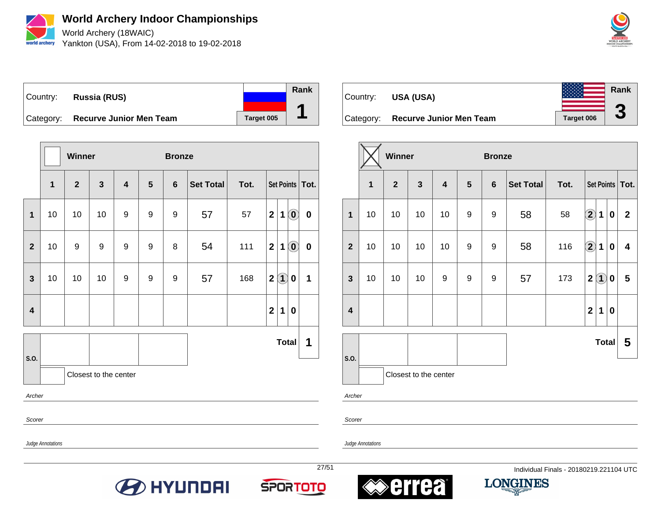

World Archery (18WAIC) Yankton (USA), From 14-02-2018 to 19-02-2018



Country: **Russia (RUS)** Category: **Recurve Junior Men Team** Target 005 **Rank 1**

|                         |                       | <b>Winner</b>  |              |                         |                | <b>Bronze</b> |                  |      |              |                   |                                                |                   |
|-------------------------|-----------------------|----------------|--------------|-------------------------|----------------|---------------|------------------|------|--------------|-------------------|------------------------------------------------|-------------------|
|                         | 1                     | $\overline{2}$ | $\mathbf{3}$ | $\overline{\mathbf{4}}$ | $5\phantom{1}$ | 6             | <b>Set Total</b> | Tot. |              |                   |                                                | Set Points   Tot. |
| $\mathbf{1}$            | 10                    | 10             | 10           | 9                       | 9              | 9             | 57               | 57   | $\mathbf{2}$ | 1                 | $\left( \begin{matrix} 0 \end{matrix} \right)$ | $\mathbf 0$       |
| $\overline{2}$          | 10                    | 9              | 9            | 9                       | 9              | 8             | 54               | 111  | $\mathbf{2}$ | 1                 | $\left( \begin{matrix} 0 \end{matrix} \right)$ | $\pmb{0}$         |
| $\mathbf{3}$            | 10                    | 10             | 10           | 9                       | 9              | 9             | 57               | 168  | $\mathbf 2$  | $\left( 1\right)$ | $\boldsymbol{0}$                               | 1                 |
| $\overline{\mathbf{4}}$ |                       |                |              |                         |                |               |                  |      | $\mathbf{2}$ | 1                 | 0                                              |                   |
| S.O.                    |                       |                |              |                         |                |               |                  |      |              | <b>Total</b>      |                                                | 1                 |
|                         | Closest to the center |                |              |                         |                |               |                  |      |              |                   |                                                |                   |
|                         | Archer                |                |              |                         |                |               |                  |      |              |                   |                                                |                   |
| Scorer                  |                       |                |              |                         |                |               |                  |      |              |                   |                                                |                   |
|                         | Judge Annotations     |                |              |                         |                |               |                  |      |              |                   |                                                |                   |

Country: **USA (USA)** Category: **Recurve Junior Men Team** | Target 006 **Rank 3**

|                         |    | Winner         |                         |                         |                | <b>Bronze</b>  |                  |      |                   |                            |   |                   |
|-------------------------|----|----------------|-------------------------|-------------------------|----------------|----------------|------------------|------|-------------------|----------------------------|---|-------------------|
|                         | 1  | $\overline{2}$ | $\overline{\mathbf{3}}$ | $\overline{\mathbf{4}}$ | $5\phantom{1}$ | $6\phantom{1}$ | <b>Set Total</b> | Tot. |                   |                            |   | Set Points   Tot. |
| $\mathbf{1}$            | 10 | 10             | 10                      | 10                      | 9              | 9              | 58               | 58   | $\mathbf{Q}$      | $\mathbf 1$                | 0 | $\mathbf{2}$      |
| $\overline{\mathbf{2}}$ | 10 | 10<br>10       |                         |                         | 9              | 9              | 58               | 116  | $\bigcirc \!\! 2$ | 1                          | 0 | 4                 |
| $\mathbf{3}$            | 10 | 10             | 10                      | 9                       | 9              | 9              | 57               | 173  | $\mathbf{2}$      | $\left( \mathbf{1}\right)$ | 0 | 5                 |
| $\overline{\mathbf{4}}$ |    |                |                         |                         |                |                |                  |      | $\overline{2}$    | 1                          | 0 |                   |
|                         |    |                |                         |                         |                |                |                  |      |                   | <b>Total</b>               |   | 5                 |
| S.O.                    |    |                |                         |                         |                |                |                  |      |                   |                            |   |                   |
|                         |    |                | Closest to the center   |                         |                |                |                  |      |                   |                            |   |                   |

Archer

Scorer

Judge Annotations







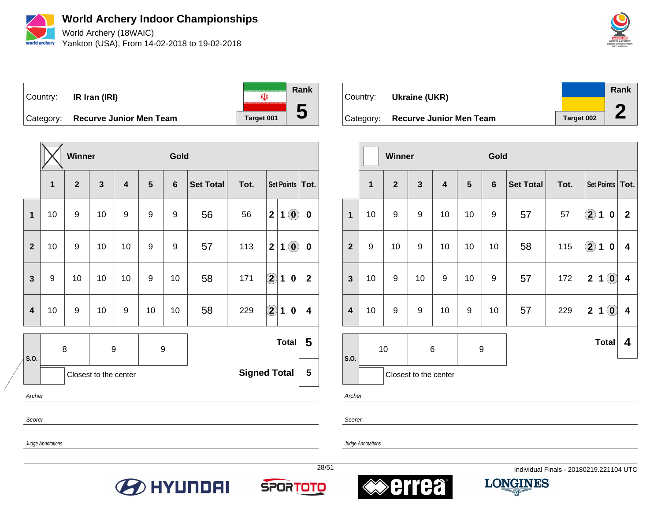

World Archery (18WAIC) Yankton (USA), From 14-02-2018 to 19-02-2018



**Rank** Country: **IR Iran (IRI)**  $\mathbf{U}$ **5** Category: **Recurve Junior Men Team** | Target 001

|                         |    | Winner         |                       |    |                  | Gold           |                  |                     |                            |             |                                                |                   |
|-------------------------|----|----------------|-----------------------|----|------------------|----------------|------------------|---------------------|----------------------------|-------------|------------------------------------------------|-------------------|
|                         | 1  | $\overline{2}$ | $\mathbf{3}$          | 4  | 5                | $6\phantom{1}$ | <b>Set Total</b> | Tot.                |                            |             |                                                | Set Points   Tot. |
| 1                       | 10 | 9              | 10                    | 9  | 9                | 9              | 56               | 56                  | $\mathbf{2}$               | 1           | $\odot$                                        | $\bf{0}$          |
| $\overline{2}$          | 10 | 9              | 10                    | 10 | 9                | 9              | 57               | 113                 | $\mathbf{2}$               | $\mathbf 1$ | $\left( \begin{matrix} 0 \end{matrix} \right)$ | $\bf{0}$          |
| $\mathbf{3}$            | 9  | 10             | 10                    | 10 | 9                | 10             | 58               | 171                 | $\bf \overline{2}$         | $\mathbf 1$ | $\pmb{0}$                                      | $\mathbf{2}$      |
| $\overline{\mathbf{4}}$ | 10 | 9              | 10                    | 9  | 10               | 10             | 58               | 229                 | $\left( \mathbf{2}\right)$ | $\mathbf 1$ | $\bf{0}$                                       | 4                 |
|                         |    | $\bf 8$        | 9                     |    | $\boldsymbol{9}$ |                | <b>Total</b>     |                     |                            |             |                                                | 5                 |
| S.O.                    |    |                | Closest to the center |    |                  |                |                  | <b>Signed Total</b> |                            |             |                                                | 5                 |

Country: **Ukraine (UKR)** Category: **Recurve Junior Men Team** Target 002 **Rank 2**

|                         |              | <b>Winner</b>  |                       |    |           | Gold           |           |      |                                 |              |                            |                         |
|-------------------------|--------------|----------------|-----------------------|----|-----------|----------------|-----------|------|---------------------------------|--------------|----------------------------|-------------------------|
|                         | $\mathbf{1}$ | $\overline{2}$ | $\mathbf{3}$          | 4  | ${\bf 5}$ | $6\phantom{1}$ | Set Total | Tot. |                                 |              |                            | Set Points   Tot.       |
| $\mathbf 1$             | 10           | 9              | 9                     | 10 | 10        | 9              | 57        | 57   | $\Large{\textbf{2}}$            | 1            | $\boldsymbol{0}$           | $\mathbf{2}$            |
| $\overline{2}$          | 9            | 10             | $\boldsymbol{9}$      | 10 | 10        | 10             | 58        | 115  | $\large \textcircled{\small 2}$ | $\mathbf 1$  | $\boldsymbol{0}$           | 4                       |
| $\mathbf{3}$            | 10           | 9              | 10                    | 9  | 10        | 9              | 57        | 172  | $\overline{2}$                  | 1            | $\left( \mathbf{0}\right)$ | $\overline{\mathbf{4}}$ |
| $\overline{\mathbf{4}}$ | 10           | 9              | 9                     | 10 | 9         | 10             | 57        | 229  | $\overline{2}$                  | $\mathbf 1$  | $\left( \mathbf{0}\right)$ | $\overline{\mathbf{4}}$ |
|                         |              | 10             | 6                     |    | 9         |                |           |      |                                 | <b>Total</b> |                            | 4                       |
| S.O.                    |              |                | Closest to the center |    |           |                |           |      |                                 |              |                            |                         |

Archer

Scorer

Judge Annotations

Archer

Scorer

Judge Annotations







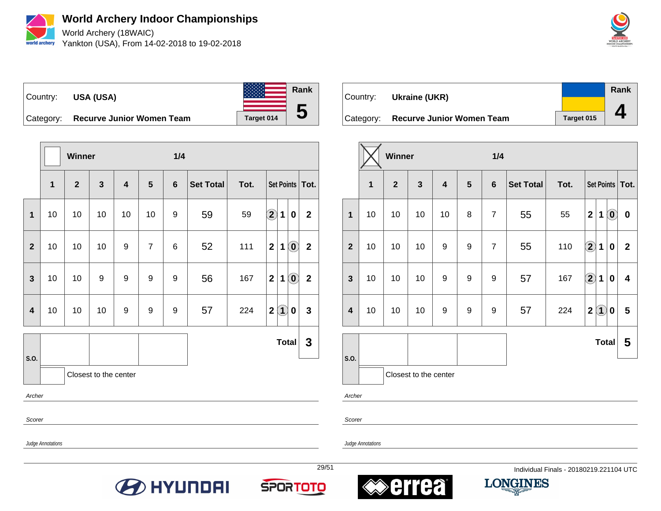

World Archery (18WAIC) Yankton (USA), From 14-02-2018 to 19-02-2018



Country: **USA (USA)** Category: **Recurve Junior Women Team** | Target 014 **Rank 5**

|                         |              | <b>Winner</b> |                       |    |                | 1/4              |                  |      |                                                                                 |                |
|-------------------------|--------------|---------------|-----------------------|----|----------------|------------------|------------------|------|---------------------------------------------------------------------------------|----------------|
|                         | $\mathbf{1}$ | $\mathbf{2}$  | $\mathbf{3}$          | 4  | 5              | $6\phantom{1}$   | <b>Set Total</b> | Tot. | Set Points   Tot.                                                               |                |
| $\mathbf 1$             | 10           | 10            | 10                    | 10 | 10             | 9                | 59               | 59   | $\bigcirc \!\! \! 2$<br>1<br>$\mathbf 0$                                        | $\overline{2}$ |
| $\overline{2}$          | 10           | 10            | 10                    | 9  | $\overline{7}$ | 6                | 52               | 111  | $\left( \mathbf{0}\right)$<br>$\mathbf{2}$<br>$\mathbf 1$                       | $\mathbf 2$    |
| $\mathbf{3}$            | 10           | 10            | 9                     | 9  | 9              | $\boldsymbol{9}$ | 56               | 167  | 2 <sub>1</sub><br>$\left( \begin{matrix} 0 \end{matrix} \right)$<br>$\mathbf 1$ | $\mathbf{2}$   |
| $\overline{\mathbf{4}}$ | 10           | 10            | 10                    | 9  | 9              | 9                | 57               | 224  | 2(1)<br>0                                                                       | $\mathbf{3}$   |
|                         |              |               |                       |    |                |                  |                  |      | <b>Total</b>                                                                    | $\mathbf{3}$   |
| S.O.                    |              |               | Closest to the center |    |                |                  |                  |      |                                                                                 |                |
| Archer                  |              |               |                       |    |                |                  |                  |      |                                                                                 |                |
| Scorer                  |              |               |                       |    |                |                  |                  |      |                                                                                 |                |

| Country: Ukraine (UKR)              |            | Rank |
|-------------------------------------|------------|------|
| Category: Recurve Junior Women Team | Target 015 |      |

|                         |             | Winner       |                       |                         |                  | 1/4              |                  |      |                   |                   |                            |             |
|-------------------------|-------------|--------------|-----------------------|-------------------------|------------------|------------------|------------------|------|-------------------|-------------------|----------------------------|-------------|
|                         | $\mathbf 1$ | $\mathbf{2}$ | 3                     | $\overline{\mathbf{4}}$ | 5                | $6\phantom{1}$   | <b>Set Total</b> | Tot. |                   |                   | Set Points                 | Tot.        |
| $\mathbf{1}$            | 10          | 10           | 10                    | 10                      | 8                | $\overline{7}$   | 55               | 55   | $\mathbf{2}$      | 1                 | $\left( \mathbf{0}\right)$ | $\bf{0}$    |
| $\overline{\mathbf{2}}$ | 10          | 10           | 10                    | 9                       | 9                | $\overline{7}$   | 55               | 110  | $\bigcirc \!\! 2$ | 1                 | $\bf{0}$                   | $\mathbf 2$ |
| $\mathbf{3}$            | 10          | 10           | 10                    | 9                       | 9                | 9                | 57               | 167  | $\bigcirc \!\! 2$ | 1                 | $\bf{0}$                   | 4           |
| $\overline{\mathbf{4}}$ | 10          | 10           | 10                    | 9                       | $\boldsymbol{9}$ | $\boldsymbol{9}$ | 57               | 224  | $\mathbf{2}$      | $\left( 1\right)$ | 0                          | 5           |
|                         |             |              |                       |                         |                  |                  |                  |      |                   | <b>Total</b>      |                            | 5           |
| S.O.                    |             |              | Closest to the center |                         |                  |                  |                  |      |                   |                   |                            |             |

Archer

Scorer

Judge Annotations

Judge Annotations







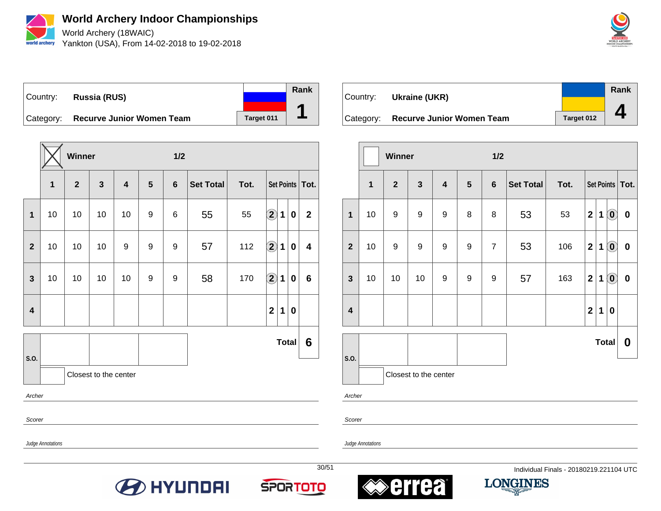

World Archery (18WAIC) Yankton (USA), From 14-02-2018 to 19-02-2018



Country: **Russia (RUS)**



Category: **Recurve Junior Women Team** | Target 011

|                         |    | Winner       |                       |    |                | 1/2            |                  |      |                   |                          |                   |
|-------------------------|----|--------------|-----------------------|----|----------------|----------------|------------------|------|-------------------|--------------------------|-------------------|
|                         | 1  | $\mathbf{2}$ | $\mathbf{3}$          | 4  | $5\phantom{1}$ | $6\phantom{1}$ | <b>Set Total</b> | Tot. |                   |                          | Set Points   Tot. |
| 1                       | 10 | 10           | 10                    | 10 | 9              | 6              | 55               | 55   | $\bigcirc \!\! 2$ | $\mathbf 1$<br>$\pmb{0}$ | $\mathbf{2}$      |
| $\overline{\mathbf{2}}$ | 10 | 10           | 10                    | 9  | 9              | 9              | 57               | 112  | $\bigcirc \!\! 2$ | $\mathbf 1$<br>$\pmb{0}$ | 4                 |
| $\mathbf{3}$            | 10 | 10           | 10                    | 10 | 9              | 9              | 58               | 170  | $\bf{2}$          | $\mathbf 1$<br>0         | $6\phantom{1}$    |
| $\overline{\mathbf{4}}$ |    |              |                       |    |                |                |                  |      | $\mathbf{2}$      | 1<br>$\pmb{0}$           |                   |
|                         |    |              |                       |    |                |                |                  |      |                   | <b>Total</b>             | 6                 |
| S.O.                    |    |              | Closest to the center |    |                |                |                  |      |                   |                          |                   |
| Archer                  |    |              |                       |    |                |                |                  |      |                   |                          |                   |

Scorer

Scorer

Judge Annotations

Judge Annotations











|                         |             | Winner                  |                       |                         |   | 1/2            |                  |      |                         |             |                                                         |                   |
|-------------------------|-------------|-------------------------|-----------------------|-------------------------|---|----------------|------------------|------|-------------------------|-------------|---------------------------------------------------------|-------------------|
|                         | $\mathbf 1$ | $\overline{\mathbf{2}}$ | $\mathbf{3}$          | $\overline{\mathbf{4}}$ | 5 | $6\phantom{a}$ | <b>Set Total</b> | Tot. |                         |             |                                                         | Set Points   Tot. |
| 1                       | 10          | $\boldsymbol{9}$        | 9                     | 9                       | 8 | 8              | 53               | 53   | $\mathbf 2$             | $\mathbf 1$ | $\left( \begin{matrix} \textbf{0} \end{matrix} \right)$ | $\pmb{0}$         |
| $\overline{2}$          | 10          | $\boldsymbol{9}$        | 9                     | 9                       | 9 | $\overline{7}$ | 53               | 106  | $\mathbf 2$             | 1           | $\odot$                                                 | $\pmb{0}$         |
| $\mathbf{3}$            | 10          | 10                      | 10                    | 9                       | 9 | 9              | 57               | 163  | $\overline{\mathbf{2}}$ | 1           | $\left( \begin{matrix} 0 \end{matrix} \right)$          | $\pmb{0}$         |
| $\overline{\mathbf{4}}$ |             |                         |                       |                         |   |                |                  |      | $\mathbf{2}$            | 1           | 0                                                       |                   |
|                         |             |                         |                       |                         |   |                |                  |      |                         |             | <b>Total</b>                                            | $\boldsymbol{0}$  |
| S.O.                    |             |                         | Closest to the center |                         |   |                |                  |      |                         |             |                                                         |                   |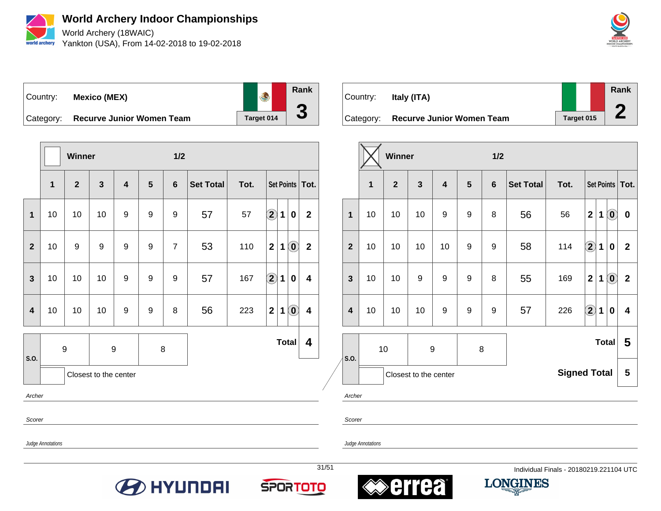

World Archery (18WAIC) Yankton (USA), From 14-02-2018 to 19-02-2018



Country: **Mexico (MEX)**



Category: **Recurve Junior Women Team** | Target 014

|                         |                       | <b>Winner</b>    |              |     |   | 1/2            |                  |      |                                                                     |              |  |  |
|-------------------------|-----------------------|------------------|--------------|-----|---|----------------|------------------|------|---------------------------------------------------------------------|--------------|--|--|
|                         | $\mathbf{1}$          | $\mathbf{2}$     | $\mathbf{3}$ | 4   | 5 | $6\phantom{1}$ | <b>Set Total</b> | Tot. | Set Points   Tot.                                                   |              |  |  |
| $\mathbf{1}$            | 10                    | 10               | 10           | 9   | 9 | 9              | 57               | 57   | $\bf \overline{2}$<br>$\bf{0}$<br>1                                 | $\mathbf{2}$ |  |  |
| $\mathbf{2}$            | 10                    | 9                | 9            | 9   | 9 | $\overline{7}$ | 53               | 110  | $\left( \begin{matrix} 0 \end{matrix} \right)$<br>$\mathbf{2}$<br>1 | $\mathbf{2}$ |  |  |
| $\mathbf{3}$            | 10                    | 10               | 10           | $9$ | 9 | $9$            | 57               | 167  | $\bigcirc$<br>1<br>$\bf{0}$                                         | 4            |  |  |
| $\overline{\mathbf{4}}$ | 10                    | 10               | 10           | 9   | 9 | 8              | 56               | 223  | $\mathbf{0}$<br>$\overline{2}$<br>1                                 | 4            |  |  |
| S.O.                    |                       | $\boldsymbol{9}$ | 9            |     | 8 |                |                  |      | <b>Total</b>                                                        | 4            |  |  |
|                         | Closest to the center |                  |              |     |   |                |                  |      |                                                                     |              |  |  |
| Archer                  |                       |                  |              |     |   |                |                  |      |                                                                     |              |  |  |

Country: **Italy (ITA)** Category: **Recurve Junior Women Team** Target 015 **Rank 2**

|                         |    | Winner       |                       |                         |   | 1/2            |                                                                                 |                     |                   |   |                            |                         |
|-------------------------|----|--------------|-----------------------|-------------------------|---|----------------|---------------------------------------------------------------------------------|---------------------|-------------------|---|----------------------------|-------------------------|
|                         | 1  | $\mathbf{2}$ | 3                     | $\overline{\mathbf{4}}$ | 5 | $6\phantom{1}$ | <b>Set Total</b>                                                                | Tot.                |                   |   |                            | Set Points   Tot.       |
| 1                       | 10 | 10           | 10                    | 9                       | 9 | 8              | 56                                                                              | 56                  | $\mathbf{2}$      | 1 | $\left( \mathbf{0}\right)$ | $\bf{0}$                |
| $\overline{2}$          | 10 | 10           | 10                    | 10                      | 9 | 9              | $\bigcirc \!\! \! 2$<br>58<br>114<br>$\mathbf 1$<br>$\overline{2}$<br>$\pmb{0}$ |                     |                   |   |                            |                         |
| $\overline{\mathbf{3}}$ | 10 | 10           | 9                     | $\boldsymbol{9}$        | 9 | 8              | $\textcircled{\small{0}}$<br>$\mathbf 2$<br>1<br>55<br>169                      |                     |                   |   |                            | $\mathbf 2$             |
| $\overline{\mathbf{4}}$ | 10 | 10           | 10                    | 9                       | 9 | 9              | 57                                                                              | 226                 | $\bigcirc \!\! 2$ | 1 | $\bf{0}$                   | $\overline{\mathbf{4}}$ |
|                         |    | 10           | 9                     |                         | 8 |                |                                                                                 |                     |                   |   | <b>Total</b>               | 5                       |
| S.O.                    |    |              | Closest to the center |                         |   |                |                                                                                 | <b>Signed Total</b> |                   |   |                            | 5                       |

Archer

Scorer

Judge Annotations

Scorer









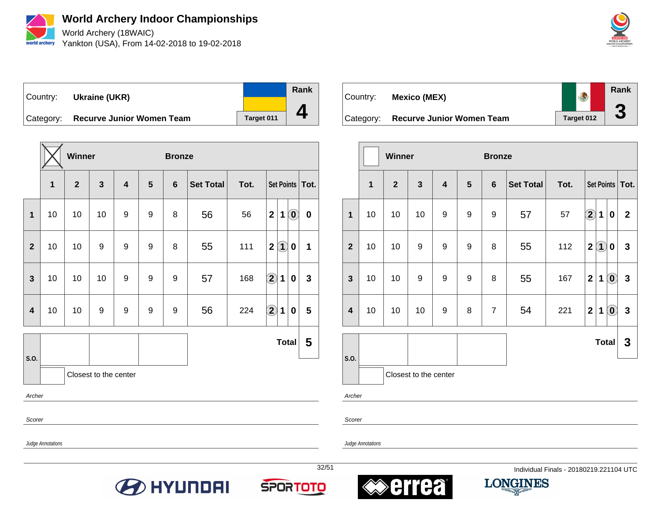

World Archery (18WAIC) Yankton (USA), From 14-02-2018 to 19-02-2018



Country: **Ukraine (UKR)**

**Rank 4**

Category: **Recurve Junior Women Team** | Target 011

|                         |    | Winner       |              |   |                  | <b>Bronze</b>   |                  |      |                                                 |              |
|-------------------------|----|--------------|--------------|---|------------------|-----------------|------------------|------|-------------------------------------------------|--------------|
|                         | 1  | $\mathbf{2}$ | $\mathbf{3}$ | 4 | $5\phantom{1}$   | $6\phantom{1}6$ | <b>Set Total</b> | Tot. | Set Points   Tot.                               |              |
| $\mathbf{1}$            | 10 | 10           | 10           | 9 | 9                | 8               | 56               | 56   | $\mathbf{2}$<br>1<br>$\left( \mathbf{0}\right)$ | $\pmb{0}$    |
| $\mathbf{2}$            | 10 | 10           | 9            | 9 | 9                | 8               | 55               | 111  | $\bf(1)$<br>$\boldsymbol{2}$<br>$\mathbf 0$     | 1            |
| $\mathbf{3}$            | 10 | 10           | 10           | 9 | 9                | 9               | 57               | 168  | $\bf \Omega$<br>$\mathbf 1$<br>0                | $\mathbf{3}$ |
| $\overline{\mathbf{4}}$ | 10 | 10           | 9            | 9 | $\boldsymbol{9}$ | 9               | 56               | 224  | $\bigcirc \!\! 2$<br>1<br>0                     | 5            |
|                         |    |              |              |   |                  |                 |                  |      | <b>Total</b>                                    | 5            |
| S.O.                    |    |              |              |   |                  |                 |                  |      |                                                 |              |
| Archer                  |    |              |              |   |                  |                 |                  |      |                                                 |              |
| Scorer                  |    |              |              |   |                  |                 |                  |      |                                                 |              |



|                         |    | Winner       |                       |                         |                  | <b>Bronze</b>  |                  |      |                            |                             |                        |                   |
|-------------------------|----|--------------|-----------------------|-------------------------|------------------|----------------|------------------|------|----------------------------|-----------------------------|------------------------|-------------------|
|                         | 1  | $\mathbf{2}$ | $\mathbf{3}$          | $\overline{\mathbf{4}}$ | $5\phantom{1}$   | $6\phantom{1}$ | <b>Set Total</b> | Tot. |                            |                             |                        | Set Points   Tot. |
| $\mathbf{1}$            | 10 | 10           | 10                    | 9                       | 9                | 9              | 57               | 57   | $\left( \mathbf{2}\right)$ | 1                           | $\pmb{0}$              | $\boldsymbol{2}$  |
| $\mathbf{2}$            | 10 | 10           | 9                     | 9                       | 9                | 8              | 55               | 112  | $\mathbf{2}$               | $\mathbf{\mathbf{\Omega}}%$ | 0                      | $\mathbf 3$       |
| $\overline{\mathbf{3}}$ | 10 | 10           | 9                     | 9                       | $\boldsymbol{9}$ | 8              | 55               | 167  | $\overline{2}$             | 1                           | $\widehat{\mathbf{0}}$ | $\mathbf{3}$      |
| $\overline{\mathbf{4}}$ | 10 | 10           | 10                    | 9                       | 8                | $\overline{7}$ | 54               | 221  | $\mathbf{2}$               | 1                           | $\mathbf{0}$           | $\mathbf{3}$      |
|                         |    |              |                       |                         |                  |                |                  |      |                            | <b>Total</b>                |                        | 3                 |
| S.O.                    |    |              | Closest to the center |                         |                  |                |                  |      |                            |                             |                        |                   |

Archer

Scorer

Judge Annotations









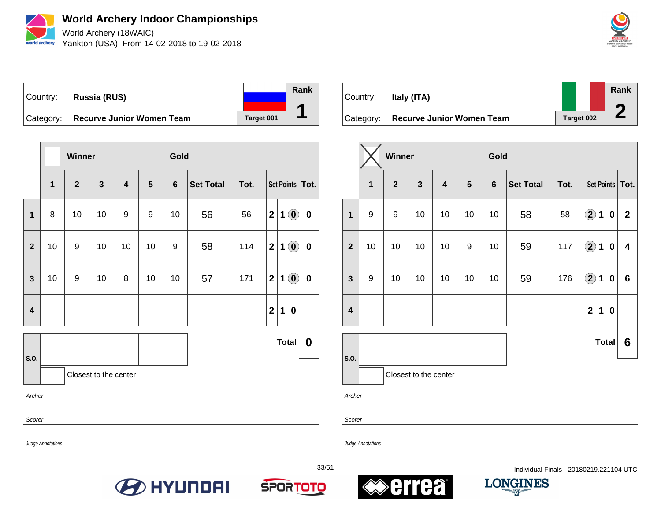

World Archery (18WAIC) Yankton (USA), From 14-02-2018 to 19-02-2018



Country: **Russia (RUS)** Category: **Recurve Junior Women Team** | Target 001 **Rank 1**

|                               |                   | Winner       |              |    |                | Gold            |                  |      |                         |             |                                                         |                   |
|-------------------------------|-------------------|--------------|--------------|----|----------------|-----------------|------------------|------|-------------------------|-------------|---------------------------------------------------------|-------------------|
|                               | 1                 | $\mathbf{2}$ | $\mathbf{3}$ | 4  | $5\phantom{1}$ | $6\phantom{1}6$ | <b>Set Total</b> | Tot. |                         |             |                                                         | Set Points   Tot. |
| 1                             | 8                 | 10           | 10           | 9  | 9              | 10              | 56               | 56   | $\mathbf{2}$            | $\mathbf 1$ | $\left( \begin{matrix} 0 \end{matrix} \right)$          | $\pmb{0}$         |
| $\mathbf{2}$                  | 10                | 9            | 10           | 10 | 10             | 9               | 58               | 114  | $\overline{\mathbf{2}}$ | 1           | $\left( \begin{matrix} 0 \end{matrix} \right)$          | $\pmb{0}$         |
| $\mathbf{3}$                  | 10                | 9            | 10           | 8  | 10             | 10              | 57               | 171  | $\mathbf{2}$            | 1           | $\left( \begin{matrix} \mathbf{0} \end{matrix} \right)$ | $\pmb{0}$         |
| $\overline{\mathbf{4}}$       |                   |              |              |    |                |                 |                  |      | $\mathbf{2}$            | 1           | $\boldsymbol{0}$                                        |                   |
|                               |                   |              |              |    |                |                 |                  |      |                         |             | <b>Total</b>                                            | $\boldsymbol{0}$  |
| S.O.<br>Closest to the center |                   |              |              |    |                |                 |                  |      |                         |             |                                                         |                   |
| Archer                        |                   |              |              |    |                |                 |                  |      |                         |             |                                                         |                   |
| Scorer                        |                   |              |              |    |                |                 |                  |      |                         |             |                                                         |                   |
|                               | Judge Annotations |              |              |    |                |                 |                  |      |                         |             |                                                         |                   |

Country: **Italy (ITA)** Category: **Recurve Junior Women Team** Target 002 **Rank 2**

|                         |                         | <b>Winner</b> |                       |                         |    | Gold           |                  |      |                  |              |           |                         |
|-------------------------|-------------------------|---------------|-----------------------|-------------------------|----|----------------|------------------|------|------------------|--------------|-----------|-------------------------|
|                         | $\overline{\mathbf{1}}$ | $\mathbf{2}$  | $\mathbf{3}$          | $\overline{\mathbf{4}}$ | 5  | $6\phantom{1}$ | <b>Set Total</b> | Tot. |                  |              |           | Set Points   Tot.       |
| 1                       | $\boldsymbol{9}$        | $9$           | 10                    | 10                      | 10 | 10             | 58               | 58   | $\boxed{2}$      | 1            | $\pmb{0}$ | $\mathbf{2}$            |
| $\overline{2}$          | 10                      | 10            | 10                    | 10                      | 9  | 10             | 59               | 117  | $\bigcircled{2}$ | $\mathbf 1$  | $\pmb{0}$ | $\overline{\mathbf{4}}$ |
| $\mathbf{3}$            | 9                       | 10            | 10                    | 10                      | 10 | 10             | 59               | 176  | $\boxed{2}$      | 1            | $\bf{0}$  | $\bf 6$                 |
| $\overline{\mathbf{4}}$ |                         |               |                       |                         |    |                |                  |      | $\mathbf{2}$     | 1            | $\bf{0}$  |                         |
|                         |                         |               |                       |                         |    |                |                  |      |                  | <b>Total</b> |           | 6                       |
| S.O.                    |                         |               | Closest to the center |                         |    |                |                  |      |                  |              |           |                         |

Archer

Scorer

Judge Annotations









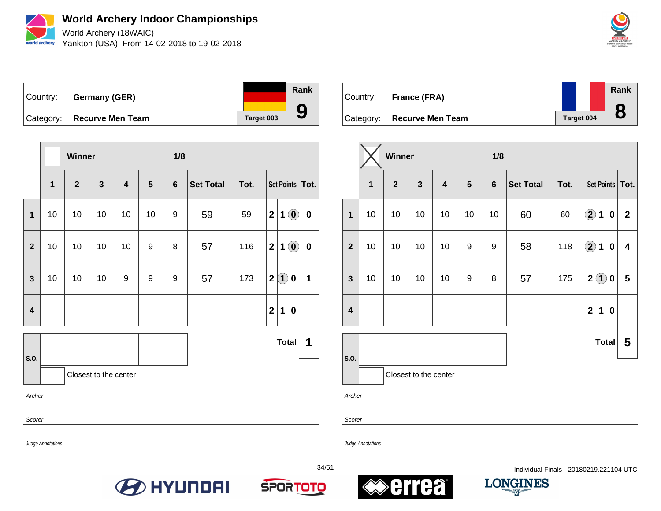

World Archery (18WAIC) Yankton (USA), From 14-02-2018 to 19-02-2018



Country: **Germany (GER)** Category: **Recurve Men Team Target 003 Rank 9**

|                         |    | Winner         |                         |                         |    | 1/8            |                  |      |              |          |                                                         |                   |
|-------------------------|----|----------------|-------------------------|-------------------------|----|----------------|------------------|------|--------------|----------|---------------------------------------------------------|-------------------|
|                         | 1  | $\overline{2}$ | $\overline{\mathbf{3}}$ | $\overline{\mathbf{4}}$ | 5  | $6\phantom{1}$ | <b>Set Total</b> | Tot. |              |          |                                                         | Set Points   Tot. |
| 1                       | 10 | 10             | 10                      | 10                      | 10 | 9              | 59               | 59   | $\mathbf 2$  | 1        | $\left( \begin{matrix} \textbf{0} \end{matrix} \right)$ | $\bf{0}$          |
| $\overline{2}$          | 10 | 10             | 10                      | 10                      | 9  | 8              | 57               | 116  | $\mathbf 2$  | 1        | $\left( \begin{matrix} \textbf{0} \end{matrix} \right)$ | $\bf{0}$          |
| $\overline{\mathbf{3}}$ | 10 | 10             | 10                      | 9                       | 9  | 9              | 57               | 173  | $\mathbf{2}$ | $\bf(1)$ | 0                                                       | 1                 |
| $\overline{\mathbf{4}}$ |    |                |                         |                         |    |                |                  |      | $\mathbf{2}$ | 1        | 0                                                       |                   |
|                         |    |                |                         |                         |    |                |                  |      |              |          | <b>Total</b>                                            | 1                 |
| S.O.                    |    |                | Closest to the center   |                         |    |                |                  |      |              |          |                                                         |                   |
| Archer                  |    |                |                         |                         |    |                |                  |      |              |          |                                                         |                   |
| Scorer                  |    |                |                         |                         |    |                |                  |      |              |          |                                                         |                   |

Country: **France (FRA)** Category: **Recurve Men Team Tanget 004 Rank 8**

|                         |             | Winner       |                       |                         |                | 1/8            |                  |      |                      |                   |             |                         |
|-------------------------|-------------|--------------|-----------------------|-------------------------|----------------|----------------|------------------|------|----------------------|-------------------|-------------|-------------------------|
|                         | $\mathbf 1$ | $\mathbf{2}$ | $\mathbf{3}$          | $\overline{\mathbf{4}}$ | $5\phantom{1}$ | $6\phantom{a}$ | <b>Set Total</b> | Tot. |                      |                   |             | Set Points   Tot.       |
| $\mathbf{1}$            | 10          | 10           | 10                    | 10                      | 10             | 10             | 60               | 60   | $\bigcirc \!\! \! 2$ | 1                 | 0           | $\mathbf{2}$            |
| $\overline{2}$          | 10          | 10           | 10                    | 10                      | 9              | 9              | 58               | 118  | $\bigcirc \!\! 2$    | $\mathbf 1$       | $\mathbf 0$ | $\overline{\mathbf{4}}$ |
| $\mathbf{3}$            | 10          | 10           | 10                    | 10                      | 9              | 8              | 57               | 175  | $\boldsymbol{2}$     | $\left( 1\right)$ | 0           | 5                       |
| $\overline{\mathbf{4}}$ |             |              |                       |                         |                |                |                  |      | $\mathbf{2}$         | 1                 | 0           |                         |
|                         |             |              |                       |                         |                |                |                  |      |                      | <b>Total</b>      |             | 5                       |
| S.O.                    |             |              | Closest to the center |                         |                |                |                  |      |                      |                   |             |                         |

Archer

Scorer

Judge Annotations

Judge Annotations







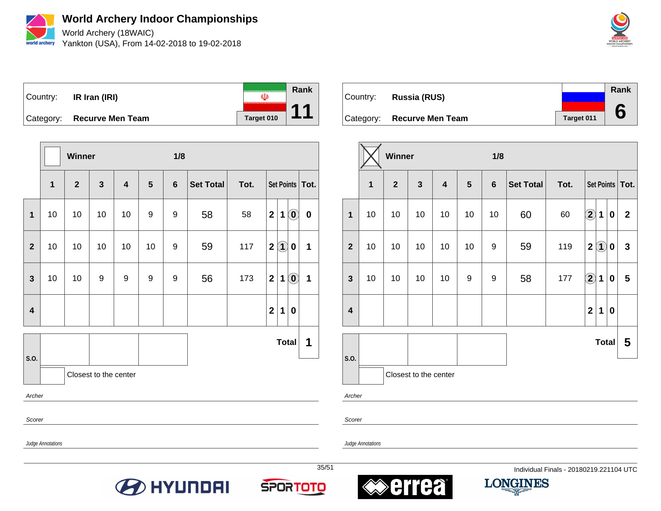

World Archery (18WAIC) Yankton (USA), From 14-02-2018 to 19-02-2018



**Rank** Country: **IR Iran (IRI)**  $\overline{\mathbb{Q}}$ **11** Category: **Recurve Men Team Target 010** 

|                                                                                                                                            |                               | Winner         |              |                         |    | 1/8            |                  |      |                |                   |                                                |                   |
|--------------------------------------------------------------------------------------------------------------------------------------------|-------------------------------|----------------|--------------|-------------------------|----|----------------|------------------|------|----------------|-------------------|------------------------------------------------|-------------------|
|                                                                                                                                            | $\mathbf{1}$                  | $\overline{2}$ | $\mathbf{3}$ | $\overline{\mathbf{4}}$ | 5  | $6\phantom{1}$ | <b>Set Total</b> | Tot. |                |                   |                                                | Set Points   Tot. |
| $\mathbf{1}$                                                                                                                               | 10                            | 10             | 10           | 10                      | 9  | 9              | 58               | 58   | $\overline{2}$ | 1                 | $\left( \begin{matrix} 0 \end{matrix} \right)$ | $\mathbf 0$       |
| $\overline{2}$                                                                                                                             | 10                            | 10             | 10           | 10                      | 10 | 9              | 59               | 117  | $\mathbf{2}$   | $\left( 1\right)$ | 0                                              | 1                 |
| 56<br>$\mathbf{2}$<br>$\left( \begin{matrix} 0 \end{matrix} \right)$<br>10<br>10<br>9<br>173<br>$\mathbf{3}$<br>9<br>9<br>9<br>$\mathbf 1$ |                               |                |              |                         |    |                |                  |      |                | 1                 |                                                |                   |
| $\mathbf{2}$<br>$\overline{\mathbf{4}}$<br>$\mathbf 1$<br>$\boldsymbol{0}$                                                                 |                               |                |              |                         |    |                |                  |      |                |                   |                                                |                   |
|                                                                                                                                            |                               |                |              |                         |    |                |                  |      |                |                   | <b>Total</b>                                   | 1                 |
|                                                                                                                                            | S.O.<br>Closest to the center |                |              |                         |    |                |                  |      |                |                   |                                                |                   |
| Archer                                                                                                                                     |                               |                |              |                         |    |                |                  |      |                |                   |                                                |                   |
| Scorer                                                                                                                                     |                               |                |              |                         |    |                |                  |      |                |                   |                                                |                   |
|                                                                                                                                            | Judge Annotations             |                |              |                         |    |                |                  |      |                |                   |                                                |                   |

Country: **Russia (RUS)** Category: **Recurve Men Team Tanget 011 Rank 6**

|                         |    | Winner         |                       |                         |                | 1/8            |                  |      |                            |                            |                  |                   |
|-------------------------|----|----------------|-----------------------|-------------------------|----------------|----------------|------------------|------|----------------------------|----------------------------|------------------|-------------------|
|                         | 1  | $\overline{2}$ | $\mathbf{3}$          | $\overline{\mathbf{4}}$ | $5\phantom{1}$ | $6\phantom{1}$ | <b>Set Total</b> | Tot. |                            |                            |                  | Set Points   Tot. |
| 1                       | 10 | 10             | 10                    | 10                      | 10             | 10             | 60               | 60   | $\bigcircled{2}$           | 1                          | $\boldsymbol{0}$ | $\mathbf{2}$      |
| $\mathbf{2}$            | 10 | 10             | 10                    | 10                      | 10             | 9              | 59               | 119  | $\overline{2}$             | $\left( \mathbf{1}\right)$ | $\boldsymbol{0}$ | 3                 |
| $\overline{\mathbf{3}}$ | 10 | 10             | 10                    | 10                      | 9              | 9              | 58               | 177  | $\left( \mathbf{2}\right)$ | 1                          | $\bf{0}$         | 5                 |
| $\overline{\mathbf{4}}$ |    |                |                       |                         |                |                |                  |      | $\overline{2}$             | 1                          | $\mathbf 0$      |                   |
|                         |    |                |                       |                         |                |                |                  |      |                            | <b>Total</b>               |                  | 5                 |
| S.O.                    |    |                | Closest to the center |                         |                |                |                  |      |                            |                            |                  |                   |

Archer

Scorer

Judge Annotations







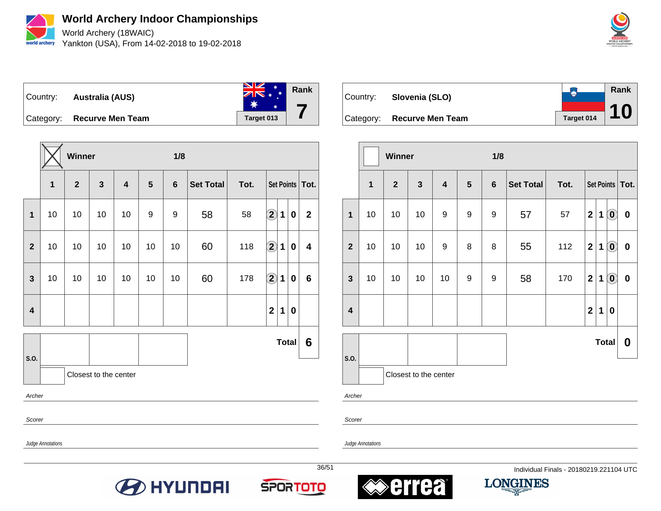

**World Archery Indoor Championships** World Archery (18WAIC)

Yankton (USA), From 14-02-2018 to 19-02-2018



**Rank** Country: **Australia (AUS) 7**  $\ast$ Category: **Recurve Men Team Target 013** 

|                         |    | Winner       |                       |                         |    | 1/8            |                  |      |                      |              |                  |                   |
|-------------------------|----|--------------|-----------------------|-------------------------|----|----------------|------------------|------|----------------------|--------------|------------------|-------------------|
|                         | 1  | $\mathbf{2}$ | $\mathbf{3}$          | $\overline{\mathbf{4}}$ | 5  | $6\phantom{1}$ | <b>Set Total</b> | Tot. |                      |              |                  | Set Points   Tot. |
| $\mathbf 1$             | 10 | 10           | 10                    | 10                      | 9  | 9              | 58               | 58   | $\bf{2}$             | 1            | $\boldsymbol{0}$ | $\mathbf 2$       |
| $\overline{2}$          | 10 | 10           | 10                    | 10                      | 10 | 10             | 60               | 118  | $\bigcirc \!\! \! 2$ | 1            | $\boldsymbol{0}$ | 4                 |
| $\mathbf{3}$            | 10 | 10           | 10                    | 10                      | 10 | 10             | 60               | 178  | $\bf \overline{2}$   | 1            | $\boldsymbol{0}$ | $6\phantom{1}$    |
| $\overline{\mathbf{4}}$ |    |              |                       |                         |    |                |                  |      | $\mathbf{2}$         | 1            | $\boldsymbol{0}$ |                   |
|                         |    |              |                       |                         |    |                |                  |      |                      | <b>Total</b> |                  | 6                 |
| S.O.                    |    |              | Closest to the center |                         |    |                |                  |      |                      |              |                  |                   |
| Archer                  |    |              |                       |                         |    |                |                  |      |                      |              |                  |                   |
| Scorer                  |    |              |                       |                         |    |                |                  |      |                      |              |                  |                   |

| Country: | Slovenia (SLO)             |            | Rank<br>10 |
|----------|----------------------------|------------|------------|
|          | Category: Recurve Men Team | Target 014 |            |

|                         |             | <b>Winner</b>  |                       |                         |   | 1/8              |                  |      |                |   |                                                         |                   |
|-------------------------|-------------|----------------|-----------------------|-------------------------|---|------------------|------------------|------|----------------|---|---------------------------------------------------------|-------------------|
|                         | $\mathbf 1$ | $\overline{2}$ | $\mathbf{3}$          | $\overline{\mathbf{4}}$ | 5 | $\boldsymbol{6}$ | <b>Set Total</b> | Tot. |                |   |                                                         | Set Points   Tot. |
| $\mathbf 1$             | 10          | 10             | 10                    | 9                       | 9 | 9                | 57               | 57   | $\mathbf{2}$   | 1 | $\left( \begin{matrix} \mathbf{0} \end{matrix} \right)$ | $\pmb{0}$         |
| $\overline{2}$          | 10          | 10             | 10                    | 9                       | 8 | $\bf 8$          | 55               | 112  | $\mathbf 2$    | 1 | $\textcircled{\textbf{0}}$                              | $\pmb{0}$         |
| $\mathbf{3}$            | 10          | 10             | 10                    | 10                      | 9 | $\boldsymbol{9}$ | 58               | 170  | $\overline{2}$ | 1 | $\left( \begin{matrix} \textbf{0} \end{matrix} \right)$ | $\pmb{0}$         |
| $\overline{\mathbf{4}}$ |             |                |                       |                         |   |                  |                  |      | $\mathbf{2}$   | 1 | $\pmb{0}$                                               |                   |
|                         |             |                |                       |                         |   |                  |                  |      |                |   | <b>Total</b>                                            | 0                 |
| S.O.                    |             |                | Closest to the center |                         |   |                  |                  |      |                |   |                                                         |                   |

Archer

Scorer

Judge Annotations







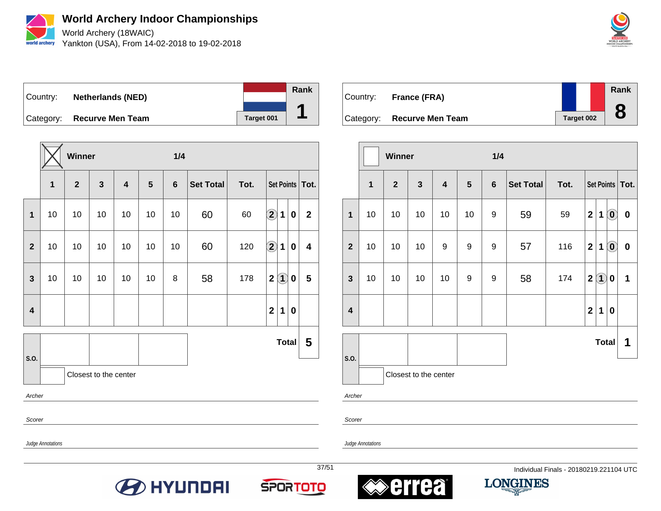

World Archery (18WAIC) Yankton (USA), From 14-02-2018 to 19-02-2018



Country: **Netherlands (NED)** Category: **Recurve Men Team Target 001 Rank 1**

|                                                                                                                 |                          | Winner         |              |                         |    | 1/4            |                  |      |                      |                         |              |                   |
|-----------------------------------------------------------------------------------------------------------------|--------------------------|----------------|--------------|-------------------------|----|----------------|------------------|------|----------------------|-------------------------|--------------|-------------------|
|                                                                                                                 | $\overline{\mathbf{1}}$  | $\overline{2}$ | $\mathbf{3}$ | $\overline{\mathbf{4}}$ | 5  | $6\phantom{1}$ | <b>Set Total</b> | Tot. |                      |                         |              | Set Points   Tot. |
| $\mathbf{1}$                                                                                                    | 10                       | 10             | $10$         | 10                      | 10 | 10             | 60               | 60   | $\bigcirc \!\! \! 2$ | 1                       | $\pmb{0}$    | $\mathbf{2}$      |
| $\overline{2}$                                                                                                  | 10                       | 10             | 10           | 10                      | 10 | 10             | 60               | 120  | $\bigcirc \!\! \! 2$ | $\mathbf 1$             | 0            | 4                 |
| $\left( \mathbf{1}\right)$<br>58<br>$\mathbf{2}$<br>$\mathbf{3}$<br>10<br>10<br>10<br>10<br>8<br>178<br>10<br>0 |                          |                |              |                         |    |                |                  |      |                      | $\overline{\mathbf{5}}$ |              |                   |
| 1<br>$\mathbf 2$<br>$\overline{\mathbf{4}}$<br>0                                                                |                          |                |              |                         |    |                |                  |      |                      |                         |              |                   |
| S.O.                                                                                                            |                          |                |              |                         |    |                |                  |      |                      |                         | <b>Total</b> | 5                 |
|                                                                                                                 | Closest to the center    |                |              |                         |    |                |                  |      |                      |                         |              |                   |
| Archer                                                                                                          |                          |                |              |                         |    |                |                  |      |                      |                         |              |                   |
|                                                                                                                 | Scorer                   |                |              |                         |    |                |                  |      |                      |                         |              |                   |
|                                                                                                                 | <b>Judge Annotations</b> |                |              |                         |    |                |                  |      |                      |                         |              |                   |

Country: **France (FRA)** Category: **Recurve Men Team Target 002 Rank 8**

|                         |    | Winner         |                       |                         |    | 1/4     |                  |      |                |                   |                                                         |                   |
|-------------------------|----|----------------|-----------------------|-------------------------|----|---------|------------------|------|----------------|-------------------|---------------------------------------------------------|-------------------|
|                         | 1  | $\overline{2}$ | $\mathbf{3}$          | $\overline{\mathbf{4}}$ | 5  | $\bf 6$ | <b>Set Total</b> | Tot. |                |                   |                                                         | Set Points   Tot. |
| 1                       | 10 | 10             | 10                    | 10                      | 10 | 9       | 59               | 59   | $\mathbf{2}$   | $\mathbf 1$       | $\left( \begin{matrix} \textbf{0} \end{matrix} \right)$ | $\pmb{0}$         |
| $\mathbf{2}$            | 10 | 10             | 10                    | 9                       | 9  | 9       | 57               | 116  | $\mathbf 2$    | 1                 | $\left( \begin{matrix} \textbf{0} \end{matrix} \right)$ | $\pmb{0}$         |
| $\mathbf{3}$            | 10 | 10             | 10                    | 10                      | 9  | 9       | 58               | 174  | $\overline{2}$ | $\left( 1\right)$ | 0                                                       | 1                 |
| $\overline{\mathbf{4}}$ |    |                |                       |                         |    |         |                  |      | $\mathbf{2}$   | $\mathbf 1$       | $\pmb{0}$                                               |                   |
|                         |    |                |                       |                         |    |         |                  |      |                | <b>Total</b>      |                                                         | 1                 |
| S.O.                    |    |                |                       |                         |    |         |                  |      |                |                   |                                                         |                   |
|                         |    |                | Closest to the center |                         |    |         |                  |      |                |                   |                                                         |                   |

Archer

Scorer









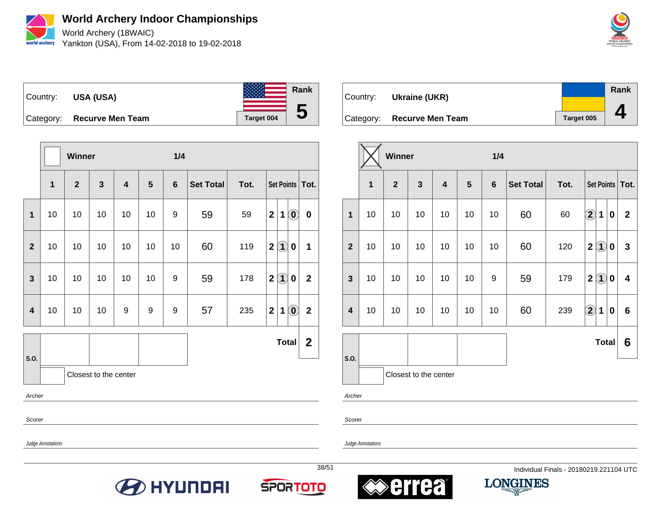

World Archery (18WAIC) Yankton (USA), From 14-02-2018 to 19-02-2018





**Winner 1/4 1 2 3 4 5 6 Set Total Tot. Set Points Tot. 1** | 10 | 10 | 10 | 10 | 10 | 9 | 59 | 59 | 2 | 1 | **0** | **0 2** 10 10 10 10 10 10 60 119 **2 1 0 1 3** 10 10 10 10 10 9 59 178 **2 1 0 2 4** 10 10 10 9 9 9 57 235 **2 1 0 2 S.O. Total 2** Closest to the center Archer Scorer

| Country: | Ukraine (UKR)              |            | Rank |
|----------|----------------------------|------------|------|
|          | Category: Recurve Men Team | Target 005 |      |

|                         |                       | Winner       |              |                                                                               |    | 1/4            |                  |      |                         |              |              |              |
|-------------------------|-----------------------|--------------|--------------|-------------------------------------------------------------------------------|----|----------------|------------------|------|-------------------------|--------------|--------------|--------------|
|                         | 1                     | $\mathbf{2}$ | $\mathbf{3}$ | $\overline{\mathbf{4}}$                                                       | 5  | $6\phantom{1}$ | <b>Set Total</b> | Tot. | <b>Set Points</b>       |              |              | Tot.         |
| $\mathbf 1$             | 10                    | 10           | 10           | 10                                                                            | 10 | 10             | 60               | 60   | $\Large{\textbf{2}}$    | 1            | 0            | $\mathbf{2}$ |
| $\overline{2}$          | 10                    | 10           | 10           | $\left( \mathbf{1}\right)$<br>60<br>120<br>$\mathbf 2$<br>10<br>10<br>10<br>0 |    |                |                  |      |                         |              | $\mathbf{3}$ |              |
| $\mathbf{3}$            | 10                    | 10           | 10           | 10                                                                            | 10 | 9              | 59               | 179  | $\overline{\mathbf{2}}$ | $\mathbf{1}$ | 0            | 4            |
| $\overline{\mathbf{4}}$ | 10                    | 10           | 10           | 10                                                                            | 10 | 10             | 60               | 239  | $\Large{\textbf{2}}$    | 1            | $\pmb{0}$    | 6            |
|                         |                       |              |              |                                                                               |    |                |                  |      |                         | <b>Total</b> |              | 6            |
| S.O.                    | Closest to the center |              |              |                                                                               |    |                |                  |      |                         |              |              |              |

Archer

Scorer

Judge Annotations







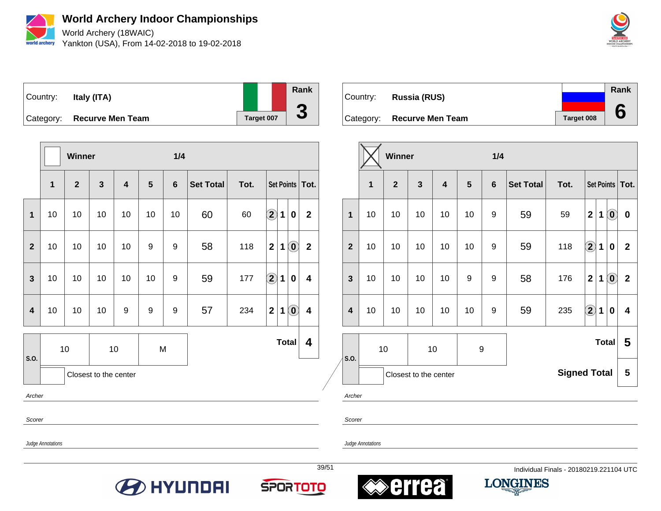

World Archery (18WAIC) Yankton (USA), From 14-02-2018 to 19-02-2018





|                         |              | <b>Winner</b>  |                       |                         |                | 1/4            |                  |      |                      |              |                                                         |                         |
|-------------------------|--------------|----------------|-----------------------|-------------------------|----------------|----------------|------------------|------|----------------------|--------------|---------------------------------------------------------|-------------------------|
|                         | $\mathbf{1}$ | $\overline{2}$ | $\mathbf{3}$          | $\overline{\mathbf{4}}$ | $5\phantom{1}$ | $6\phantom{a}$ | <b>Set Total</b> | Tot. |                      |              |                                                         | Set Points   Tot.       |
| $\mathbf{1}$            | 10           | 10             | 10                    | 10                      | 10             | 10             | 60               | 60   | $\bf \overline{2}$   | $\mathbf 1$  | 0                                                       | $\mathbf{2}$            |
| $\overline{\mathbf{2}}$ | 10           | 10             | 10                    | 10                      | 9              | 9              | 58               | 118  | $\overline{2}$       | 1            | $\left( \begin{matrix} \textbf{0} \end{matrix} \right)$ | $\mathbf 2$             |
| $\mathbf{3}$            | 10           | 10             | 10                    | 10                      | 10             | 9              | 59               | 177  | $\Large{\textbf{2}}$ | $\mathbf 1$  | 0                                                       | 4                       |
| $\overline{\mathbf{4}}$ | 10           | 10             | 10                    | 9                       | 9              | 9              | 57               | 234  | $\overline{2}$       | 1            | $\left( \mathbf{0}\right)$                              | $\overline{\mathbf{4}}$ |
| S.O.                    |              | 10             | 10                    |                         | M              |                |                  |      |                      | <b>Total</b> |                                                         | 4                       |
|                         |              |                | Closest to the center |                         |                |                |                  |      |                      |              |                                                         |                         |
| Archer                  |              |                |                       |                         |                |                |                  |      |                      |              |                                                         |                         |

Country: **Russia (RUS)** Category: **Recurve Men Team Target 008 Rank 6**

|                         |                       | Winner         |                                                            |                         |                  | 1/4            |                                                                             |                     |                         |                   |                            |              |
|-------------------------|-----------------------|----------------|------------------------------------------------------------|-------------------------|------------------|----------------|-----------------------------------------------------------------------------|---------------------|-------------------------|-------------------|----------------------------|--------------|
|                         | $\overline{1}$        | $\overline{2}$ | $\mathbf{3}$                                               | $\overline{\mathbf{4}}$ | $5\phantom{1}$   | $6\phantom{1}$ | <b>Set Total</b>                                                            | Tot.                |                         | <b>Set Points</b> |                            | Tot.         |
| $\mathbf 1$             | 10                    | 10             | 10                                                         | 10                      | 10               | 9              | 59                                                                          | 59                  | $\overline{\mathbf{2}}$ | 1                 | $\left( \mathbf{0}\right)$ | $\pmb{0}$    |
| $\overline{2}$          | 10                    | 10             | $\mathbf{2}$<br>118<br>10<br>10<br>9<br>59<br>1<br>10<br>0 |                         |                  |                |                                                                             |                     |                         |                   | $\mathbf{2}$               |              |
| $\mathbf{3}$            | 10                    | 10             | 10                                                         | 10                      | $\boldsymbol{9}$ | 9              | $\textcolor{blue}{\textbf{0}}$<br>$\overline{\mathbf{2}}$<br>58<br>176<br>1 |                     |                         |                   |                            | $\mathbf{2}$ |
| $\overline{\mathbf{4}}$ | 10                    | 10             | 10                                                         | 10                      | 10               | 9              | 59                                                                          | 235                 | $\Large{\textbf{2}}$    | 1                 | $\mathbf 0$                | 4            |
|                         | 10<br>10<br>9<br>S.O. |                |                                                            |                         |                  |                |                                                                             |                     |                         | <b>Total</b>      |                            | 5            |
|                         |                       |                | Closest to the center                                      |                         |                  |                |                                                                             | <b>Signed Total</b> |                         |                   |                            | 5            |

Archer

Scorer

Judge Annotations

Scorer









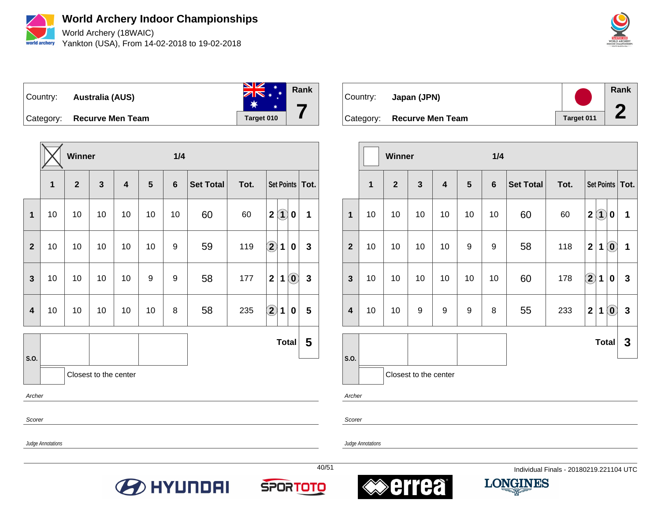

**World Archery Indoor Championships** World Archery (18WAIC)

Yankton (USA), From 14-02-2018 to 19-02-2018



**Rank** Country: **Australia (AUS) 7**  $\ast$ Category: **Recurve Men Team Target 010** 

**Winner 1/4 1 2 3 4 5 6 Set Total Tot. Set Points Tot. 1** 10 10 10 10 10 10 60 60 **2 1 0 1 2** 10 10 10 10 10 9 59 119 **2 1 0 3 3** | 10 | 10 | 10 | 10 | 9 | 9 | 58 | 177 | 2 | 1 | **0** | 3 **4** 10 10 10 10 10 8 58 235 **2 1 0 5 S.O. Total 5** Closest to the center Archer Scorer

| Country: | Japan (JPN)                |            | Rank |
|----------|----------------------------|------------|------|
|          | Category: Recurve Men Team | Target 011 | Æ    |

|                         |              | <b>Winner</b>           |                       |                         |                  | 1/4            |                  |      |                      |              |                                                         |                   |
|-------------------------|--------------|-------------------------|-----------------------|-------------------------|------------------|----------------|------------------|------|----------------------|--------------|---------------------------------------------------------|-------------------|
|                         | $\mathbf{1}$ | $\overline{\mathbf{2}}$ | $\mathbf{3}$          | $\overline{\mathbf{4}}$ | 5                | $6\phantom{1}$ | <b>Set Total</b> | Tot. |                      |              |                                                         | Set Points   Tot. |
| $\mathbf{1}$            | 10           | 10                      | 10                    | 10                      | 10               | 10             | 60               | 60   | $\mathbf{2}$         | $\bf(1)$     | 0                                                       | 1                 |
| $\mathbf{2}$            | 10           | 10                      | 10                    | 10                      | 9                | 9              | 58               | 118  | $\mathbf{2}$         | 1            | $\left( \begin{matrix} 0 \end{matrix} \right)$          | 1                 |
| $\overline{\mathbf{3}}$ | 10           | 10                      | 10                    | 10                      | 10               | 10             | 60               | 178  | $\Large{\textbf{2}}$ | 1            | 0                                                       | $\mathbf{3}$      |
| 4                       | 10           | 10                      | 9                     | 9                       | $\boldsymbol{9}$ | 8              | 55               | 233  | $\mathbf{2}$         | 1            | $\left( \begin{matrix} \textbf{0} \end{matrix} \right)$ | $\mathbf{3}$      |
|                         |              |                         |                       |                         |                  |                |                  |      |                      | <b>Total</b> |                                                         | 3                 |
| S.O.                    |              |                         | Closest to the center |                         |                  |                |                  |      |                      |              |                                                         |                   |

Archer

Scorer

Judge Annotations









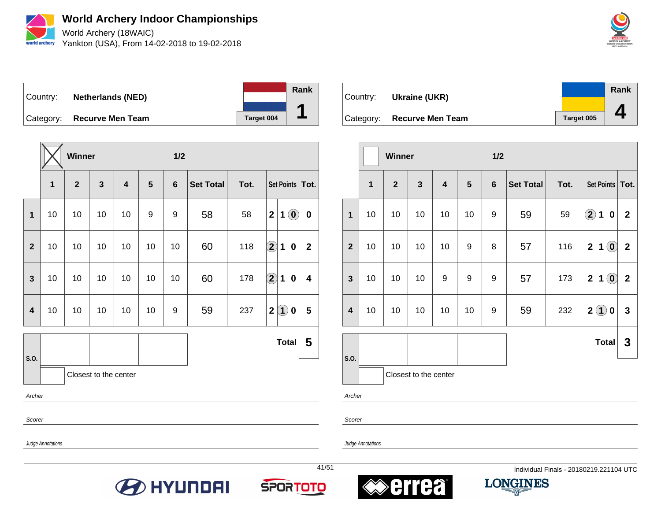

World Archery (18WAIC) Yankton (USA), From 14-02-2018 to 19-02-2018



Country: **Netherlands (NED)**



Category: **Recurve Men Team Target 004** 

|                         |    | Winner         |                       |    |    | 1/2            |                  |      |                                     |                           |              |
|-------------------------|----|----------------|-----------------------|----|----|----------------|------------------|------|-------------------------------------|---------------------------|--------------|
|                         | 1  | $\overline{2}$ | $\mathbf{3}$          | 4  | 5  | $6\phantom{1}$ | <b>Set Total</b> | Tot. | Set Points   Tot.                   |                           |              |
| $\mathbf 1$             | 10 | 10             | 10                    | 10 | 9  | 9              | 58               | 58   | $\mathbf 2$<br>$\mathbf 1$          | $\textcircled{\small{0}}$ | $\bf{0}$     |
| $\overline{2}$          | 10 | 10             | 10                    | 10 | 10 | 10             | 60               | 118  | $\bf \overline{2}$<br>1             | $\pmb{0}$                 | $\mathbf{2}$ |
| $\mathbf{3}$            | 10 | 10             | 10                    | 10 | 10 | 10             | 60               | 178  | $\Large{\textbf{2}}$<br>$\mathbf 1$ | 0                         | 4            |
| $\overline{\mathbf{4}}$ | 10 | 10             | 10                    | 10 | 10 | 9              | 59               | 237  | $\mathbf 2$<br>$\bf(1)$             | 0                         | 5            |
|                         |    |                |                       |    |    |                |                  |      | <b>Total</b>                        |                           | 5            |
| S.O.                    |    |                | Closest to the center |    |    |                |                  |      |                                     |                           |              |
| Archer                  |    |                |                       |    |    |                |                  |      |                                     |                           |              |



|                         |              | Winner       |                       |                         |                | 1/2              |                  |      |              |              |                                                |                   |
|-------------------------|--------------|--------------|-----------------------|-------------------------|----------------|------------------|------------------|------|--------------|--------------|------------------------------------------------|-------------------|
|                         | $\mathbf{1}$ | $\mathbf{2}$ | $\mathbf{3}$          | $\overline{\mathbf{4}}$ | $5\phantom{1}$ | $\boldsymbol{6}$ | <b>Set Total</b> | Tot. |              |              |                                                | Set Points   Tot. |
| $\overline{1}$          | 10           | 10           | 10                    | 10                      | 10             | 9                | 59               | 59   | $\bigcirc$   | $\mathbf 1$  | $\pmb{0}$                                      | $\mathbf{2}$      |
| $\overline{2}$          | 10           | 10           | 10                    | 10                      | 9              | 8                | 57               | 116  | $\mathbf{2}$ | 1            | $\left( \begin{matrix} 0 \end{matrix} \right)$ | $\mathbf 2$       |
| $\mathbf{3}$            | 10           | 10           | 10                    | 9                       | 9              | 9                | 57               | 173  | $\mathbf{2}$ | 1            | $\mathbf{0}$                                   | $\overline{2}$    |
| $\overline{\mathbf{4}}$ | 10           | 10           | 10                    | 10                      | 10             | 9                | 59               | 232  | $\mathbf 2$  | (1)          | 0                                              | $\mathbf{3}$      |
|                         |              |              |                       |                         |                |                  |                  |      |              | <b>Total</b> |                                                | 3                 |
| S.O.                    |              |              | Closest to the center |                         |                |                  |                  |      |              |              |                                                |                   |

Archer

Scorer

Judge Annotations

Scorer

Judge Annotations







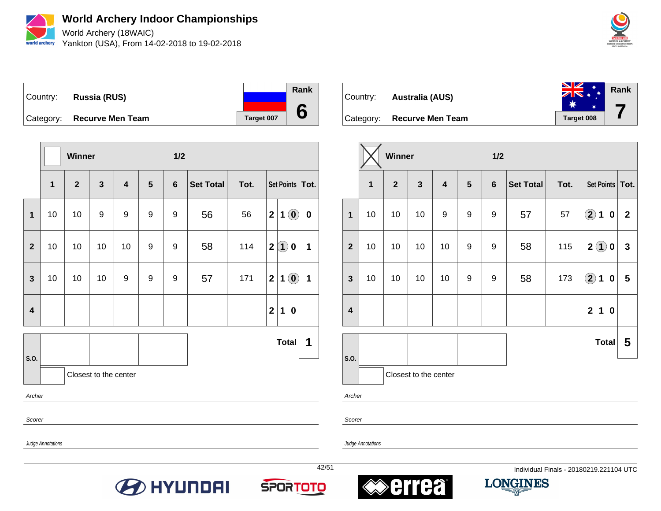

World Archery (18WAIC) Yankton (USA), From 14-02-2018 to 19-02-2018



Country: **Russia (RUS)** Category: **Recurve Men Team Target 007 Rank 6**

|                         |                   | <b>Winner</b> |                       |                         |                  | 1/2            |                  |      |              |              |                                                |                   |
|-------------------------|-------------------|---------------|-----------------------|-------------------------|------------------|----------------|------------------|------|--------------|--------------|------------------------------------------------|-------------------|
|                         | $\mathbf{1}$      | $\mathbf{2}$  | $\mathbf{3}$          | $\overline{\mathbf{4}}$ | 5                | $6\phantom{1}$ | <b>Set Total</b> | Tot. |              |              |                                                | Set Points   Tot. |
| $\mathbf 1$             | 10                | 10            | 9                     | 9                       | 9                | 9              | 56               | 56   | $\mathbf{2}$ | $\mathbf 1$  | $\left( \begin{matrix} 0 \end{matrix} \right)$ | $\pmb{0}$         |
| $\overline{\mathbf{2}}$ | 10                | 10            | 10                    | 10                      | 9                | 9              | 58               | 114  | $\mathbf{2}$ | $\bf(1)$     | $\mathbf 0$                                    | 1                 |
| $\mathbf{3}$            | 10                | 10            | 10                    | 9                       | $\boldsymbol{9}$ | 9              | 57               | 171  | $\mathbf 2$  | 1            | $\left( \begin{matrix} 0 \end{matrix} \right)$ | 1                 |
| $\overline{\mathbf{4}}$ |                   |               |                       |                         |                  |                |                  |      | $\mathbf{2}$ | 1            | $\boldsymbol{0}$                               |                   |
| S.O.                    |                   |               |                       |                         |                  |                |                  |      |              | <b>Total</b> |                                                | 1                 |
|                         |                   |               | Closest to the center |                         |                  |                |                  |      |              |              |                                                |                   |
| Archer                  |                   |               |                       |                         |                  |                |                  |      |              |              |                                                |                   |
|                         | Scorer            |               |                       |                         |                  |                |                  |      |              |              |                                                |                   |
|                         | Judge Annotations |               |                       |                         |                  |                |                  |      |              |              |                                                |                   |



|                         |    | Winner         |                       |                         |                 | 1/2            |                  |      |                         |              |           |                   |
|-------------------------|----|----------------|-----------------------|-------------------------|-----------------|----------------|------------------|------|-------------------------|--------------|-----------|-------------------|
|                         | 1  | $\overline{2}$ | $\mathbf{3}$          | $\overline{\mathbf{4}}$ | $5\phantom{.0}$ | $6\phantom{a}$ | <b>Set Total</b> | Tot. |                         |              |           | Set Points   Tot. |
| $\mathbf{1}$            | 10 | 10             | 10                    | 9                       | 9               | 9              | 57               | 57   | $\Large{\textbf{2}}$    | 1            | 0         | $\mathbf{2}$      |
| $\overline{2}$          | 10 | 10             | 10                    | 10                      | 9               | 9              | 58               | 115  | $\overline{\mathbf{2}}$ | $\hat{1}$    | 0         | 3                 |
| $\mathbf{3}$            | 10 | 10             | 10                    | 10                      | 9               | 9              | 58               | 173  | $\bigcirc \!\! 2$       | 1            | $\pmb{0}$ | 5                 |
| $\overline{\mathbf{4}}$ |    |                |                       |                         |                 |                |                  |      | $\mathbf{2}$            | 1            | 0         |                   |
|                         |    |                |                       |                         |                 |                |                  |      |                         | <b>Total</b> |           | 5                 |
| S.O.                    |    |                | Closest to the center |                         |                 |                |                  |      |                         |              |           |                   |

Archer

Scorer

Judge Annotations

Judge Annotations







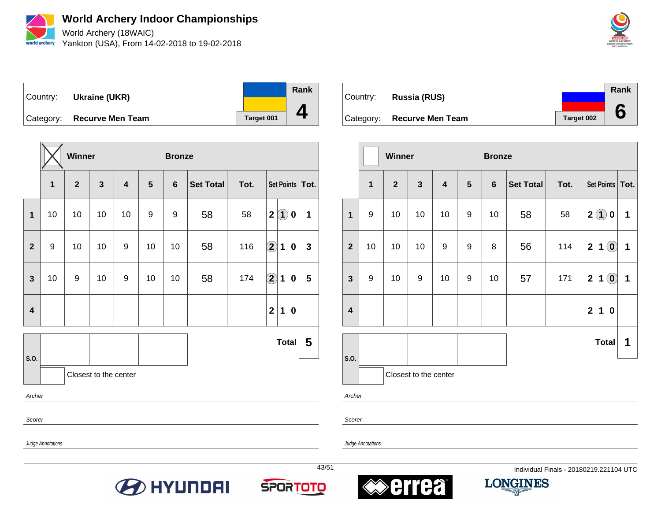

World Archery (18WAIC) Yankton (USA), From 14-02-2018 to 19-02-2018



Country: **Ukraine (UKR)** Category: **Recurve Men Team Target 001 Rank 4**

|                |    | Winner         |                       |                         |    | <b>Bronze</b>  |                  |      |                   |             |              |                   |
|----------------|----|----------------|-----------------------|-------------------------|----|----------------|------------------|------|-------------------|-------------|--------------|-------------------|
|                | 1  | $\overline{2}$ | $\mathbf{3}$          | $\overline{\mathbf{4}}$ | 5  | $6\phantom{1}$ | <b>Set Total</b> | Tot. |                   |             |              | Set Points   Tot. |
| $\mathbf{1}$   | 10 | 10             | 10                    | 10                      | 9  | 9              | 58               | 58   | $\mathbf{2}$      | $\bf(1)$    | $\bf{0}$     | 1                 |
| $\overline{2}$ | 9  | 10             | 10                    | 9                       | 10 | 10             | 58               | 116  | $\bigcirc \!\! 2$ | 1           | $\bf{0}$     | $\mathbf{3}$      |
| $\mathbf{3}$   | 10 | 9              | 10                    | 9                       | 10 | 10             | 58               | 174  | $\bigcirc \!\! 2$ | $\mathbf 1$ | $\bf{0}$     | 5                 |
| 4              |    |                |                       |                         |    |                |                  |      | $\mathbf{2}$      | 1           | $\bf{0}$     |                   |
|                |    |                |                       |                         |    |                |                  |      |                   |             | <b>Total</b> | 5                 |
| S.O.           |    |                | Closest to the center |                         |    |                |                  |      |                   |             |              |                   |
| Archer         |    |                |                       |                         |    |                |                  |      |                   |             |              |                   |
| Scorer         |    |                |                       |                         |    |                |                  |      |                   |             |              |                   |

Country: **Russia (RUS)** Category: **Recurve Men Team Target 002 Rank 6**

|                         |                  | Winner       |                       |                         |                | <b>Bronze</b>  |                  |      |                         |              |                                                |                   |
|-------------------------|------------------|--------------|-----------------------|-------------------------|----------------|----------------|------------------|------|-------------------------|--------------|------------------------------------------------|-------------------|
|                         | $\mathbf{1}$     | $\mathbf{2}$ | $\mathbf{3}$          | $\overline{\mathbf{4}}$ | $5\phantom{1}$ | $6\phantom{1}$ | <b>Set Total</b> | Tot. |                         |              |                                                | Set Points   Tot. |
| $\mathbf{1}$            | 9                | 10           | 10                    | 10                      | 9              | 10             | 58               | 58   | $\mathbf 2$             | $\bf(1)$     | 0                                              | 1                 |
| $\overline{2}$          | 10               | 10           | 10                    | 9                       | 9              | 8              | 56               | 114  | $\overline{\mathbf{2}}$ | $\mathbf 1$  | $\odot$                                        | $\mathbf 1$       |
| $\mathbf{3}$            | $\boldsymbol{9}$ | 10           | 9                     | 10                      | 9              | 10             | 57               | 171  | $\overline{\mathbf{2}}$ | 1            | $\left( \begin{matrix} 0 \end{matrix} \right)$ | 1                 |
| $\overline{\mathbf{4}}$ |                  |              |                       |                         |                |                |                  |      | $\mathbf{2}$            | 1            | $\bf{0}$                                       |                   |
|                         |                  |              |                       |                         |                |                |                  |      |                         | <b>Total</b> |                                                | 1                 |
| S.O.                    |                  |              | Closest to the center |                         |                |                |                  |      |                         |              |                                                |                   |

Archer

Scorer

Judge Annotations







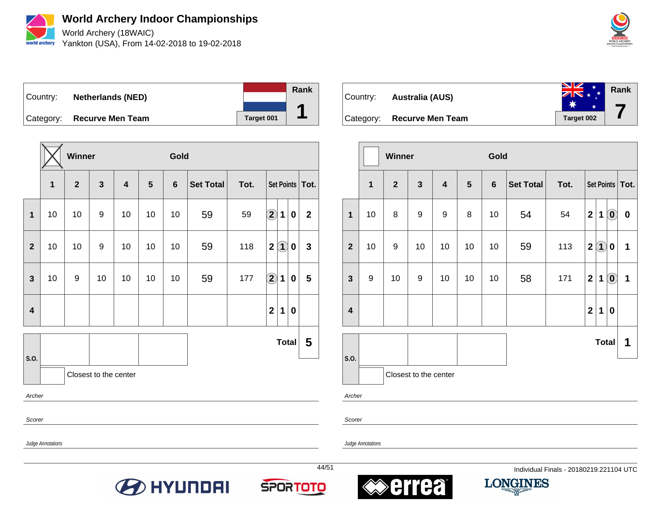

World Archery (18WAIC) Yankton (USA), From 14-02-2018 to 19-02-2018



Country: **Netherlands (NED)** Category: **Recurve Men Team Target 001 Rank 1**

|                                                          |                          | Winner         |                       |                         |                | Gold           |                  |      |                      |             |                  |                   |
|----------------------------------------------------------|--------------------------|----------------|-----------------------|-------------------------|----------------|----------------|------------------|------|----------------------|-------------|------------------|-------------------|
|                                                          | $\overline{\mathbf{1}}$  | $\overline{2}$ | $\mathbf{3}$          | $\overline{\mathbf{4}}$ | $5\phantom{1}$ | $6\phantom{1}$ | <b>Set Total</b> | Tot. |                      |             |                  | Set Points   Tot. |
| $\mathbf{1}$                                             | 10                       | 10             | 9                     | 10                      | 10             | 10             | 59               | 59   | $\bigcirc \!\! \! 2$ | 1           | $\bf{0}$         | $\mathbf{2}$      |
| $\mathbf{2}$                                             | 10                       | 10             | 9                     | 10                      | 10             | 10             | 59               | 118  | $\mathbf 2$          | $\bf(1)$    | 0                | $\mathbf{3}$      |
| $\overline{\mathbf{3}}$                                  | 10                       | 9              | 10                    | 10                      | 10             | 10             | 59               | 177  | $\Large{\textbf{2}}$ | $\mathbf 1$ | $\boldsymbol{0}$ | $5\phantom{1}$    |
| $\mathbf{2}$<br>$\overline{\mathbf{4}}$<br>1<br>$\bf{0}$ |                          |                |                       |                         |                |                |                  |      |                      |             |                  |                   |
|                                                          |                          |                |                       |                         |                |                |                  |      |                      |             | Total            | 5                 |
| S.O.                                                     |                          |                | Closest to the center |                         |                |                |                  |      |                      |             |                  |                   |
| Archer                                                   |                          |                |                       |                         |                |                |                  |      |                      |             |                  |                   |
|                                                          | Scorer                   |                |                       |                         |                |                |                  |      |                      |             |                  |                   |
|                                                          | <b>Judge Annotations</b> |                |                       |                         |                |                |                  |      |                      |             |                  |                   |



|                         |                  | Winner       |                       |                         |                | Gold             |                  |      |                  |                        |                                                         |                   |
|-------------------------|------------------|--------------|-----------------------|-------------------------|----------------|------------------|------------------|------|------------------|------------------------|---------------------------------------------------------|-------------------|
|                         | 1                | $\mathbf{2}$ | $\mathbf{3}$          | $\overline{\mathbf{4}}$ | $5\phantom{1}$ | $\boldsymbol{6}$ | <b>Set Total</b> | Tot. |                  |                        |                                                         | Set Points   Tot. |
| $\mathbf{1}$            | 10               | 8            | 9                     | 9                       | 8              | 10               | 54               | 54   | $\mathbf{2}$     | 1                      | $\left( \begin{matrix} \textbf{0} \end{matrix} \right)$ | $\bf{0}$          |
| $\overline{2}$          | 10               | 9            | 10                    | 10                      | 10             | 10               | 59               | 113  | $\boldsymbol{2}$ | $\left( \bf{1}\right)$ | $\pmb{0}$                                               | 1                 |
| $\mathbf{3}$            | $\boldsymbol{9}$ | 10           | 9                     | 10                      | 10             | 10               | 58               | 171  | $\mathbf{2}$     | 1                      | $\mathbf{0}$                                            | 1                 |
| $\overline{\mathbf{4}}$ |                  |              |                       |                         |                |                  |                  |      | $\mathbf{2}$     | 1                      | $\pmb{0}$                                               |                   |
|                         |                  |              |                       |                         |                |                  |                  |      |                  | <b>Total</b>           |                                                         | 1                 |
| S.O.                    |                  |              | Closest to the center |                         |                |                  |                  |      |                  |                        |                                                         |                   |

Archer

Scorer







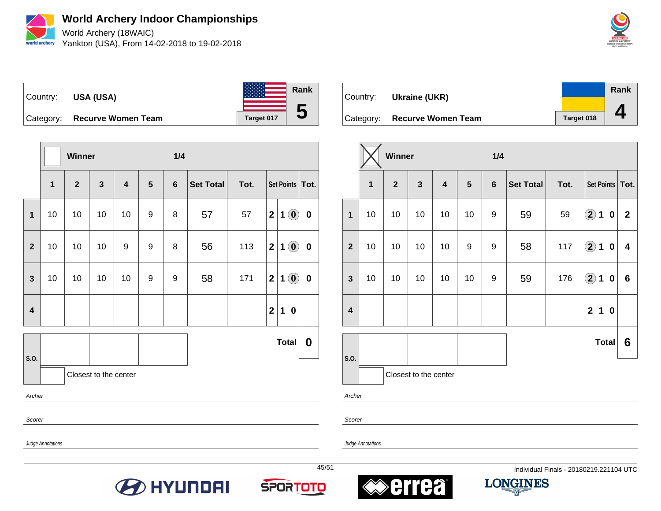

World Archery (18WAIC) Yankton (USA), From 14-02-2018 to 19-02-2018





**Winner 1/4 1 2 3 4 5 6 Set Total Tot. Set Points Tot. 1** | 10 | 10 | 10 | 10 | 9 | 8 | 57 | 57 | 2 | 1 | 0 | 0 **2** | 10 | 10 | 10 | 9 | 9 | 8 | 56 | 113 | 2 | 1 | **0** | **0 3** | 10 | 10 | 10 | 10 | 9 | 9 | 58 | 171 | 2 | 1 | **0** | **0 4 2 1 0 S.O. Total 0** Closest to the center Archer Scorer

| Country: | Ukraine (UKR)                |            | Rank |
|----------|------------------------------|------------|------|
|          | Category: Recurve Women Team | Target 018 |      |

|                         |                | Winner       |                       |                         |    | 1/4            |                  |      |                      |              |             |                   |
|-------------------------|----------------|--------------|-----------------------|-------------------------|----|----------------|------------------|------|----------------------|--------------|-------------|-------------------|
|                         | $\overline{1}$ | $\mathbf{2}$ | 3                     | $\overline{\mathbf{4}}$ | 5  | $6\phantom{1}$ | <b>Set Total</b> | Tot. |                      |              |             | Set Points   Tot. |
| $\mathbf{1}$            | 10             | 10           | 10                    | 10                      | 10 | 9              | 59               | 59   | $\bigcircled{2}$     | 1            | 0           | $\mathbf{2}$      |
| $\overline{\mathbf{2}}$ | 10             | 10           | 10                    | 10                      | 9  | 9              | 58               | 117  | $\bigcirc \!\! 2$    | 1            | $\mathbf 0$ | 4                 |
| $\mathbf{3}$            | 10             | 10           | 10                    | 10                      | 10 | 9              | 59               | 176  | $\Large{\textbf{2}}$ | 1            | $\bf{0}$    | $\bf 6$           |
| $\overline{\mathbf{4}}$ |                |              |                       |                         |    |                |                  |      | $\mathbf{2}$         | 1            | $\bf{0}$    |                   |
|                         |                |              |                       |                         |    |                |                  |      |                      | <b>Total</b> |             | 6                 |
| S.O.                    |                |              | Closest to the center |                         |    |                |                  |      |                      |              |             |                   |

Archer

Scorer

Judge Annotations

Judge Annotations







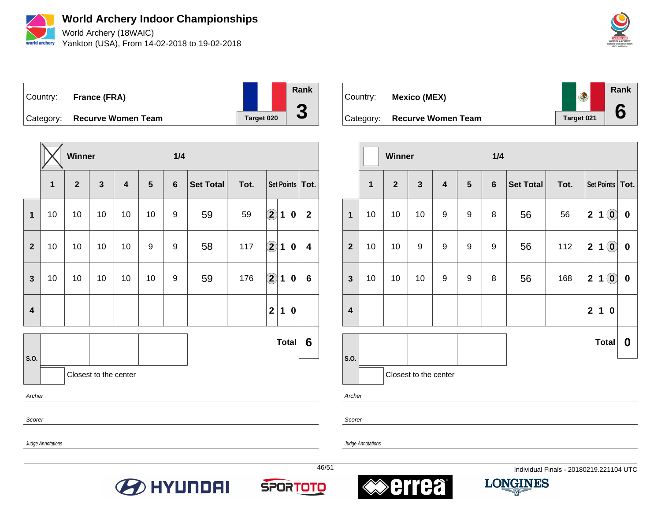

World Archery (18WAIC) Yankton (USA), From 14-02-2018 to 19-02-2018



Country: **France (FRA)** Category: **Recurve Women Team Target 020 Rank 3**

|                         |    | Winner       |                       |                         |    | 1/4            |                  |      |                      |              |                  |                   |
|-------------------------|----|--------------|-----------------------|-------------------------|----|----------------|------------------|------|----------------------|--------------|------------------|-------------------|
|                         | 1  | $\mathbf{2}$ | $\mathbf{3}$          | $\overline{\mathbf{4}}$ | 5  | $6\phantom{1}$ | <b>Set Total</b> | Tot. |                      |              |                  | Set Points   Tot. |
| 1                       | 10 | 10           | 10                    | 10                      | 10 | 9              | 59               | 59   | $\bf{(2)}$           | $\mathbf 1$  | $\boldsymbol{0}$ | $\mathbf{2}$      |
| $\mathbf{2}$            | 10 | 10           | 10                    | 10                      | 9  | 9              | 58               | 117  | $\bf{(2)}$           | $\mathbf 1$  | $\pmb{0}$        | 4                 |
| 3                       | 10 | 10           | 10                    | 10                      | 10 | 9              | 59               | 176  | $\Large{\textbf{2}}$ | 1            | $\bf{0}$         | 6                 |
| $\overline{\mathbf{4}}$ |    |              |                       |                         |    |                |                  |      | $\mathbf{2}$         | $\mathbf 1$  | $\bf{0}$         |                   |
|                         |    |              |                       |                         |    |                |                  |      |                      | <b>Total</b> |                  | 6                 |
| S.O.                    |    |              | Closest to the center |                         |    |                |                  |      |                      |              |                  |                   |
| Archer                  |    |              |                       |                         |    |                |                  |      |                      |              |                  |                   |
| Scorer                  |    |              |                       |                         |    |                |                  |      |                      |              |                  |                   |

**Rank** Country: **Mexico (MEX) 6** Category: **Recurve Women Team Target 021** 

|                         |                         | Winner         |                       |                         |                  | 1/4            |                  |      |                         |              |                                                         |           |
|-------------------------|-------------------------|----------------|-----------------------|-------------------------|------------------|----------------|------------------|------|-------------------------|--------------|---------------------------------------------------------|-----------|
|                         | $\overline{\mathbf{1}}$ | $\overline{2}$ | $\mathbf{3}$          | $\overline{\mathbf{4}}$ | $\sqrt{5}$       | $6\phantom{1}$ | <b>Set Total</b> | Tot. |                         |              | <b>Set Points</b>                                       | Tot.      |
| $\mathbf{1}$            | 10                      | 10             | 10                    | 9                       | 9                | 8              | 56               | 56   | $\mathbf 2$             | $\mathbf 1$  | $\left( \begin{matrix} \textbf{0} \end{matrix} \right)$ | $\pmb{0}$ |
| $\overline{2}$          | 10                      | 10             | 9                     | 9                       | 9                | 9              | 56               | 112  | $\overline{\mathbf{2}}$ | 1            | $\left( \begin{matrix} \textbf{0} \end{matrix} \right)$ | $\pmb{0}$ |
| $\mathbf{3}$            | 10                      | 10             | 10                    | 9                       | $\boldsymbol{9}$ | 8              | 56               | 168  | $\mathbf{2}$            | $\mathbf 1$  | $\mathbf{0}$                                            | $\pmb{0}$ |
| $\overline{\mathbf{4}}$ |                         |                |                       |                         |                  |                |                  |      | $\overline{2}$          | $\mathbf 1$  | $\pmb{0}$                                               |           |
|                         |                         |                |                       |                         |                  |                |                  |      |                         | <b>Total</b> |                                                         | 0         |
| S.O.                    |                         |                | Closest to the center |                         |                  |                |                  |      |                         |              |                                                         |           |

Archer

Scorer

Judge Annotations

Judge Annotations







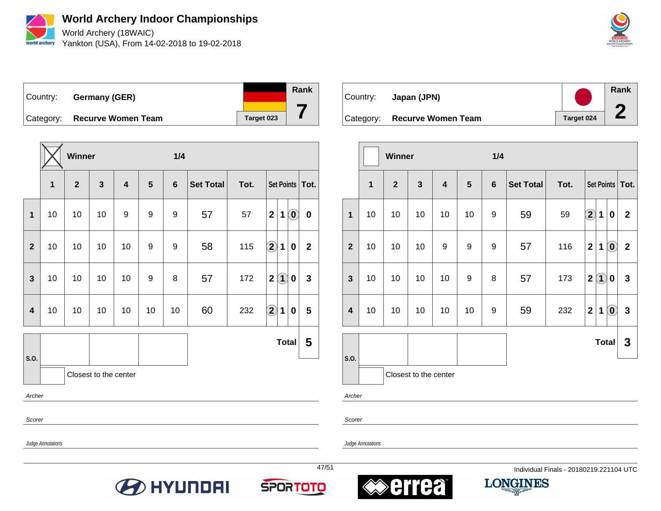

World Archery (18WAIC) Yankton (USA), From 14-02-2018 to 19-02-2018



Country: **Germany (GER)**



Category: **Recurve Women Team Target 023** 

|                         |    | Winner       |                       |                         |                | 1/4             |                  |      |                      |                   |                                                         |              |
|-------------------------|----|--------------|-----------------------|-------------------------|----------------|-----------------|------------------|------|----------------------|-------------------|---------------------------------------------------------|--------------|
|                         | 1  | $\mathbf{2}$ | $\mathbf{3}$          | $\overline{\mathbf{4}}$ | $5\phantom{1}$ | $6\phantom{1}6$ | <b>Set Total</b> | Tot. |                      |                   | <b>Set Points</b>                                       | Tot.         |
| 1                       | 10 | 10           | 10                    | 9                       | 9              | 9               | 57               | 57   | $\mathbf{2}$         | 1                 | $\left( \begin{matrix} \mathbf{0} \end{matrix} \right)$ | $\mathbf 0$  |
| $\overline{2}$          | 10 | 10           | 10                    | 10                      | 9              | 9               | 58               | 115  | $\bf \overline{2}$   | $\mathbf 1$       | $\bf{0}$                                                | $\mathbf{2}$ |
| $\overline{\mathbf{3}}$ | 10 | 10           | 10                    | 10                      | 9              | 8               | 57               | 172  | $\mathbf{2}$         | $\left( 1\right)$ | $\pmb{0}$                                               | $\mathbf{3}$ |
| $\overline{\mathbf{4}}$ | 10 | 10           | 10                    | 10                      | 10             | 10              | 60               | 232  | $\bigcirc \!\! \! 2$ | $\mathbf 1$       | $\bf{0}$                                                | 5            |
|                         |    |              |                       |                         |                |                 |                  |      |                      | <b>Total</b>      |                                                         | 5            |
| S.O.                    |    |              | Closest to the center |                         |                |                 |                  |      |                      |                   |                                                         |              |

Archer

Scorer

Scorer

Judge Annotations

Judge Annotations









| Country: | Japan (JPN)                  |            | <b>Rank</b> |
|----------|------------------------------|------------|-------------|
|          | Category: Recurve Women Team | Target 024 |             |

|                         |    | <b>Winner</b>  |                       |                         |    | 1/4              |                  |      |                         |              |                                                |                   |
|-------------------------|----|----------------|-----------------------|-------------------------|----|------------------|------------------|------|-------------------------|--------------|------------------------------------------------|-------------------|
|                         | 1  | $\overline{2}$ | $\mathbf{3}$          | $\overline{\mathbf{4}}$ | 5  | $\boldsymbol{6}$ | <b>Set Total</b> | Tot. |                         |              |                                                | Set Points   Tot. |
| $\mathbf{1}$            | 10 | 10             | 10                    | 10                      | 10 | 9                | 59               | 59   | $\bf{(2)}$              | 1            | $\bf{0}$                                       | $\mathbf{2}$      |
| $\overline{\mathbf{2}}$ | 10 | 10             | 10                    | 9                       | 9  | 9                | 57               | 116  | $\overline{2}$          | $\mathbf 1$  | $\mathbf{O}$                                   | $\boldsymbol{2}$  |
| $\mathbf{3}$            | 10 | 10             | 10                    | 10                      | 9  | 8                | 57               | 173  | $\mathbf 2$             | $\bf(1)$     | $\bf{0}$                                       | 3                 |
| $\overline{\mathbf{4}}$ | 10 | 10             | 10                    | 10                      | 10 | 9                | 59               | 232  | $\overline{\mathbf{2}}$ | 1            | $\left( \begin{matrix} 0 \end{matrix} \right)$ | $\mathbf{3}$      |
|                         |    |                |                       |                         |    |                  |                  |      |                         | <b>Total</b> |                                                | 3                 |
| S.O.                    |    |                | Closest to the center |                         |    |                  |                  |      |                         |              |                                                |                   |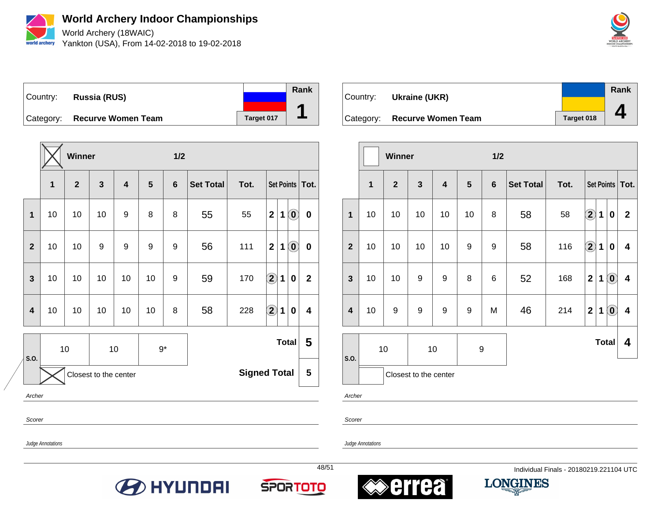

World Archery (18WAIC) Yankton (USA), From 14-02-2018 to 19-02-2018



Country: **Russia (RUS)** Category: **Recurve Women Team Target 017 Rank**

|                |    | <b>Winner</b>  |                       |                         |      | 1/2             |                  |                     |                    |   |                                                |                   |
|----------------|----|----------------|-----------------------|-------------------------|------|-----------------|------------------|---------------------|--------------------|---|------------------------------------------------|-------------------|
|                | 1  | $\overline{2}$ | 3                     | $\overline{\mathbf{4}}$ | 5    | $6\phantom{1}6$ | <b>Set Total</b> | Tot.                |                    |   |                                                | Set Points   Tot. |
| 1              | 10 | 10             | 10                    | 9                       | 8    | 8               | 55               | 55                  | $\mathbf{2}$       | 1 | $\left( \begin{matrix} 0 \end{matrix} \right)$ | $\bf{0}$          |
| $\overline{2}$ | 10 | 10             | 9                     | 9                       | 9    | 9               | 56               | 111                 | $\mathbf{2}$       | 1 | $\left( \begin{matrix} 0 \end{matrix} \right)$ | $\bf{0}$          |
| 3              | 10 | 10             | 10                    | 10                      | 10   | 9               | 59               | 170                 | $\bf \overline{2}$ | 1 | $\bf{0}$                                       | $\mathbf{2}$      |
| 4              | 10 | 10             | 10                    | 10                      | 10   | 8               | 58               | 228                 | $\bigcirc$         | 1 | 0                                              | 4                 |
|                |    | 10             |                       | 10                      | $9*$ |                 |                  |                     |                    |   | <b>Total</b>                                   | 5                 |
| S.O.           |    |                | Closest to the center |                         |      |                 |                  | <b>Signed Total</b> |                    |   |                                                | 5                 |

Country: **Ukraine (UKR)** Category: **Recurve Women Team Target 018 Rank 4**

|                         |    | Winner       |                       |                         |                  | 1/2            |                  |      |                      |              |         |                         |
|-------------------------|----|--------------|-----------------------|-------------------------|------------------|----------------|------------------|------|----------------------|--------------|---------|-------------------------|
|                         | 1  | $\mathbf{2}$ | 3                     | $\overline{\mathbf{4}}$ | 5                | $6\phantom{1}$ | <b>Set Total</b> | Tot. |                      |              |         | Set Points   Tot.       |
| $\mathbf{1}$            | 10 | 10           | 10                    | 10                      | 10               | 8              | 58               | 58   | $\Large{\textbf{2}}$ | 1            | 0       | $\mathbf{2}$            |
| $\overline{2}$          | 10 | 10           | 10                    | 10                      | 9                | 9              | 58               | 116  | $\Large{\textbf{2}}$ | 1            | 0       | 4                       |
| 3                       | 10 | 10           | 9                     | 9                       | 8                | 6              | 52               | 168  | $\mathbf 2$          | 1            | $\odot$ | $\overline{\mathbf{4}}$ |
| $\overline{\mathbf{4}}$ | 10 | 9            | 9                     | 9                       | 9                | M              | 46               | 214  | $\mathbf{2}$         | 1            | $\odot$ | $\overline{\mathbf{4}}$ |
| S.O.                    |    | 10           |                       | 10                      | $\boldsymbol{9}$ |                |                  |      |                      | <b>Total</b> |         | 4                       |
|                         |    |              | Closest to the center |                         |                  |                |                  |      |                      |              |         |                         |

Archer

Scorer

**1**

Judge Annotations

Archer

Scorer

Judge Annotations







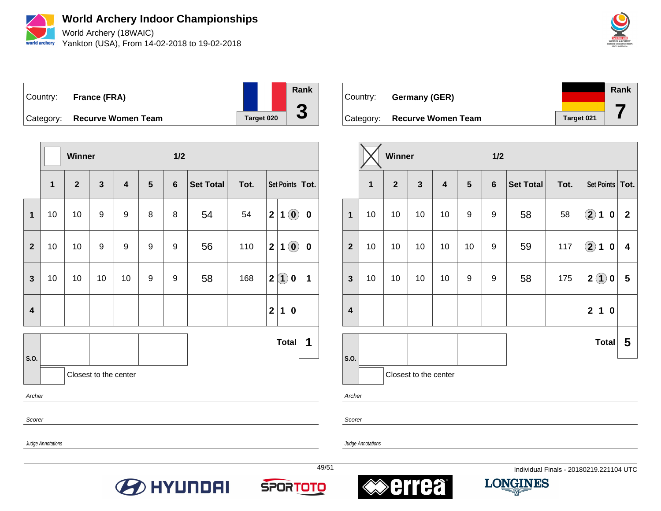

World Archery (18WAIC) Yankton (USA), From 14-02-2018 to 19-02-2018



Country: **France (FRA)** Category: **Recurve Women Team Target 020 Rank 3**

|                         |              | Winner       |                       |                         |   | 1/2            |                  |      |                         |              |                                                |                   |
|-------------------------|--------------|--------------|-----------------------|-------------------------|---|----------------|------------------|------|-------------------------|--------------|------------------------------------------------|-------------------|
|                         | $\mathbf{1}$ | $\mathbf{2}$ | $\mathbf{3}$          | $\overline{\mathbf{4}}$ | 5 | $6\phantom{1}$ | <b>Set Total</b> | Tot. |                         |              |                                                | Set Points   Tot. |
| $\mathbf{1}$            | 10           | 10           | 9                     | 9                       | 8 | 8              | 54               | 54   | $\overline{2}$          | 1            | $\left( \begin{matrix} 0 \end{matrix} \right)$ | $\bf{0}$          |
| $\mathbf{2}$            | 10           | 10           | 9                     | 9                       | 9 | 9              | 56               | 110  | $\overline{2}$          | 1            | $\left( \begin{matrix} 0 \end{matrix} \right)$ | $\bf{0}$          |
| $\mathbf{3}$            | 10           | 10           | 10                    | 10                      | 9 | 9              | 58               | 168  | $\mathbf 2$             | $\bf(1)$     | $\pmb{0}$                                      | 1                 |
| $\overline{\mathbf{4}}$ |              |              |                       |                         |   |                |                  |      | $\overline{\mathbf{2}}$ | 1            | 0                                              |                   |
|                         |              |              |                       |                         |   |                |                  |      |                         | <b>Total</b> |                                                | 1                 |
| S.O.                    |              |              | Closest to the center |                         |   |                |                  |      |                         |              |                                                |                   |
| Archer                  |              |              |                       |                         |   |                |                  |      |                         |              |                                                |                   |
| Scorer                  |              |              |                       |                         |   |                |                  |      |                         |              |                                                |                   |

| Country: Germany (GER)       |            | Rank |
|------------------------------|------------|------|
| Category: Recurve Women Team | Target 021 |      |

|                         |                         | Winner         |                       |                         |            | 1/2            |                  |      |                    |                   |             |                   |
|-------------------------|-------------------------|----------------|-----------------------|-------------------------|------------|----------------|------------------|------|--------------------|-------------------|-------------|-------------------|
|                         | $\overline{\mathbf{1}}$ | $\overline{2}$ | $\mathbf{3}$          | $\overline{\mathbf{4}}$ | $\sqrt{5}$ | $6\phantom{1}$ | <b>Set Total</b> | Tot. |                    |                   |             | Set Points   Tot. |
| $\mathbf{1}$            | 10                      | 10             | 10                    | 10                      | 9          | 9              | 58               | 58   | $\bigcirc$         | 1                 | 0           | $\mathbf{2}$      |
| $\overline{2}$          | 10                      | 10             | 10                    | 10                      | 10         | 9              | 59               | 117  | $\bf \overline{2}$ | $\mathbf 1$       | 0           | 4                 |
| $\mathbf{3}$            | 10                      | 10             | 10                    | 10                      | 9          | 9              | 58               | 175  | $\overline{2}$     | $\left( 1\right)$ | 0           | 5                 |
| $\overline{\mathbf{4}}$ |                         |                |                       |                         |            |                |                  |      | $\mathbf{2}$       | 1                 | $\mathbf 0$ |                   |
|                         |                         |                |                       |                         |            |                |                  |      |                    | <b>Total</b>      |             | 5                 |
| S.O.                    |                         |                | Closest to the center |                         |            |                |                  |      |                    |                   |             |                   |

Archer

Scorer

Judge Annotations

Judge Annotations







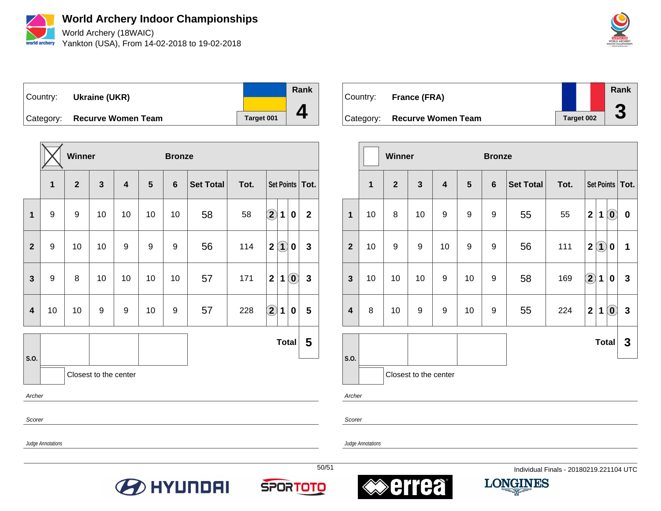

World Archery (18WAIC) Yankton (USA), From 14-02-2018 to 19-02-2018



Country: **Ukraine (UKR)**



Category: **Recurve Women Team Target 001** 

|                         |                         | Winner       |                       |    |                  | <b>Bronze</b>   |                  |      |                                          |                |
|-------------------------|-------------------------|--------------|-----------------------|----|------------------|-----------------|------------------|------|------------------------------------------|----------------|
|                         | $\overline{\mathbf{1}}$ | $\mathbf{2}$ | $\mathbf{3}$          | 4  | 5                | $6\phantom{1}6$ | <b>Set Total</b> | Tot. | Set Points   Tot.                        |                |
| $\mathbf{1}$            | 9                       | 9            | 10                    | 10 | 10               | 10              | 58               | 58   | $\bf \overline{2}$<br>1<br>0             | $\mathbf{2}$   |
| $\overline{2}$          | $\boldsymbol{9}$        | 10           | 10                    | 9  | $\boldsymbol{9}$ | 9               | 56               | 114  | $\bf(1)$<br>$\mathbf{2}$<br>0            | $\mathbf{3}$   |
| 3                       | $\boldsymbol{9}$        | 8            | 10                    | 10 | 10               | 10              | 57               | 171  | $\bf (0)$<br>$\mathbf{2}$<br>$\mathbf 1$ | $\mathbf{3}$   |
| $\overline{\mathbf{4}}$ | 10                      | 10           | 9                     | 9  | 10               | 9               | 57               | 228  | $\Large{2}$<br>1<br>0                    | $5\phantom{1}$ |
|                         |                         |              |                       |    |                  |                 |                  |      | <b>Total</b>                             | 5              |
| S.O.                    |                         |              | Closest to the center |    |                  |                 |                  |      |                                          |                |
| Archer                  |                         |              |                       |    |                  |                 |                  |      |                                          |                |

Country: **France (FRA)** Category: **Recurve Women Team Target 002 Rank 3**

|                         |              | <b>Winner</b> |                       |                         |    | <b>Bronze</b>    |                  |      |                           |                        |                   |
|-------------------------|--------------|---------------|-----------------------|-------------------------|----|------------------|------------------|------|---------------------------|------------------------|-------------------|
|                         | $\mathbf{1}$ | $\mathbf{2}$  | $\mathbf{3}$          | $\overline{\mathbf{4}}$ | 5  | $\boldsymbol{6}$ | <b>Set Total</b> | Tot. |                           |                        | Set Points   Tot. |
| $\mathbf{1}$            | 10           | 8             | 10                    | 9                       | 9  | 9                | 55               | 55   | $\mathbf 2$<br>1          | $\mathbf{O}$           | $\pmb{0}$         |
| $\mathbf{2}$            | 10           | 9             | 9                     | 10                      | 9  | 9                | 56               | 111  | $\boldsymbol{2}$          | $\left( 1\right)$<br>0 | 1                 |
| $\mathbf{3}$            | 10           | 10            | 10                    | 9                       | 10 | 9                | 58               | 169  | $\bigcirc \!\! \! 2$<br>1 | 0                      | $\mathbf{3}$      |
| $\overline{\mathbf{4}}$ | 8            | 10            | 9                     | $\boldsymbol{9}$        | 10 | 9                | 55               | 224  | $\overline{2}$<br>1       | $\odot$                | $\mathbf{3}$      |
|                         |              |               |                       |                         |    |                  |                  |      |                           | <b>Total</b>           | 3                 |
| S.O.                    |              |               | Closest to the center |                         |    |                  |                  |      |                           |                        |                   |

Archer

Scorer

Judge Annotations

Scorer

Judge Annotations